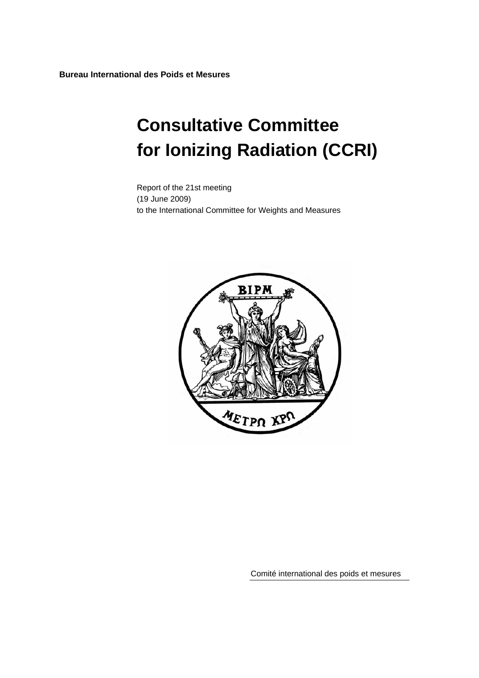**Bureau International des Poids et Mesures** 

# **Consultative Committee for Ionizing Radiation (CCRI)**

Report of the 21st meeting (19 June 2009) to the International Committee for Weights and Measures



Comité international des poids et mesures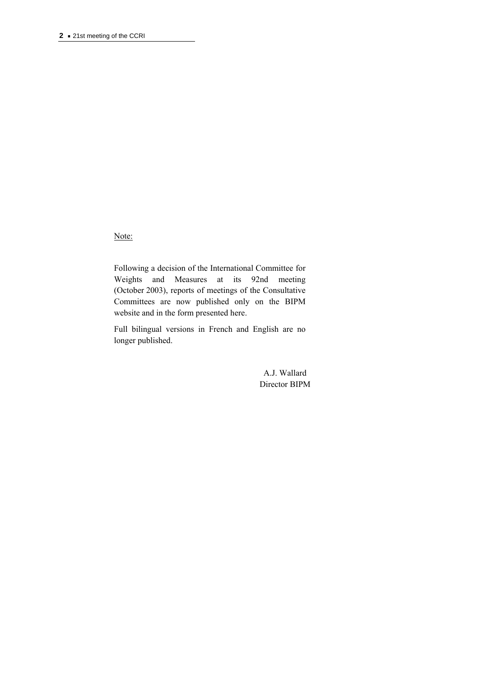Note:

Following a decision of the International Committee for Weights and Measures at its 92nd meeting (October 2003), reports of meetings of the Consultative Committees are now published only on the BIPM website and in the form presented here.

Full bilingual versions in French and English are no longer published.

> A.J. Wallard Director BIPM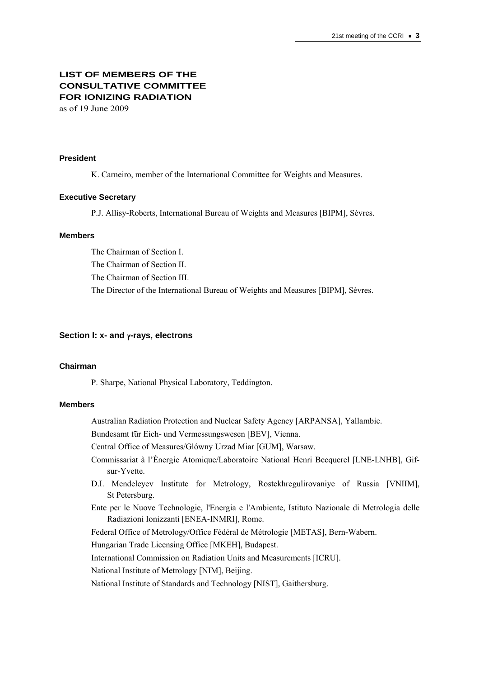# **LIST OF MEMBERS OF THE CONSULTATIVE COMMITTEE FOR IONIZING RADIATION**

as of 19 June 2009

### **President**

K. Carneiro, member of the International Committee for Weights and Measures.

### **Executive Secretary**

P.J. Allisy-Roberts, International Bureau of Weights and Measures [BIPM], Sèvres.

### **Members**

The Chairman of Section I. The Chairman of Section II. The Chairman of Section III. The Director of the International Bureau of Weights and Measures [BIPM], Sèvres.

### **Section I: x- and γ-rays, electrons**

### **Chairman**

P. Sharpe, National Physical Laboratory, Teddington.

### **Members**

Australian Radiation Protection and Nuclear Safety Agency [ARPANSA], Yallambie.

Bundesamt für Eich- und Vermessungswesen [BEV], Vienna.

Central Office of Measures/Glówny Urzad Miar [GUM], Warsaw.

Commissariat à l'Énergie Atomique/Laboratoire National Henri Becquerel [LNE-LNHB], Gifsur-Yvette.

- D.I. Mendeleyev Institute for Metrology, Rostekhregulirovaniye of Russia [VNIIM], St Petersburg.
- Ente per le Nuove Technologie, l'Energia e l'Ambiente, Istituto Nazionale di Metrologia delle Radiazioni Ionizzanti [ENEA-INMRI], Rome.

Federal Office of Metrology/Office Fédéral de Métrologie [METAS], Bern-Wabern.

Hungarian Trade Licensing Office [MKEH], Budapest.

International Commission on Radiation Units and Measurements [ICRU].

National Institute of Metrology [NIM], Beijing.

National Institute of Standards and Technology [NIST], Gaithersburg.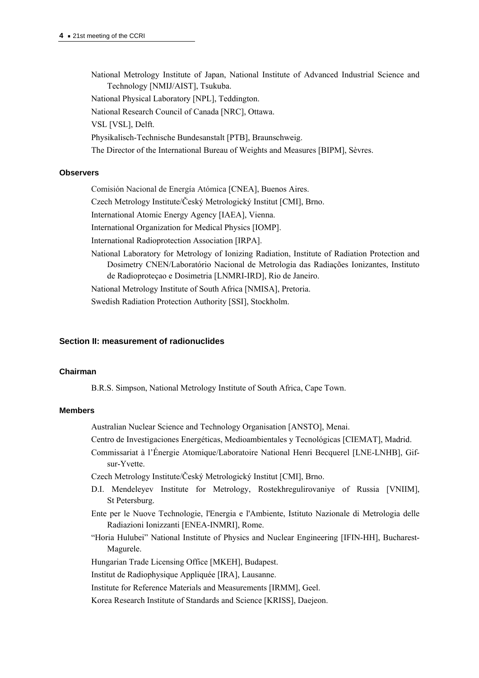National Metrology Institute of Japan, National Institute of Advanced Industrial Science and Technology [NMIJ/AIST], Tsukuba.

National Physical Laboratory [NPL], Teddington.

National Research Council of Canada [NRC], Ottawa.

VSL [VSL], Delft.

Physikalisch-Technische Bundesanstalt [PTB], Braunschweig.

The Director of the International Bureau of Weights and Measures [BIPM], Sèvres.

### **Observers**

Comisión Nacional de Energía Atómica [CNEA], Buenos Aires.

Czech Metrology Institute/Český Metrologický Institut [CMI], Brno.

International Atomic Energy Agency [IAEA], Vienna.

International Organization for Medical Physics [IOMP].

International Radioprotection Association [IRPA].

National Laboratory for Metrology of Ionizing Radiation, Institute of Radiation Protection and Dosimetry CNEN/Laboratório Nacional de Metrologia das Radiações Ionizantes, Instituto de Radioproteçao e Dosimetria [LNMRI-IRD], Rio de Janeiro.

National Metrology Institute of South Africa [NMISA], Pretoria.

Swedish Radiation Protection Authority [SSI], Stockholm.

### **Section II: measurement of radionuclides**

# **Chairman**

B.R.S. Simpson, National Metrology Institute of South Africa, Cape Town.

### **Members**

Australian Nuclear Science and Technology Organisation [ANSTO], Menai.

- Centro de Investigaciones Energéticas, Medioambientales y Tecnológicas [CIEMAT], Madrid.
- Commissariat à l'Énergie Atomique/Laboratoire National Henri Becquerel [LNE-LNHB], Gifsur-Yvette.

Czech Metrology Institute/Český Metrologický Institut [CMI], Brno.

- D.I. Mendeleyev Institute for Metrology, Rostekhregulirovaniye of Russia [VNIIM], St Petersburg.
- Ente per le Nuove Technologie, l'Energia e l'Ambiente, Istituto Nazionale di Metrologia delle Radiazioni Ionizzanti [ENEA-INMRI], Rome.
- "Horia Hulubei" National Institute of Physics and Nuclear Engineering [IFIN-HH], Bucharest-Magurele.
- Hungarian Trade Licensing Office [MKEH], Budapest.

Institut de Radiophysique Appliquée [IRA], Lausanne.

Institute for Reference Materials and Measurements [IRMM], Geel.

Korea Research Institute of Standards and Science [KRISS], Daejeon.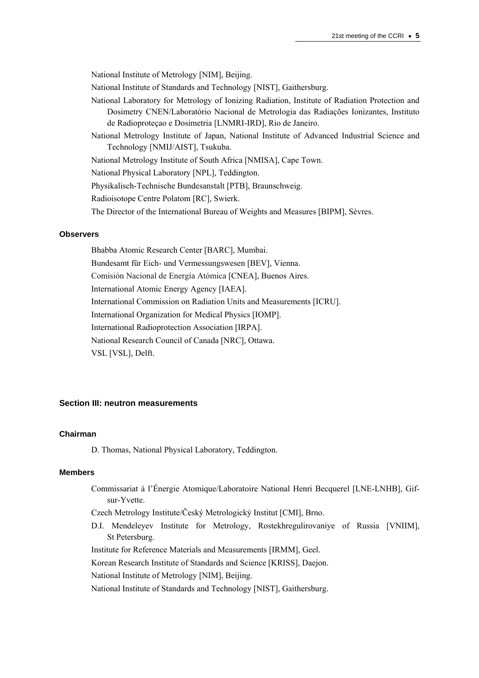National Institute of Metrology [NIM], Beijing.

National Institute of Standards and Technology [NIST], Gaithersburg.

- National Laboratory for Metrology of Ionizing Radiation, Institute of Radiation Protection and Dosimetry CNEN/Laboratório Nacional de Metrologia das Radiações Ionizantes, Instituto de Radioproteçao e Dosimetria [LNMRI-IRD], Rio de Janeiro.
- National Metrology Institute of Japan, National Institute of Advanced Industrial Science and Technology [NMIJ/AIST], Tsukuba.

National Metrology Institute of South Africa [NMISA], Cape Town.

National Physical Laboratory [NPL], Teddington.

Physikalisch-Technische Bundesanstalt [PTB], Braunschweig.

Radioisotope Centre Polatom [RC], Swierk.

The Director of the International Bureau of Weights and Measures [BIPM], Sèvres.

### **Observers**

Bhabba Atomic Research Center [BARC], Mumbai. Bundesamt für Eich- und Vermessungswesen [BEV], Vienna. Comisión Nacional de Energía Atómica [CNEA], Buenos Aires. International Atomic Energy Agency [IAEA]. International Commission on Radiation Units and Measurements [ICRU]. International Organization for Medical Physics [IOMP]. International Radioprotection Association [IRPA]. National Research Council of Canada [NRC], Ottawa. VSL [VSL], Delft.

### **Section III: neutron measurements**

#### **Chairman**

D. Thomas, National Physical Laboratory, Teddington.

### **Members**

Commissariat à l'Énergie Atomique/Laboratoire National Henri Becquerel [LNE-LNHB], Gifsur-Yvette.

Czech Metrology Institute/Český Metrologický Institut [CMI], Brno.

D.I. Mendeleyev Institute for Metrology, Rostekhregulirovaniye of Russia [VNIIM], St Petersburg.

Institute for Reference Materials and Measurements [IRMM], Geel.

Korean Research Institute of Standards and Science [KRISS], Daejon.

National Institute of Metrology [NIM], Beijing.

National Institute of Standards and Technology [NIST], Gaithersburg.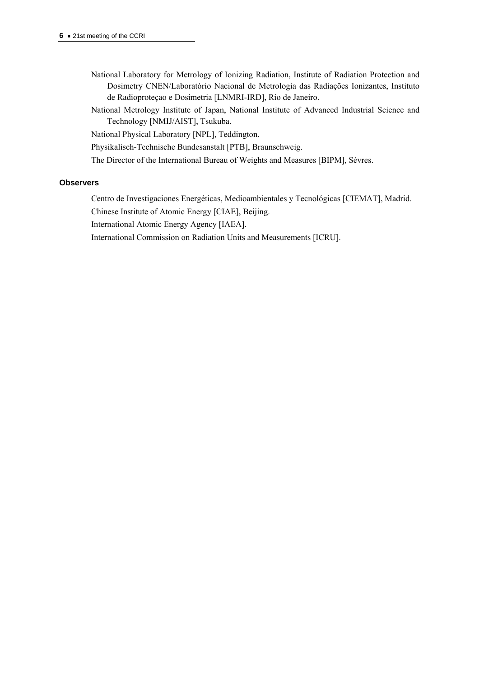- National Laboratory for Metrology of Ionizing Radiation, Institute of Radiation Protection and Dosimetry CNEN/Laboratório Nacional de Metrologia das Radiações Ionizantes, Instituto de Radioproteçao e Dosimetria [LNMRI-IRD], Rio de Janeiro.
- National Metrology Institute of Japan, National Institute of Advanced Industrial Science and Technology [NMIJ/AIST], Tsukuba.

National Physical Laboratory [NPL], Teddington.

Physikalisch-Technische Bundesanstalt [PTB], Braunschweig.

The Director of the International Bureau of Weights and Measures [BIPM], Sèvres.

#### **Observers**

Centro de Investigaciones Energéticas, Medioambientales y Tecnológicas [CIEMAT], Madrid.

Chinese Institute of Atomic Energy [CIAE], Beijing.

International Atomic Energy Agency [IAEA].

International Commission on Radiation Units and Measurements [ICRU].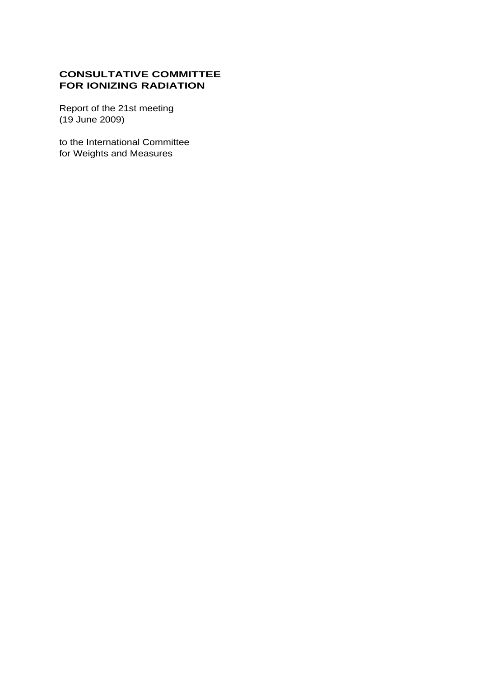# **CONSULTATIVE COMMITTEE FOR IONIZING RADIATION**

Report of the 21st meeting (19 June 2009)

to the International Committee for Weights and Measures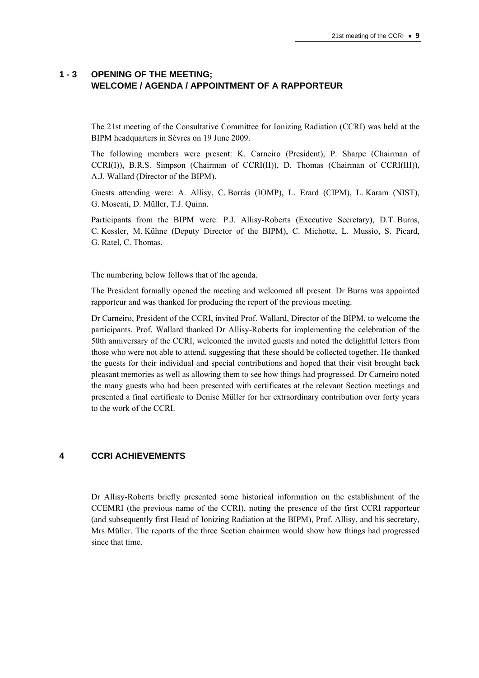# **1 - 3 OPENING OF THE MEETING; WELCOME / AGENDA / APPOINTMENT OF A RAPPORTEUR**

The 21st meeting of the Consultative Committee for Ionizing Radiation (CCRI) was held at the BIPM headquarters in Sèvres on 19 June 2009.

The following members were present: K. Carneiro (President), P. Sharpe (Chairman of CCRI(I)), B.R.S. Simpson (Chairman of CCRI(II)), D. Thomas (Chairman of CCRI(III)), A.J. Wallard (Director of the BIPM).

Guests attending were: A. Allisy, C. Borrás (IOMP), L. Erard (CIPM), L. Karam (NIST), G. Moscati, D. Müller, T.J. Quinn.

Participants from the BIPM were: P.J. Allisy-Roberts (Executive Secretary), D.T. Burns, C. Kessler, M. Kühne (Deputy Director of the BIPM), C. Michotte, L. Mussio, S. Picard, G. Ratel, C. Thomas.

The numbering below follows that of the agenda.

The President formally opened the meeting and welcomed all present. Dr Burns was appointed rapporteur and was thanked for producing the report of the previous meeting.

Dr Carneiro, President of the CCRI, invited Prof. Wallard, Director of the BIPM, to welcome the participants. Prof. Wallard thanked Dr Allisy-Roberts for implementing the celebration of the 50th anniversary of the CCRI, welcomed the invited guests and noted the delightful letters from those who were not able to attend, suggesting that these should be collected together. He thanked the guests for their individual and special contributions and hoped that their visit brought back pleasant memories as well as allowing them to see how things had progressed. Dr Carneiro noted the many guests who had been presented with certificates at the relevant Section meetings and presented a final certificate to Denise Müller for her extraordinary contribution over forty years to the work of the CCRI.

# **4 CCRI ACHIEVEMENTS**

Dr Allisy-Roberts briefly presented some historical information on the establishment of the CCEMRI (the previous name of the CCRI), noting the presence of the first CCRI rapporteur (and subsequently first Head of Ionizing Radiation at the BIPM), Prof. Allisy, and his secretary, Mrs Müller. The reports of the three Section chairmen would show how things had progressed since that time.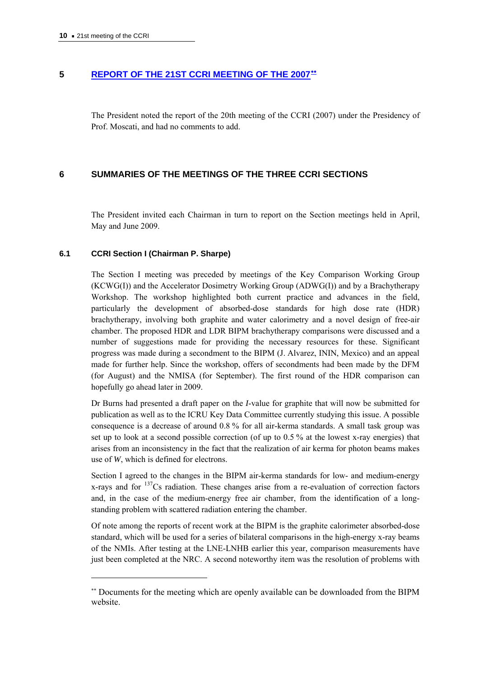# **5 [REPORT OF THE 21ST CCRI MEETING OF THE 2007](http://www.bipm.org/utils/common/pdf/CCRI20.pdf)**

The President noted the report of the 20th meeting of the CCRI (2007) under the Presidency of Prof. Moscati, and had no comments to add.

# **6 SUMMARIES OF THE MEETINGS OF THE THREE CCRI SECTIONS**

The President invited each Chairman in turn to report on the Section meetings held in April, May and June 2009.

### **6.1 CCRI Section I (Chairman P. Sharpe)**

 $\overline{a}$ 

The Section I meeting was preceded by meetings of the Key Comparison Working Group (KCWG(I)) and the Accelerator Dosimetry Working Group (ADWG(I)) and by a Brachytherapy Workshop. The workshop highlighted both current practice and advances in the field, particularly the development of absorbed-dose standards for high dose rate (HDR) brachytherapy, involving both graphite and water calorimetry and a novel design of free-air chamber. The proposed HDR and LDR BIPM brachytherapy comparisons were discussed and a number of suggestions made for providing the necessary resources for these. Significant progress was made during a secondment to the BIPM (J. Alvarez, ININ, Mexico) and an appeal made for further help. Since the workshop, offers of secondments had been made by the DFM (for August) and the NMISA (for September). The first round of the HDR comparison can hopefully go ahead later in 2009.

Dr Burns had presented a draft paper on the *I*-value for graphite that will now be submitted for publication as well as to the ICRU Key Data Committee currently studying this issue. A possible consequence is a decrease of around 0.8 % for all air-kerma standards. A small task group was set up to look at a second possible correction (of up to 0.5 % at the lowest x-ray energies) that arises from an inconsistency in the fact that the realization of air kerma for photon beams makes use of *W*, which is defined for electrons.

Section I agreed to the changes in the BIPM air-kerma standards for low- and medium-energy x-rays and for  $137$ Cs radiation. These changes arise from a re-evaluation of correction factors and, in the case of the medium-energy free air chamber, from the identification of a longstanding problem with scattered radiation entering the chamber.

Of note among the reports of recent work at the BIPM is the graphite calorimeter absorbed-dose standard, which will be used for a series of bilateral comparisons in the high-energy x-ray beams of the NMIs. After testing at the LNE-LNHB earlier this year, comparison measurements have just been completed at the NRC. A second noteworthy item was the resolution of problems with

Documents for the meeting which are openly available can be downloaded from the BIPM website.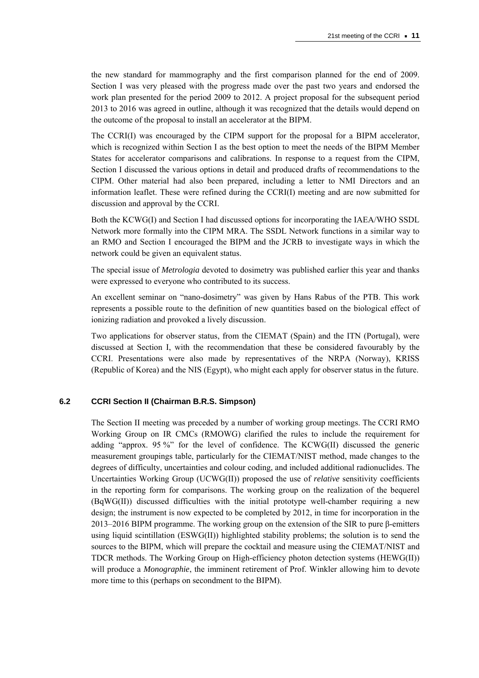the new standard for mammography and the first comparison planned for the end of 2009. Section I was very pleased with the progress made over the past two years and endorsed the work plan presented for the period 2009 to 2012. A project proposal for the subsequent period 2013 to 2016 was agreed in outline, although it was recognized that the details would depend on the outcome of the proposal to install an accelerator at the BIPM.

The CCRI(I) was encouraged by the CIPM support for the proposal for a BIPM accelerator, which is recognized within Section I as the best option to meet the needs of the BIPM Member States for accelerator comparisons and calibrations. In response to a request from the CIPM, Section I discussed the various options in detail and produced drafts of recommendations to the CIPM. Other material had also been prepared, including a letter to NMI Directors and an information leaflet. These were refined during the CCRI(I) meeting and are now submitted for discussion and approval by the CCRI.

Both the KCWG(I) and Section I had discussed options for incorporating the IAEA/WHO SSDL Network more formally into the CIPM MRA. The SSDL Network functions in a similar way to an RMO and Section I encouraged the BIPM and the JCRB to investigate ways in which the network could be given an equivalent status.

The special issue of *Metrologia* devoted to dosimetry was published earlier this year and thanks were expressed to everyone who contributed to its success.

An excellent seminar on "nano-dosimetry" was given by Hans Rabus of the PTB. This work represents a possible route to the definition of new quantities based on the biological effect of ionizing radiation and provoked a lively discussion.

Two applications for observer status, from the CIEMAT (Spain) and the ITN (Portugal), were discussed at Section I, with the recommendation that these be considered favourably by the CCRI. Presentations were also made by representatives of the NRPA (Norway), KRISS (Republic of Korea) and the NIS (Egypt), who might each apply for observer status in the future.

# **6.2 CCRI Section II (Chairman B.R.S. Simpson)**

The Section II meeting was preceded by a number of working group meetings. The CCRI RMO Working Group on IR CMCs (RMOWG) clarified the rules to include the requirement for adding "approx. 95 %" for the level of confidence. The KCWG(II) discussed the generic measurement groupings table, particularly for the CIEMAT/NIST method, made changes to the degrees of difficulty, uncertainties and colour coding, and included additional radionuclides. The Uncertainties Working Group (UCWG(II)) proposed the use of *relative* sensitivity coefficients in the reporting form for comparisons. The working group on the realization of the bequerel (BqWG(II)) discussed difficulties with the initial prototype well-chamber requiring a new design; the instrument is now expected to be completed by 2012, in time for incorporation in the 2013–2016 BIPM programme. The working group on the extension of the SIR to pure β-emitters using liquid scintillation (ESWG(II)) highlighted stability problems; the solution is to send the sources to the BIPM, which will prepare the cocktail and measure using the CIEMAT/NIST and TDCR methods. The Working Group on High-efficiency photon detection systems (HEWG(II)) will produce a *Monographie*, the imminent retirement of Prof. Winkler allowing him to devote more time to this (perhaps on secondment to the BIPM).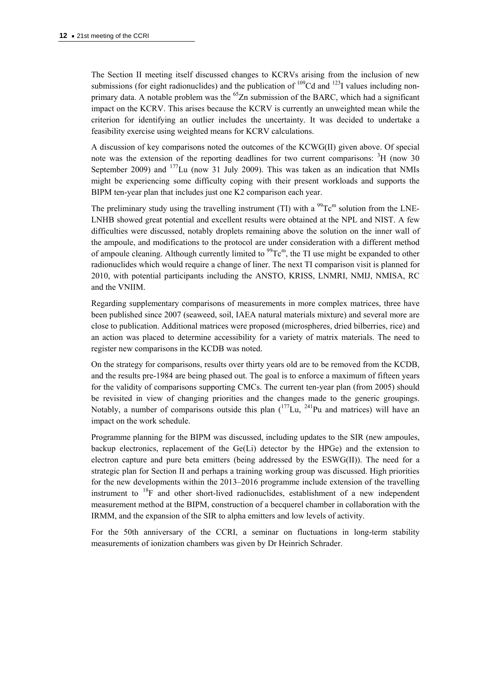The Section II meeting itself discussed changes to KCRVs arising from the inclusion of new submissions (for eight radionuclides) and the publication of  $^{109}$ Cd and  $^{123}$ I values including nonprimary data. A notable problem was the  ${}^{65}Zn$  submission of the BARC, which had a significant impact on the KCRV. This arises because the KCRV is currently an unweighted mean while the criterion for identifying an outlier includes the uncertainty. It was decided to undertake a feasibility exercise using weighted means for KCRV calculations.

A discussion of key comparisons noted the outcomes of the KCWG(II) given above. Of special note was the extension of the reporting deadlines for two current comparisons:  ${}^{3}H$  (now 30) September 2009) and  $177$ Lu (now 31 July 2009). This was taken as an indication that NMIs might be experiencing some difficulty coping with their present workloads and supports the BIPM ten-year plan that includes just one K2 comparison each year.

The preliminary study using the travelling instrument (TI) with a  $^{99}Te^{m}$  solution from the LNE-LNHB showed great potential and excellent results were obtained at the NPL and NIST. A few difficulties were discussed, notably droplets remaining above the solution on the inner wall of the ampoule, and modifications to the protocol are under consideration with a different method of ampoule cleaning. Although currently limited to  $^{99}Te^{m}$ , the TI use might be expanded to other radionuclides which would require a change of liner. The next TI comparison visit is planned for 2010, with potential participants including the ANSTO, KRISS, LNMRI, NMIJ, NMISA, RC and the VNIIM.

Regarding supplementary comparisons of measurements in more complex matrices, three have been published since 2007 (seaweed, soil, IAEA natural materials mixture) and several more are close to publication. Additional matrices were proposed (microspheres, dried bilberries, rice) and an action was placed to determine accessibility for a variety of matrix materials. The need to register new comparisons in the KCDB was noted.

On the strategy for comparisons, results over thirty years old are to be removed from the KCDB, and the results pre-1984 are being phased out. The goal is to enforce a maximum of fifteen years for the validity of comparisons supporting CMCs. The current ten-year plan (from 2005) should be revisited in view of changing priorities and the changes made to the generic groupings. Notably, a number of comparisons outside this plan  $(^{177}$ Lu,  $^{241}$ Pu and matrices) will have an impact on the work schedule.

Programme planning for the BIPM was discussed, including updates to the SIR (new ampoules, backup electronics, replacement of the Ge(Li) detector by the HPGe) and the extension to electron capture and pure beta emitters (being addressed by the ESWG(II)). The need for a strategic plan for Section II and perhaps a training working group was discussed. High priorities for the new developments within the 2013–2016 programme include extension of the travelling instrument to <sup>18</sup>F and other short-lived radionuclides, establishment of a new independent measurement method at the BIPM, construction of a becquerel chamber in collaboration with the IRMM, and the expansion of the SIR to alpha emitters and low levels of activity.

For the 50th anniversary of the CCRI, a seminar on fluctuations in long-term stability measurements of ionization chambers was given by Dr Heinrich Schrader.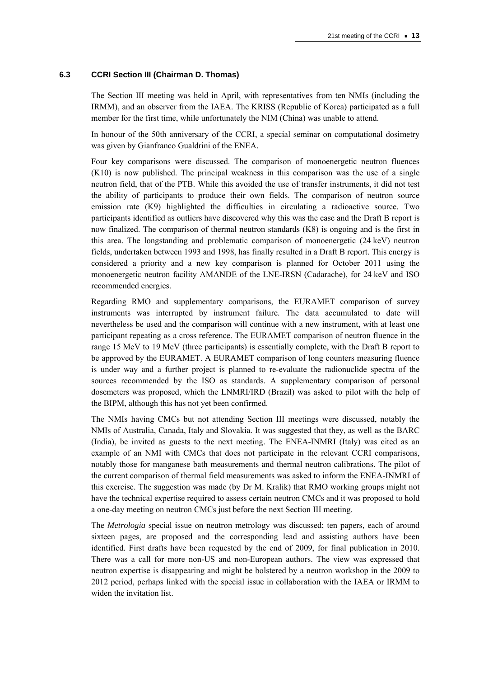### **6.3 CCRI Section III (Chairman D. Thomas)**

The Section III meeting was held in April, with representatives from ten NMIs (including the IRMM), and an observer from the IAEA. The KRISS (Republic of Korea) participated as a full member for the first time, while unfortunately the NIM (China) was unable to attend.

In honour of the 50th anniversary of the CCRI, a special seminar on computational dosimetry was given by Gianfranco Gualdrini of the ENEA.

Four key comparisons were discussed. The comparison of monoenergetic neutron fluences (K10) is now published. The principal weakness in this comparison was the use of a single neutron field, that of the PTB. While this avoided the use of transfer instruments, it did not test the ability of participants to produce their own fields. The comparison of neutron source emission rate (K9) highlighted the difficulties in circulating a radioactive source. Two participants identified as outliers have discovered why this was the case and the Draft B report is now finalized. The comparison of thermal neutron standards (K8) is ongoing and is the first in this area. The longstanding and problematic comparison of monoenergetic (24 keV) neutron fields, undertaken between 1993 and 1998, has finally resulted in a Draft B report. This energy is considered a priority and a new key comparison is planned for October 2011 using the monoenergetic neutron facility AMANDE of the LNE-IRSN (Cadarache), for 24 keV and ISO recommended energies.

Regarding RMO and supplementary comparisons, the EURAMET comparison of survey instruments was interrupted by instrument failure. The data accumulated to date will nevertheless be used and the comparison will continue with a new instrument, with at least one participant repeating as a cross reference. The EURAMET comparison of neutron fluence in the range 15 MeV to 19 MeV (three participants) is essentially complete, with the Draft B report to be approved by the EURAMET. A EURAMET comparison of long counters measuring fluence is under way and a further project is planned to re-evaluate the radionuclide spectra of the sources recommended by the ISO as standards. A supplementary comparison of personal dosemeters was proposed, which the LNMRI/IRD (Brazil) was asked to pilot with the help of the BIPM, although this has not yet been confirmed.

The NMIs having CMCs but not attending Section III meetings were discussed, notably the NMIs of Australia, Canada, Italy and Slovakia. It was suggested that they, as well as the BARC (India), be invited as guests to the next meeting. The ENEA-INMRI (Italy) was cited as an example of an NMI with CMCs that does not participate in the relevant CCRI comparisons, notably those for manganese bath measurements and thermal neutron calibrations. The pilot of the current comparison of thermal field measurements was asked to inform the ENEA-INMRI of this exercise. The suggestion was made (by Dr M. Kralik) that RMO working groups might not have the technical expertise required to assess certain neutron CMCs and it was proposed to hold a one-day meeting on neutron CMCs just before the next Section III meeting.

The *Metrologia* special issue on neutron metrology was discussed; ten papers, each of around sixteen pages, are proposed and the corresponding lead and assisting authors have been identified. First drafts have been requested by the end of 2009, for final publication in 2010. There was a call for more non-US and non-European authors. The view was expressed that neutron expertise is disappearing and might be bolstered by a neutron workshop in the 2009 to 2012 period, perhaps linked with the special issue in collaboration with the IAEA or IRMM to widen the invitation list.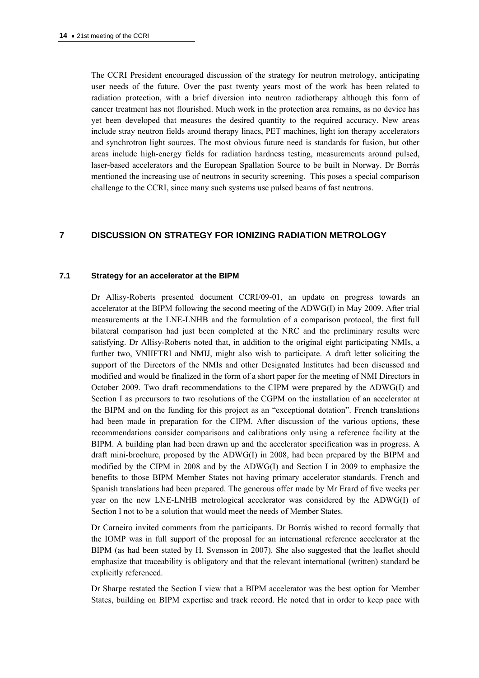The CCRI President encouraged discussion of the strategy for neutron metrology, anticipating user needs of the future. Over the past twenty years most of the work has been related to radiation protection, with a brief diversion into neutron radiotherapy although this form of cancer treatment has not flourished. Much work in the protection area remains, as no device has yet been developed that measures the desired quantity to the required accuracy. New areas include stray neutron fields around therapy linacs, PET machines, light ion therapy accelerators and synchrotron light sources. The most obvious future need is standards for fusion, but other areas include high-energy fields for radiation hardness testing, measurements around pulsed, laser-based accelerators and the European Spallation Source to be built in Norway. Dr Borrás mentioned the increasing use of neutrons in security screening. This poses a special comparison challenge to the CCRI, since many such systems use pulsed beams of fast neutrons.

# **7 DISCUSSION ON STRATEGY FOR IONIZING RADIATION METROLOGY**

#### **7.1 Strategy for an accelerator at the BIPM**

Dr Allisy-Roberts presented document CCRI/09-01, an update on progress towards an accelerator at the BIPM following the second meeting of the ADWG(I) in May 2009. After trial measurements at the LNE-LNHB and the formulation of a comparison protocol, the first full bilateral comparison had just been completed at the NRC and the preliminary results were satisfying. Dr Allisy-Roberts noted that, in addition to the original eight participating NMIs, a further two, VNIIFTRI and NMIJ, might also wish to participate. A draft letter soliciting the support of the Directors of the NMIs and other Designated Institutes had been discussed and modified and would be finalized in the form of a short paper for the meeting of NMI Directors in October 2009. Two draft recommendations to the CIPM were prepared by the ADWG(I) and Section I as precursors to two resolutions of the CGPM on the installation of an accelerator at the BIPM and on the funding for this project as an "exceptional dotation". French translations had been made in preparation for the CIPM. After discussion of the various options, these recommendations consider comparisons and calibrations only using a reference facility at the BIPM. A building plan had been drawn up and the accelerator specification was in progress. A draft mini-brochure, proposed by the ADWG(I) in 2008, had been prepared by the BIPM and modified by the CIPM in 2008 and by the ADWG(I) and Section I in 2009 to emphasize the benefits to those BIPM Member States not having primary accelerator standards. French and Spanish translations had been prepared. The generous offer made by Mr Erard of five weeks per year on the new LNE-LNHB metrological accelerator was considered by the ADWG(I) of Section I not to be a solution that would meet the needs of Member States.

Dr Carneiro invited comments from the participants. Dr Borrás wished to record formally that the IOMP was in full support of the proposal for an international reference accelerator at the BIPM (as had been stated by H. Svensson in 2007). She also suggested that the leaflet should emphasize that traceability is obligatory and that the relevant international (written) standard be explicitly referenced.

Dr Sharpe restated the Section I view that a BIPM accelerator was the best option for Member States, building on BIPM expertise and track record. He noted that in order to keep pace with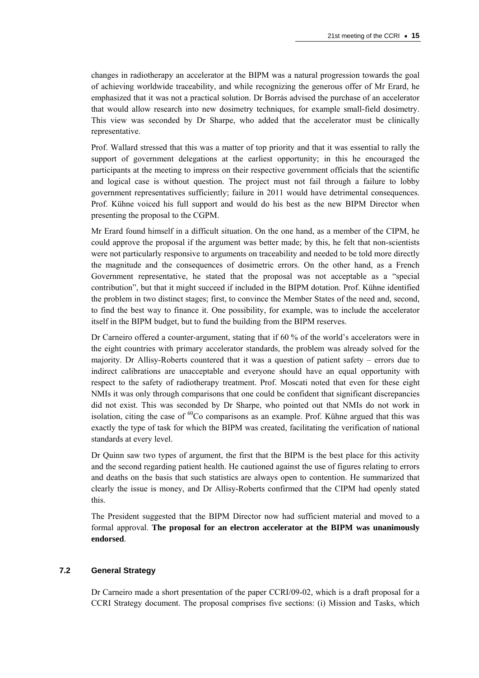changes in radiotherapy an accelerator at the BIPM was a natural progression towards the goal of achieving worldwide traceability, and while recognizing the generous offer of Mr Erard, he emphasized that it was not a practical solution. Dr Borrás advised the purchase of an accelerator that would allow research into new dosimetry techniques, for example small-field dosimetry. This view was seconded by Dr Sharpe, who added that the accelerator must be clinically representative.

Prof. Wallard stressed that this was a matter of top priority and that it was essential to rally the support of government delegations at the earliest opportunity; in this he encouraged the participants at the meeting to impress on their respective government officials that the scientific and logical case is without question. The project must not fail through a failure to lobby government representatives sufficiently; failure in 2011 would have detrimental consequences. Prof. Kühne voiced his full support and would do his best as the new BIPM Director when presenting the proposal to the CGPM.

Mr Erard found himself in a difficult situation. On the one hand, as a member of the CIPM, he could approve the proposal if the argument was better made; by this, he felt that non-scientists were not particularly responsive to arguments on traceability and needed to be told more directly the magnitude and the consequences of dosimetric errors. On the other hand, as a French Government representative, he stated that the proposal was not acceptable as a "special contribution", but that it might succeed if included in the BIPM dotation. Prof. Kühne identified the problem in two distinct stages; first, to convince the Member States of the need and, second, to find the best way to finance it. One possibility, for example, was to include the accelerator itself in the BIPM budget, but to fund the building from the BIPM reserves.

Dr Carneiro offered a counter-argument, stating that if 60 % of the world's accelerators were in the eight countries with primary accelerator standards, the problem was already solved for the majority. Dr Allisy-Roberts countered that it was a question of patient safety – errors due to indirect calibrations are unacceptable and everyone should have an equal opportunity with respect to the safety of radiotherapy treatment. Prof. Moscati noted that even for these eight NMIs it was only through comparisons that one could be confident that significant discrepancies did not exist. This was seconded by Dr Sharpe, who pointed out that NMIs do not work in isolation, citing the case of  ${}^{60}$ Co comparisons as an example. Prof. Kühne argued that this was exactly the type of task for which the BIPM was created, facilitating the verification of national standards at every level.

Dr Quinn saw two types of argument, the first that the BIPM is the best place for this activity and the second regarding patient health. He cautioned against the use of figures relating to errors and deaths on the basis that such statistics are always open to contention. He summarized that clearly the issue is money, and Dr Allisy-Roberts confirmed that the CIPM had openly stated this.

The President suggested that the BIPM Director now had sufficient material and moved to a formal approval. **The proposal for an electron accelerator at the BIPM was unanimously endorsed**.

### **7.2 General Strategy**

Dr Carneiro made a short presentation of the paper CCRI/09-02, which is a draft proposal for a CCRI Strategy document. The proposal comprises five sections: (i) Mission and Tasks, which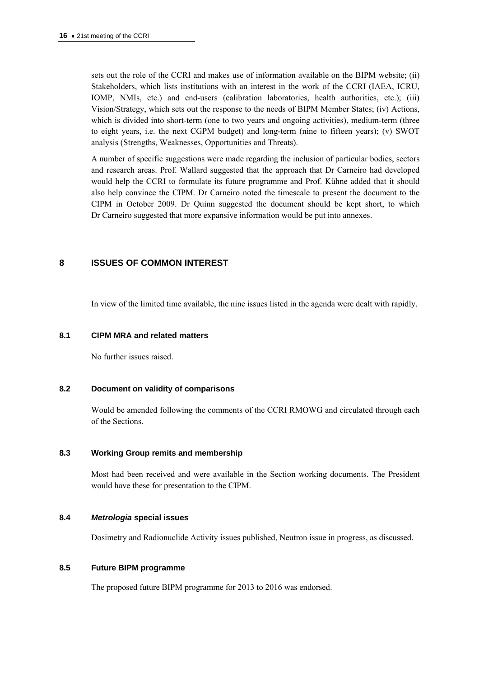sets out the role of the CCRI and makes use of information available on the BIPM website; (ii) Stakeholders, which lists institutions with an interest in the work of the CCRI (IAEA, ICRU, IOMP, NMIs, etc.) and end-users (calibration laboratories, health authorities, etc.); (iii) Vision/Strategy, which sets out the response to the needs of BIPM Member States; (iv) Actions, which is divided into short-term (one to two years and ongoing activities), medium-term (three to eight years, i.e. the next CGPM budget) and long-term (nine to fifteen years); (v) SWOT analysis (Strengths, Weaknesses, Opportunities and Threats).

A number of specific suggestions were made regarding the inclusion of particular bodies, sectors and research areas. Prof. Wallard suggested that the approach that Dr Carneiro had developed would help the CCRI to formulate its future programme and Prof. Kühne added that it should also help convince the CIPM. Dr Carneiro noted the timescale to present the document to the CIPM in October 2009. Dr Quinn suggested the document should be kept short, to which Dr Carneiro suggested that more expansive information would be put into annexes.

# **8 ISSUES OF COMMON INTEREST**

In view of the limited time available, the nine issues listed in the agenda were dealt with rapidly.

#### **8.1 CIPM MRA and related matters**

No further issues raised.

### **8.2 Document on validity of comparisons**

Would be amended following the comments of the CCRI RMOWG and circulated through each of the Sections.

### **8.3 Working Group remits and membership**

Most had been received and were available in the Section working documents. The President would have these for presentation to the CIPM.

### **8.4** *Metrologia* **special issues**

Dosimetry and Radionuclide Activity issues published, Neutron issue in progress, as discussed.

### **8.5 Future BIPM programme**

The proposed future BIPM programme for 2013 to 2016 was endorsed.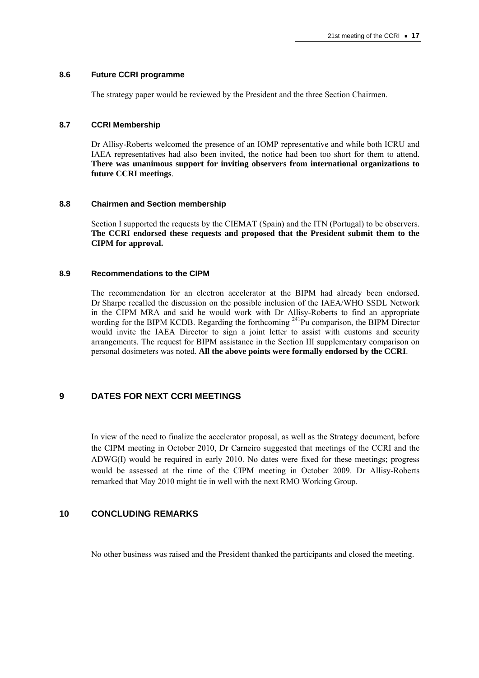#### **8.6 Future CCRI programme**

The strategy paper would be reviewed by the President and the three Section Chairmen.

#### **8.7 CCRI Membership**

Dr Allisy-Roberts welcomed the presence of an IOMP representative and while both ICRU and IAEA representatives had also been invited, the notice had been too short for them to attend. **There was unanimous support for inviting observers from international organizations to future CCRI meetings**.

#### **8.8 Chairmen and Section membership**

Section I supported the requests by the CIEMAT (Spain) and the ITN (Portugal) to be observers. **The CCRI endorsed these requests and proposed that the President submit them to the CIPM for approval.** 

#### **8.9 Recommendations to the CIPM**

The recommendation for an electron accelerator at the BIPM had already been endorsed. Dr Sharpe recalled the discussion on the possible inclusion of the IAEA/WHO SSDL Network in the CIPM MRA and said he would work with Dr Allisy-Roberts to find an appropriate wording for the BIPM KCDB. Regarding the forthcoming <sup>241</sup>Pu comparison, the BIPM Director would invite the IAEA Director to sign a joint letter to assist with customs and security arrangements. The request for BIPM assistance in the Section III supplementary comparison on personal dosimeters was noted. **All the above points were formally endorsed by the CCRI**.

# **9 DATES FOR NEXT CCRI MEETINGS**

In view of the need to finalize the accelerator proposal, as well as the Strategy document, before the CIPM meeting in October 2010, Dr Carneiro suggested that meetings of the CCRI and the ADWG(I) would be required in early 2010. No dates were fixed for these meetings; progress would be assessed at the time of the CIPM meeting in October 2009. Dr Allisy-Roberts remarked that May 2010 might tie in well with the next RMO Working Group.

# **10 CONCLUDING REMARKS**

No other business was raised and the President thanked the participants and closed the meeting.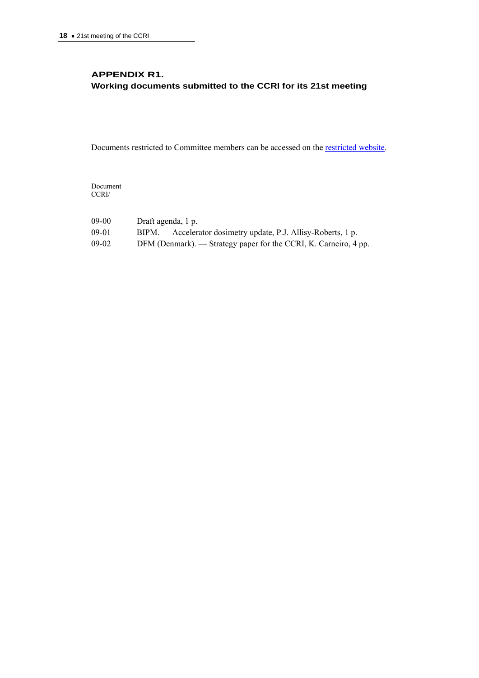# **APPENDIX R1. Working documents submitted to the CCRI for its 21st meeting**

Documents restricted to Committee members can be accessed on the [restricted website](http://www.bipm.org/cc/CCRI/Restricted/WorkingDocuments.jsp).

Document CCRI/

| $09-00$ | Draft agenda, 1 p.                                               |
|---------|------------------------------------------------------------------|
| $09-01$ | BIPM. — Accelerator dosimetry update, P.J. Allisy-Roberts, 1 p.  |
| $09-02$ | DFM (Denmark). — Strategy paper for the CCRI, K. Carneiro, 4 pp. |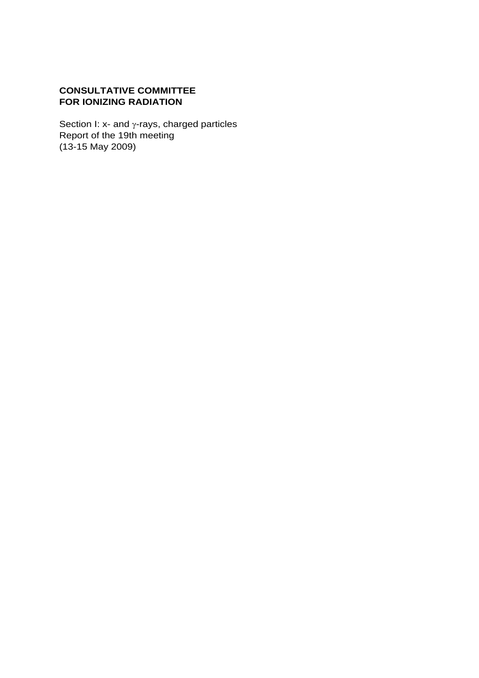# **CONSULTATIVE COMMITTEE FOR IONIZING RADIATION**

Section I: x- and  $\gamma$ -rays, charged particles Report of the 19th meeting (13-15 May 2009)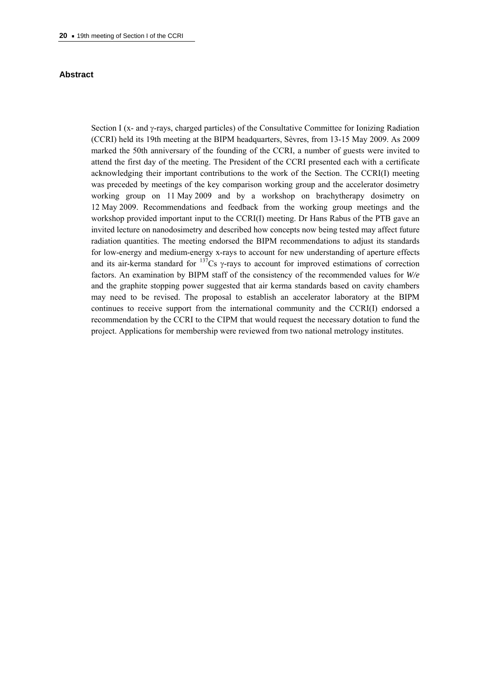### **Abstract**

Section I (x- and  $\gamma$ -rays, charged particles) of the Consultative Committee for Ionizing Radiation (CCRI) held its 19th meeting at the BIPM headquarters, Sèvres, from 13-15 May 2009. As 2009 marked the 50th anniversary of the founding of the CCRI, a number of guests were invited to attend the first day of the meeting. The President of the CCRI presented each with a certificate acknowledging their important contributions to the work of the Section. The CCRI(I) meeting was preceded by meetings of the key comparison working group and the accelerator dosimetry working group on 11 May 2009 and by a workshop on brachytherapy dosimetry on 12 May 2009. Recommendations and feedback from the working group meetings and the workshop provided important input to the CCRI(I) meeting. Dr Hans Rabus of the PTB gave an invited lecture on nanodosimetry and described how concepts now being tested may affect future radiation quantities. The meeting endorsed the BIPM recommendations to adjust its standards for low-energy and medium-energy x-rays to account for new understanding of aperture effects and its air-kerma standard for  $137Cs$   $\gamma$ -rays to account for improved estimations of correction factors. An examination by BIPM staff of the consistency of the recommended values for *W/e* and the graphite stopping power suggested that air kerma standards based on cavity chambers may need to be revised. The proposal to establish an accelerator laboratory at the BIPM continues to receive support from the international community and the CCRI(I) endorsed a recommendation by the CCRI to the CIPM that would request the necessary dotation to fund the project. Applications for membership were reviewed from two national metrology institutes.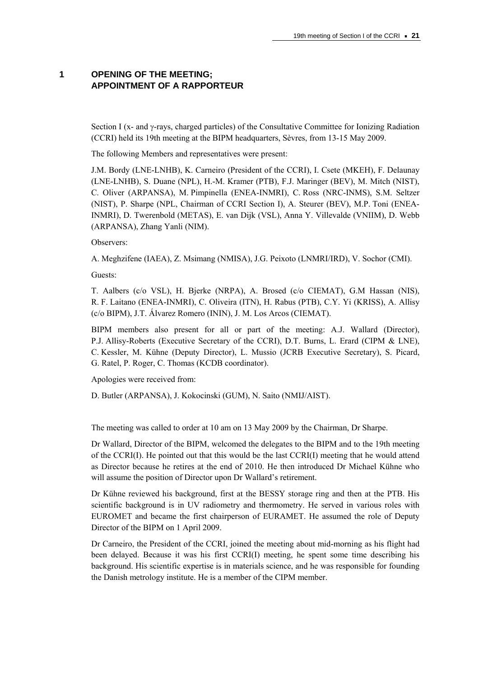# **1 OPENING OF THE MEETING; APPOINTMENT OF A RAPPORTEUR**

Section I (x- and  $\gamma$ -rays, charged particles) of the Consultative Committee for Ionizing Radiation (CCRI) held its 19th meeting at the BIPM headquarters, Sèvres, from 13-15 May 2009.

The following Members and representatives were present:

J.M. Bordy (LNE-LNHB), K. Carneiro (President of the CCRI), I. Csete (MKEH), F. Delaunay (LNE-LNHB), S. Duane (NPL), H.-M. Kramer (PTB), F.J. Maringer (BEV), M. Mitch (NIST), C. Oliver (ARPANSA), M. Pimpinella (ENEA-INMRI), C. Ross (NRC-INMS), S.M. Seltzer (NIST), P. Sharpe (NPL, Chairman of CCRI Section I), A. Steurer (BEV), M.P. Toni (ENEA-INMRI), D. Twerenbold (METAS), E. van Dijk (VSL), Anna Y. Villevalde (VNIIM), D. Webb (ARPANSA), Zhang Yanli (NIM).

Observers:

A. Meghzifene (IAEA), Z. Msimang (NMISA), J.G. Peixoto (LNMRI/IRD), V. Sochor (CMI).

Guests:

T. Aalbers (c/o VSL), H. Bjerke (NRPA), A. Brosed (c/o CIEMAT), G.M Hassan (NIS), R. F. Laitano (ENEA-INMRI), C. Oliveira (ITN), H. Rabus (PTB), C.Y. Yi (KRISS), A. Allisy (c/o BIPM), J.T. Álvarez Romero (ININ), J. M. Los Arcos (CIEMAT).

BIPM members also present for all or part of the meeting: A.J. Wallard (Director), P.J. Allisy-Roberts (Executive Secretary of the CCRI), D.T. Burns, L. Erard (CIPM & LNE), C. Kessler, M. Kühne (Deputy Director), L. Mussio (JCRB Executive Secretary), S. Picard, G. Ratel, P. Roger, C. Thomas (KCDB coordinator).

Apologies were received from:

D. Butler (ARPANSA), J. Kokocinski (GUM), N. Saito (NMIJ/AIST).

The meeting was called to order at 10 am on 13 May 2009 by the Chairman, Dr Sharpe.

Dr Wallard, Director of the BIPM, welcomed the delegates to the BIPM and to the 19th meeting of the CCRI(I). He pointed out that this would be the last CCRI(I) meeting that he would attend as Director because he retires at the end of 2010. He then introduced Dr Michael Kühne who will assume the position of Director upon Dr Wallard's retirement.

Dr Kühne reviewed his background, first at the BESSY storage ring and then at the PTB. His scientific background is in UV radiometry and thermometry. He served in various roles with EUROMET and became the first chairperson of EURAMET. He assumed the role of Deputy Director of the BIPM on 1 April 2009.

Dr Carneiro, the President of the CCRI, joined the meeting about mid-morning as his flight had been delayed. Because it was his first CCRI(I) meeting, he spent some time describing his background. His scientific expertise is in materials science, and he was responsible for founding the Danish metrology institute. He is a member of the CIPM member.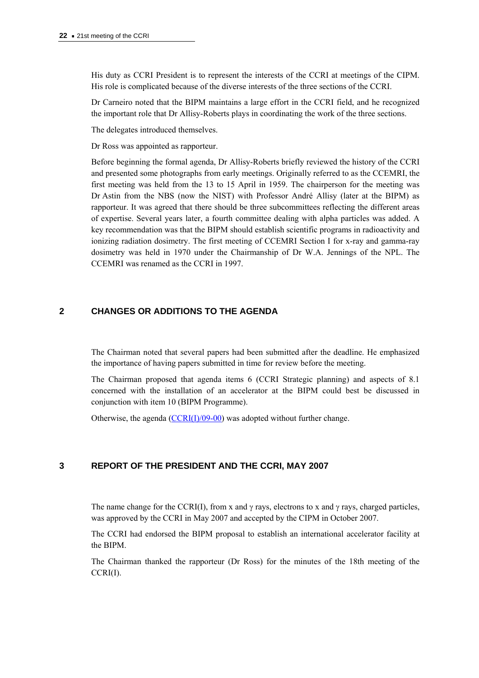His duty as CCRI President is to represent the interests of the CCRI at meetings of the CIPM. His role is complicated because of the diverse interests of the three sections of the CCRI.

Dr Carneiro noted that the BIPM maintains a large effort in the CCRI field, and he recognized the important role that Dr Allisy-Roberts plays in coordinating the work of the three sections.

The delegates introduced themselves.

Dr Ross was appointed as rapporteur.

Before beginning the formal agenda, Dr Allisy-Roberts briefly reviewed the history of the CCRI and presented some photographs from early meetings. Originally referred to as the CCEMRI, the first meeting was held from the 13 to 15 April in 1959. The chairperson for the meeting was Dr Astin from the NBS (now the NIST) with Professor André Allisy (later at the BIPM) as rapporteur. It was agreed that there should be three subcommittees reflecting the different areas of expertise. Several years later, a fourth committee dealing with alpha particles was added. A key recommendation was that the BIPM should establish scientific programs in radioactivity and ionizing radiation dosimetry. The first meeting of CCEMRI Section I for x-ray and gamma-ray dosimetry was held in 1970 under the Chairmanship of Dr W.A. Jennings of the NPL. The CCEMRI was renamed as the CCRI in 1997.

# **2 CHANGES OR ADDITIONS TO THE AGENDA**

The Chairman noted that several papers had been submitted after the deadline. He emphasized the importance of having papers submitted in time for review before the meeting.

The Chairman proposed that agenda items 6 (CCRI Strategic planning) and aspects of 8.1 concerned with the installation of an accelerator at the BIPM could best be discussed in conjunction with item 10 (BIPM Programme).

Otherwise, the agenda [\(CCRI\(I\)/09-00\)](http://www.bipm.org/cc/CCRI(I)/Allowed/19/CCRI(I)09-00.pdf) was adopted without further change.

# **3 REPORT OF THE PRESIDENT AND THE CCRI, MAY 2007**

The name change for the CCRI(I), from x and  $\gamma$  rays, electrons to x and  $\gamma$  rays, charged particles, was approved by the CCRI in May 2007 and accepted by the CIPM in October 2007.

The CCRI had endorsed the BIPM proposal to establish an international accelerator facility at the BIPM.

The Chairman thanked the rapporteur (Dr Ross) for the minutes of the 18th meeting of the CCRI(I).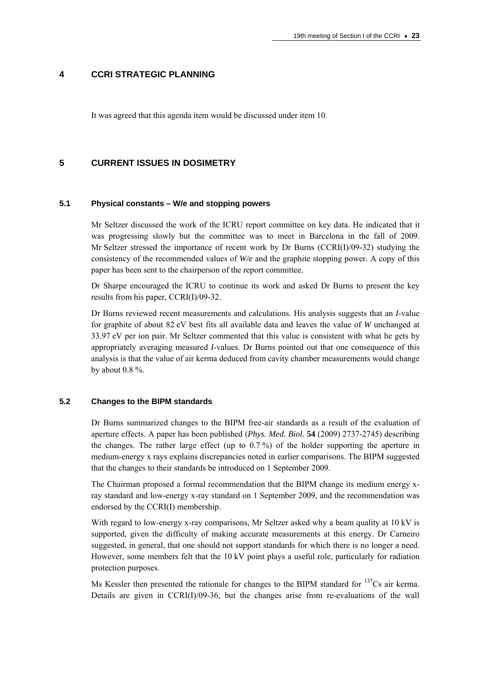# **4 CCRI STRATEGIC PLANNING**

It was agreed that this agenda item would be discussed under item 10.

# **5 CURRENT ISSUES IN DOSIMETRY**

#### **5.1 Physical constants – W/e and stopping powers**

Mr Seltzer discussed the work of the ICRU report committee on key data. He indicated that it was progressing slowly but the committee was to meet in Barcelona in the fall of 2009. Mr Seltzer stressed the importance of recent work by Dr Burns (CCRI(I)/09-32) studying the consistency of the recommended values of *W/e* and the graphite stopping power. A copy of this paper has been sent to the chairperson of the report committee.

Dr Sharpe encouraged the ICRU to continue its work and asked Dr Burns to present the key results from his paper, CCRI(I)/09-32.

Dr Burns reviewed recent measurements and calculations. His analysis suggests that an *I*-value for graphite of about 82 eV best fits all available data and leaves the value of *W* unchanged at 33.97 eV per ion pair. Mr Seltzer commented that this value is consistent with what he gets by appropriately averaging measured *I*-values. Dr Burns pointed out that one consequence of this analysis is that the value of air kerma deduced from cavity chamber measurements would change by about 0.8 %.

# **5.2 Changes to the BIPM standards**

Dr Burns summarized changes to the BIPM free-air standards as a result of the evaluation of aperture effects. A paper has been published (*Phys. Med. Biol.* **54** (2009) 2737-2745) describing the changes. The rather large effect (up to  $0.7\%$ ) of the holder supporting the aperture in medium-energy x rays explains discrepancies noted in earlier comparisons. The BIPM suggested that the changes to their standards be introduced on 1 September 2009.

The Chairman proposed a formal recommendation that the BIPM change its medium energy xray standard and low-energy x-ray standard on 1 September 2009, and the recommendation was endorsed by the CCRI(I) membership.

With regard to low-energy x-ray comparisons, Mr Seltzer asked why a beam quality at 10 kV is supported, given the difficulty of making accurate measurements at this energy. Dr Carneiro suggested, in general, that one should not support standards for which there is no longer a need. However, some members felt that the 10 kV point plays a useful role, particularly for radiation protection purposes.

Ms Kessler then presented the rationale for changes to the BIPM standard for <sup>137</sup>Cs air kerma. Details are given in  $CCRI(I)/09-36$ , but the changes arise from re-evaluations of the wall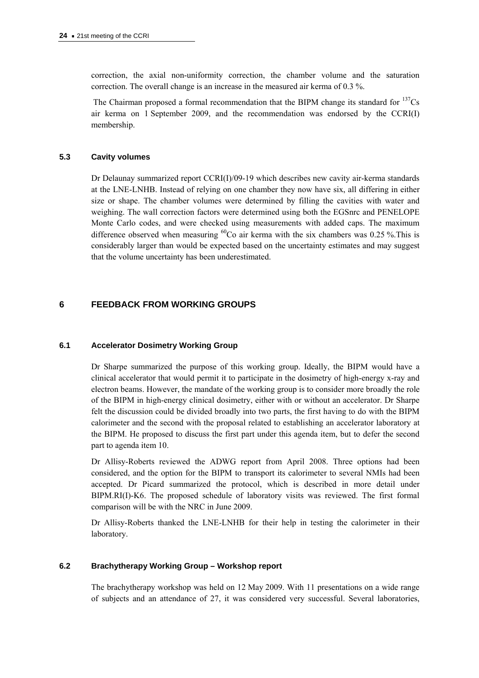correction, the axial non-uniformity correction, the chamber volume and the saturation correction. The overall change is an increase in the measured air kerma of 0.3 %.

The Chairman proposed a formal recommendation that the BIPM change its standard for  $137\text{Cs}$ air kerma on 1 September 2009, and the recommendation was endorsed by the CCRI(I) membership.

# **5.3 Cavity volumes**

Dr Delaunay summarized report CCRI(I)/09-19 which describes new cavity air-kerma standards at the LNE-LNHB. Instead of relying on one chamber they now have six, all differing in either size or shape. The chamber volumes were determined by filling the cavities with water and weighing. The wall correction factors were determined using both the EGSnrc and PENELOPE Monte Carlo codes, and were checked using measurements with added caps. The maximum difference observed when measuring  ${}^{60}$ Co air kerma with the six chambers was 0.25 %. This is considerably larger than would be expected based on the uncertainty estimates and may suggest that the volume uncertainty has been underestimated.

# **6 FEEDBACK FROM WORKING GROUPS**

# **6.1 Accelerator Dosimetry Working Group**

Dr Sharpe summarized the purpose of this working group. Ideally, the BIPM would have a clinical accelerator that would permit it to participate in the dosimetry of high-energy x-ray and electron beams. However, the mandate of the working group is to consider more broadly the role of the BIPM in high-energy clinical dosimetry, either with or without an accelerator. Dr Sharpe felt the discussion could be divided broadly into two parts, the first having to do with the BIPM calorimeter and the second with the proposal related to establishing an accelerator laboratory at the BIPM. He proposed to discuss the first part under this agenda item, but to defer the second part to agenda item 10.

Dr Allisy-Roberts reviewed the ADWG report from April 2008. Three options had been considered, and the option for the BIPM to transport its calorimeter to several NMIs had been accepted. Dr Picard summarized the protocol, which is described in more detail under BIPM.RI(I)-K6. The proposed schedule of laboratory visits was reviewed. The first formal comparison will be with the NRC in June 2009.

Dr Allisy-Roberts thanked the LNE-LNHB for their help in testing the calorimeter in their laboratory.

# **6.2 Brachytherapy Working Group – Workshop report**

The brachytherapy workshop was held on 12 May 2009. With 11 presentations on a wide range of subjects and an attendance of 27, it was considered very successful. Several laboratories,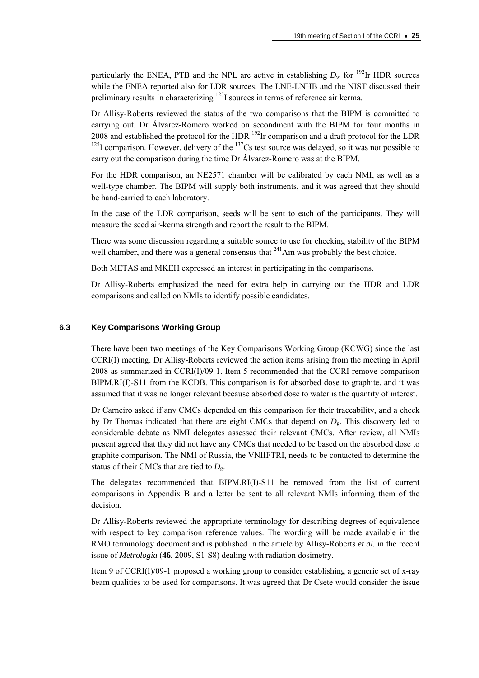particularly the ENEA, PTB and the NPL are active in establishing  $D_w$  for <sup>192</sup>Ir HDR sources while the ENEA reported also for LDR sources. The LNE-LNHB and the NIST discussed their preliminary results in characterizing  $^{125}$ I sources in terms of reference air kerma.

Dr Allisy-Roberts reviewed the status of the two comparisons that the BIPM is committed to carrying out. Dr Álvarez-Romero worked on secondment with the BIPM for four months in 2008 and established the protocol for the HDR  $^{192}$ Ir comparison and a draft protocol for the LDR  $125$ I comparison. However, delivery of the  $137$ Cs test source was delayed, so it was not possible to carry out the comparison during the time Dr Álvarez-Romero was at the BIPM.

For the HDR comparison, an NE2571 chamber will be calibrated by each NMI, as well as a well-type chamber. The BIPM will supply both instruments, and it was agreed that they should be hand-carried to each laboratory.

In the case of the LDR comparison, seeds will be sent to each of the participants. They will measure the seed air-kerma strength and report the result to the BIPM.

There was some discussion regarding a suitable source to use for checking stability of the BIPM well chamber, and there was a general consensus that  $^{241}$ Am was probably the best choice.

Both METAS and MKEH expressed an interest in participating in the comparisons.

Dr Allisy-Roberts emphasized the need for extra help in carrying out the HDR and LDR comparisons and called on NMIs to identify possible candidates.

#### **6.3 Key Comparisons Working Group**

There have been two meetings of the Key Comparisons Working Group (KCWG) since the last CCRI(I) meeting. Dr Allisy-Roberts reviewed the action items arising from the meeting in April 2008 as summarized in CCRI(I)/09-1. Item 5 recommended that the CCRI remove comparison BIPM.RI(I)-S11 from the KCDB. This comparison is for absorbed dose to graphite, and it was assumed that it was no longer relevant because absorbed dose to water is the quantity of interest.

Dr Carneiro asked if any CMCs depended on this comparison for their traceability, and a check by Dr Thomas indicated that there are eight CMCs that depend on  $D_{\varphi}$ . This discovery led to considerable debate as NMI delegates assessed their relevant CMCs. After review, all NMIs present agreed that they did not have any CMCs that needed to be based on the absorbed dose to graphite comparison. The NMI of Russia, the VNIIFTRI, needs to be contacted to determine the status of their CMCs that are tied to *D*g.

The delegates recommended that BIPM.RI(I)-S11 be removed from the list of current comparisons in Appendix B and a letter be sent to all relevant NMIs informing them of the decision.

Dr Allisy-Roberts reviewed the appropriate terminology for describing degrees of equivalence with respect to key comparison reference values. The wording will be made available in the RMO terminology document and is published in the article by Allisy-Roberts *et al.* in the recent issue of *Metrologia* (**46**, 2009, S1-S8) dealing with radiation dosimetry.

Item 9 of CCRI(I)/09-1 proposed a working group to consider establishing a generic set of x-ray beam qualities to be used for comparisons. It was agreed that Dr Csete would consider the issue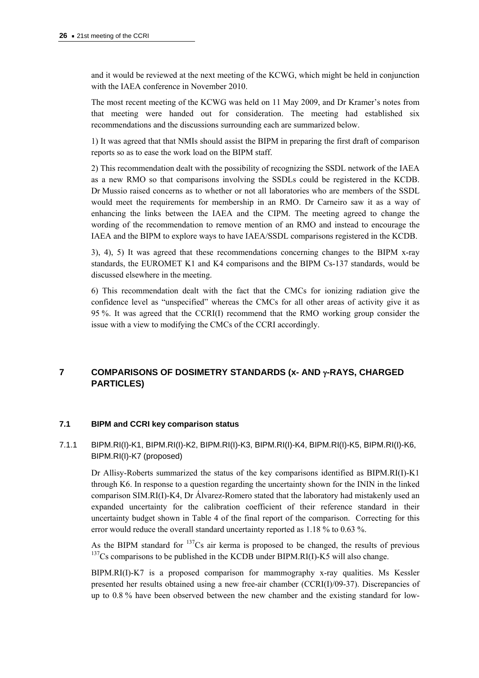and it would be reviewed at the next meeting of the KCWG, which might be held in conjunction with the IAEA conference in November 2010.

The most recent meeting of the KCWG was held on 11 May 2009, and Dr Kramer's notes from that meeting were handed out for consideration. The meeting had established six recommendations and the discussions surrounding each are summarized below.

1) It was agreed that that NMIs should assist the BIPM in preparing the first draft of comparison reports so as to ease the work load on the BIPM staff.

2) This recommendation dealt with the possibility of recognizing the SSDL network of the IAEA as a new RMO so that comparisons involving the SSDLs could be registered in the KCDB. Dr Mussio raised concerns as to whether or not all laboratories who are members of the SSDL would meet the requirements for membership in an RMO. Dr Carneiro saw it as a way of enhancing the links between the IAEA and the CIPM. The meeting agreed to change the wording of the recommendation to remove mention of an RMO and instead to encourage the IAEA and the BIPM to explore ways to have IAEA/SSDL comparisons registered in the KCDB.

3), 4), 5) It was agreed that these recommendations concerning changes to the BIPM x-ray standards, the EUROMET K1 and K4 comparisons and the BIPM Cs-137 standards, would be discussed elsewhere in the meeting.

6) This recommendation dealt with the fact that the CMCs for ionizing radiation give the confidence level as "unspecified" whereas the CMCs for all other areas of activity give it as 95 %. It was agreed that the CCRI(I) recommend that the RMO working group consider the issue with a view to modifying the CMCs of the CCRI accordingly.

# **7 COMPARISONS OF DOSIMETRY STANDARDS (x- AND**  $\gamma$ **-RAYS, CHARGED PARTICLES)**

# **7.1 BIPM and CCRI key comparison status**

# 7.1.1 BIPM.RI(I)-K1, BIPM.RI(I)-K2, BIPM.RI(I)-K3, BIPM.RI(I)-K4, BIPM.RI(I)-K5, BIPM.RI(I)-K6, BIPM.RI(I)-K7 (proposed)

Dr Allisy-Roberts summarized the status of the key comparisons identified as BIPM.RI(I)-K1 through K6. In response to a question regarding the uncertainty shown for the ININ in the linked comparison SIM.RI(I)-K4, Dr Álvarez-Romero stated that the laboratory had mistakenly used an expanded uncertainty for the calibration coefficient of their reference standard in their uncertainty budget shown in Table 4 of the final report of the comparison. Correcting for this error would reduce the overall standard uncertainty reported as 1.18 % to 0.63 %.

As the BIPM standard for  $^{137}Cs$  air kerma is proposed to be changed, the results of previous <sup>137</sup>Cs comparisons to be published in the KCDB under BIPM.RI(I)-K5 will also change.

BIPM.RI(I)-K7 is a proposed comparison for mammography x-ray qualities. Ms Kessler presented her results obtained using a new free-air chamber (CCRI(I)/09-37). Discrepancies of up to 0.8 % have been observed between the new chamber and the existing standard for low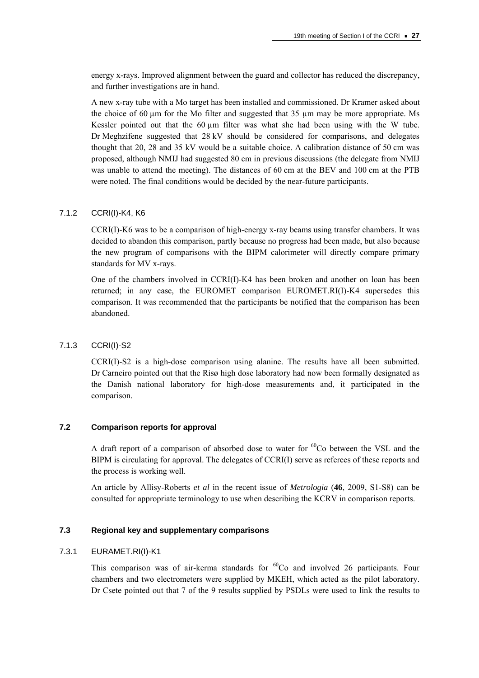energy x-rays. Improved alignment between the guard and collector has reduced the discrepancy, and further investigations are in hand.

A new x-ray tube with a Mo target has been installed and commissioned. Dr Kramer asked about the choice of 60 µm for the Mo filter and suggested that 35 µm may be more appropriate. Ms Kessler pointed out that the  $60 \mu m$  filter was what she had been using with the W tube. Dr Meghzifene suggested that 28 kV should be considered for comparisons, and delegates thought that 20, 28 and 35 kV would be a suitable choice. A calibration distance of 50 cm was proposed, although NMIJ had suggested 80 cm in previous discussions (the delegate from NMIJ was unable to attend the meeting). The distances of 60 cm at the BEV and 100 cm at the PTB were noted. The final conditions would be decided by the near-future participants.

# 7.1.2 CCRI(I)-K4, K6

CCRI(I)-K6 was to be a comparison of high-energy x-ray beams using transfer chambers. It was decided to abandon this comparison, partly because no progress had been made, but also because the new program of comparisons with the BIPM calorimeter will directly compare primary standards for MV x-rays.

One of the chambers involved in CCRI(I)-K4 has been broken and another on loan has been returned; in any case, the EUROMET comparison EUROMET.RI(I)-K4 supersedes this comparison. It was recommended that the participants be notified that the comparison has been abandoned.

# 7.1.3 CCRI(I)-S2

CCRI(I)-S2 is a high-dose comparison using alanine. The results have all been submitted. Dr Carneiro pointed out that the Risø high dose laboratory had now been formally designated as the Danish national laboratory for high-dose measurements and, it participated in the comparison.

# **7.2 Comparison reports for approval**

A draft report of a comparison of absorbed dose to water for  ${}^{60}Co$  between the VSL and the BIPM is circulating for approval. The delegates of CCRI(I) serve as referees of these reports and the process is working well.

An article by Allisy-Roberts *et al* in the recent issue of *Metrologia* (**46**, 2009, S1-S8) can be consulted for appropriate terminology to use when describing the KCRV in comparison reports.

# **7.3 Regional key and supplementary comparisons**

# 7.3.1 EURAMET.RI(I)-K1

This comparison was of air-kerma standards for  ${}^{60}Co$  and involved 26 participants. Four chambers and two electrometers were supplied by MKEH, which acted as the pilot laboratory. Dr Csete pointed out that 7 of the 9 results supplied by PSDLs were used to link the results to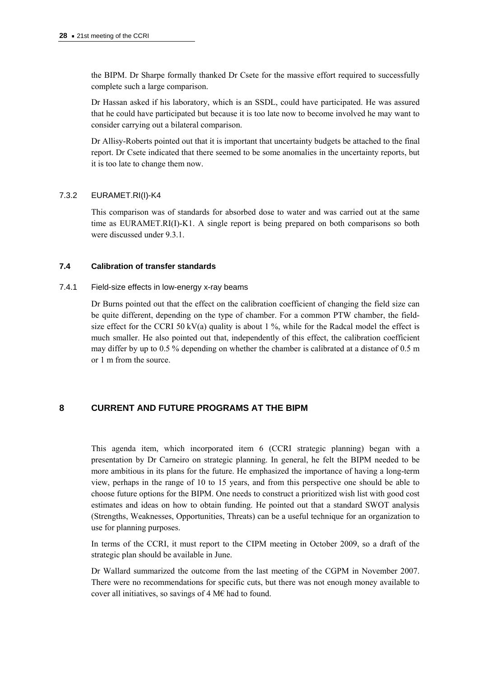the BIPM. Dr Sharpe formally thanked Dr Csete for the massive effort required to successfully complete such a large comparison.

Dr Hassan asked if his laboratory, which is an SSDL, could have participated. He was assured that he could have participated but because it is too late now to become involved he may want to consider carrying out a bilateral comparison.

Dr Allisy-Roberts pointed out that it is important that uncertainty budgets be attached to the final report. Dr Csete indicated that there seemed to be some anomalies in the uncertainty reports, but it is too late to change them now.

### 7.3.2 EURAMET.RI(I)-K4

This comparison was of standards for absorbed dose to water and was carried out at the same time as EURAMET.RI(I)-K1. A single report is being prepared on both comparisons so both were discussed under 9.3.1.

### **7.4 Calibration of transfer standards**

### 7.4.1 Field-size effects in low-energy x-ray beams

Dr Burns pointed out that the effect on the calibration coefficient of changing the field size can be quite different, depending on the type of chamber. For a common PTW chamber, the fieldsize effect for the CCRI 50 kV(a) quality is about 1 %, while for the Radcal model the effect is much smaller. He also pointed out that, independently of this effect, the calibration coefficient may differ by up to 0.5 % depending on whether the chamber is calibrated at a distance of 0.5 m or 1 m from the source.

# **8 CURRENT AND FUTURE PROGRAMS AT THE BIPM**

This agenda item, which incorporated item 6 (CCRI strategic planning) began with a presentation by Dr Carneiro on strategic planning. In general, he felt the BIPM needed to be more ambitious in its plans for the future. He emphasized the importance of having a long-term view, perhaps in the range of 10 to 15 years, and from this perspective one should be able to choose future options for the BIPM. One needs to construct a prioritized wish list with good cost estimates and ideas on how to obtain funding. He pointed out that a standard SWOT analysis (Strengths, Weaknesses, Opportunities, Threats) can be a useful technique for an organization to use for planning purposes.

In terms of the CCRI, it must report to the CIPM meeting in October 2009, so a draft of the strategic plan should be available in June.

Dr Wallard summarized the outcome from the last meeting of the CGPM in November 2007. There were no recommendations for specific cuts, but there was not enough money available to cover all initiatives, so savings of 4 M€ had to found.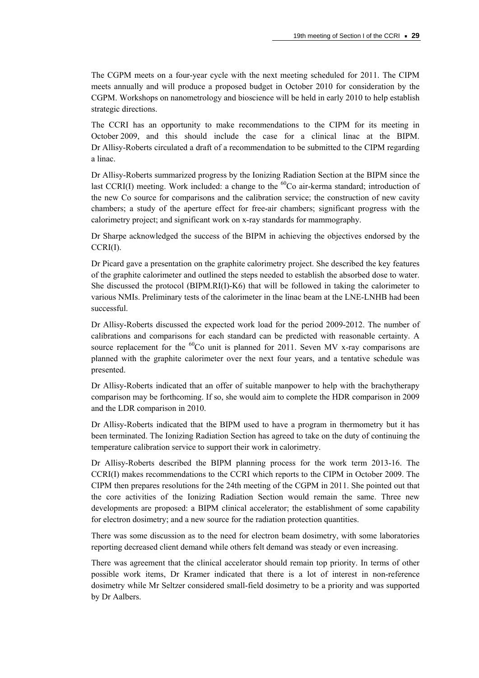The CGPM meets on a four-year cycle with the next meeting scheduled for 2011. The CIPM meets annually and will produce a proposed budget in October 2010 for consideration by the CGPM. Workshops on nanometrology and bioscience will be held in early 2010 to help establish strategic directions.

The CCRI has an opportunity to make recommendations to the CIPM for its meeting in October 2009, and this should include the case for a clinical linac at the BIPM. Dr Allisy-Roberts circulated a draft of a recommendation to be submitted to the CIPM regarding a linac.

Dr Allisy-Roberts summarized progress by the Ionizing Radiation Section at the BIPM since the last CCRI(I) meeting. Work included: a change to the  ${}^{60}Co$  air-kerma standard; introduction of the new Co source for comparisons and the calibration service; the construction of new cavity chambers; a study of the aperture effect for free-air chambers; significant progress with the calorimetry project; and significant work on x-ray standards for mammography.

Dr Sharpe acknowledged the success of the BIPM in achieving the objectives endorsed by the CCRI(I).

Dr Picard gave a presentation on the graphite calorimetry project. She described the key features of the graphite calorimeter and outlined the steps needed to establish the absorbed dose to water. She discussed the protocol (BIPM.RI(I)-K6) that will be followed in taking the calorimeter to various NMIs. Preliminary tests of the calorimeter in the linac beam at the LNE-LNHB had been successful.

Dr Allisy-Roberts discussed the expected work load for the period 2009-2012. The number of calibrations and comparisons for each standard can be predicted with reasonable certainty. A source replacement for the  ${}^{60}Co$  unit is planned for 2011. Seven MV x-ray comparisons are planned with the graphite calorimeter over the next four years, and a tentative schedule was presented.

Dr Allisy-Roberts indicated that an offer of suitable manpower to help with the brachytherapy comparison may be forthcoming. If so, she would aim to complete the HDR comparison in 2009 and the LDR comparison in 2010.

Dr Allisy-Roberts indicated that the BIPM used to have a program in thermometry but it has been terminated. The Ionizing Radiation Section has agreed to take on the duty of continuing the temperature calibration service to support their work in calorimetry.

Dr Allisy-Roberts described the BIPM planning process for the work term 2013-16. The CCRI(I) makes recommendations to the CCRI which reports to the CIPM in October 2009. The CIPM then prepares resolutions for the 24th meeting of the CGPM in 2011. She pointed out that the core activities of the Ionizing Radiation Section would remain the same. Three new developments are proposed: a BIPM clinical accelerator; the establishment of some capability for electron dosimetry; and a new source for the radiation protection quantities.

There was some discussion as to the need for electron beam dosimetry, with some laboratories reporting decreased client demand while others felt demand was steady or even increasing.

There was agreement that the clinical accelerator should remain top priority. In terms of other possible work items, Dr Kramer indicated that there is a lot of interest in non-reference dosimetry while Mr Seltzer considered small-field dosimetry to be a priority and was supported by Dr Aalbers.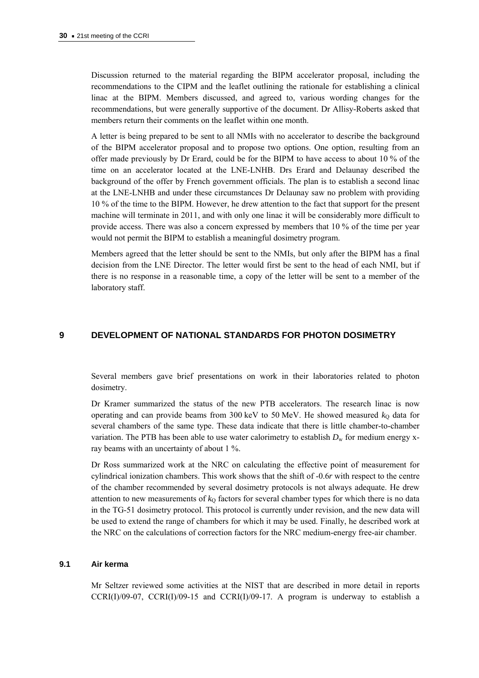Discussion returned to the material regarding the BIPM accelerator proposal, including the recommendations to the CIPM and the leaflet outlining the rationale for establishing a clinical linac at the BIPM. Members discussed, and agreed to, various wording changes for the recommendations, but were generally supportive of the document. Dr Allisy-Roberts asked that members return their comments on the leaflet within one month.

A letter is being prepared to be sent to all NMIs with no accelerator to describe the background of the BIPM accelerator proposal and to propose two options. One option, resulting from an offer made previously by Dr Erard, could be for the BIPM to have access to about 10 % of the time on an accelerator located at the LNE-LNHB. Drs Erard and Delaunay described the background of the offer by French government officials. The plan is to establish a second linac at the LNE-LNHB and under these circumstances Dr Delaunay saw no problem with providing 10 % of the time to the BIPM. However, he drew attention to the fact that support for the present machine will terminate in 2011, and with only one linac it will be considerably more difficult to provide access. There was also a concern expressed by members that 10 % of the time per year would not permit the BIPM to establish a meaningful dosimetry program.

Members agreed that the letter should be sent to the NMIs, but only after the BIPM has a final decision from the LNE Director. The letter would first be sent to the head of each NMI, but if there is no response in a reasonable time, a copy of the letter will be sent to a member of the laboratory staff.

# **9 DEVELOPMENT OF NATIONAL STANDARDS FOR PHOTON DOSIMETRY**

Several members gave brief presentations on work in their laboratories related to photon dosimetry.

Dr Kramer summarized the status of the new PTB accelerators. The research linac is now operating and can provide beams from 300 keV to 50 MeV. He showed measured  $k<sub>Q</sub>$  data for several chambers of the same type. These data indicate that there is little chamber-to-chamber variation. The PTB has been able to use water calorimetry to establish  $D_w$  for medium energy xray beams with an uncertainty of about 1 %.

Dr Ross summarized work at the NRC on calculating the effective point of measurement for cylindrical ionization chambers. This work shows that the shift of -0.6*r* with respect to the centre of the chamber recommended by several dosimetry protocols is not always adequate. He drew attention to new measurements of  $k<sub>Q</sub>$  factors for several chamber types for which there is no data in the TG-51 dosimetry protocol. This protocol is currently under revision, and the new data will be used to extend the range of chambers for which it may be used. Finally, he described work at the NRC on the calculations of correction factors for the NRC medium-energy free-air chamber.

### **9.1 Air kerma**

Mr Seltzer reviewed some activities at the NIST that are described in more detail in reports CCRI(I)/09-07, CCRI(I)/09-15 and CCRI(I)/09-17. A program is underway to establish a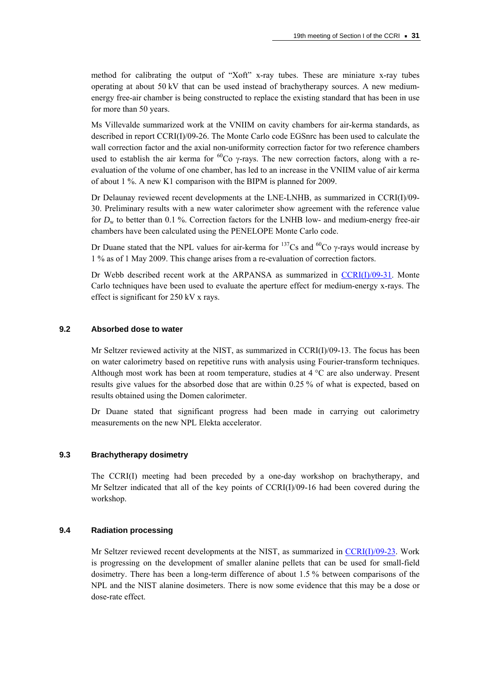method for calibrating the output of "Xoft" x-ray tubes. These are miniature x-ray tubes operating at about 50 kV that can be used instead of brachytherapy sources. A new mediumenergy free-air chamber is being constructed to replace the existing standard that has been in use for more than 50 years.

Ms Villevalde summarized work at the VNIIM on cavity chambers for air-kerma standards, as described in report CCRI(I)/09-26. The Monte Carlo code EGSnrc has been used to calculate the wall correction factor and the axial non-uniformity correction factor for two reference chambers used to establish the air kerma for  ${}^{60}Co$   $\gamma$ -rays. The new correction factors, along with a reevaluation of the volume of one chamber, has led to an increase in the VNIIM value of air kerma of about 1 %. A new K1 comparison with the BIPM is planned for 2009.

Dr Delaunay reviewed recent developments at the LNE-LNHB, as summarized in CCRI(I)/09- 30. Preliminary results with a new water calorimeter show agreement with the reference value for  $D_w$  to better than 0.1 %. Correction factors for the LNHB low- and medium-energy free-air chambers have been calculated using the PENELOPE Monte Carlo code.

Dr Duane stated that the NPL values for air-kerma for  $^{137}Cs$  and  $^{60}Co$  y-rays would increase by 1 % as of 1 May 2009. This change arises from a re-evaluation of correction factors.

Dr Webb described recent work at the ARPANSA as summarized in [CCRI\(I\)/09-31](http://www.bipm.org/cc/CCRI(I)/Allowed/19/CCRI(I)09-31.pdf). Monte Carlo techniques have been used to evaluate the aperture effect for medium-energy x-rays. The effect is significant for 250 kV x rays.

### **9.2 Absorbed dose to water**

Mr Seltzer reviewed activity at the NIST, as summarized in CCRI(I)/09-13. The focus has been on water calorimetry based on repetitive runs with analysis using Fourier-transform techniques. Although most work has been at room temperature, studies at 4 °C are also underway. Present results give values for the absorbed dose that are within 0.25 % of what is expected, based on results obtained using the Domen calorimeter.

Dr Duane stated that significant progress had been made in carrying out calorimetry measurements on the new NPL Elekta accelerator.

# **9.3 Brachytherapy dosimetry**

The CCRI(I) meeting had been preceded by a one-day workshop on brachytherapy, and Mr Seltzer indicated that all of the key points of CCRI(I)/09-16 had been covered during the workshop.

### **9.4 Radiation processing**

Mr Seltzer reviewed recent developments at the NIST, as summarized in [CCRI\(I\)/09-23.](http://www.bipm.org/cc/CCRI(I)/Allowed/19/CCRI(I)09-23.pdf) Work is progressing on the development of smaller alanine pellets that can be used for small-field dosimetry. There has been a long-term difference of about 1.5 % between comparisons of the NPL and the NIST alanine dosimeters. There is now some evidence that this may be a dose or dose-rate effect.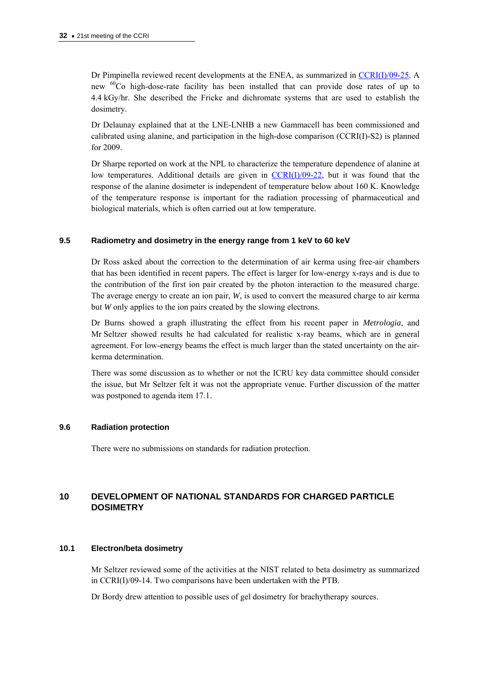Dr Pimpinella reviewed recent developments at the ENEA, as summarized in [CCRI\(I\)/09-25](http://www.bipm.org/cc/CCRI(I)/Allowed/19/CCRI(I)09-25.pdf). A new <sup>60</sup>Co high-dose-rate facility has been installed that can provide dose rates of up to 4.4 kGy/hr. She described the Fricke and dichromate systems that are used to establish the dosimetry.

Dr Delaunay explained that at the LNE-LNHB a new Gammacell has been commissioned and calibrated using alanine, and participation in the high-dose comparison (CCRI(I)-S2) is planned for 2009.

Dr Sharpe reported on work at the NPL to characterize the temperature dependence of alanine at low temperatures. Additional details are given in  $CCRI(I)/09-22$ , but it was found that the response of the alanine dosimeter is independent of temperature below about 160 K. Knowledge of the temperature response is important for the radiation processing of pharmaceutical and biological materials, which is often carried out at low temperature.

# **9.5 Radiometry and dosimetry in the energy range from 1 keV to 60 keV**

Dr Ross asked about the correction to the determination of air kerma using free-air chambers that has been identified in recent papers. The effect is larger for low-energy x-rays and is due to the contribution of the first ion pair created by the photon interaction to the measured charge. The average energy to create an ion pair, *W*, is used to convert the measured charge to air kerma but *W* only applies to the ion pairs created by the slowing electrons.

Dr Burns showed a graph illustrating the effect from his recent paper in *Metrologia*, and Mr Seltzer showed results he had calculated for realistic x-ray beams, which are in general agreement. For low-energy beams the effect is much larger than the stated uncertainty on the airkerma determination.

There was some discussion as to whether or not the ICRU key data committee should consider the issue, but Mr Seltzer felt it was not the appropriate venue. Further discussion of the matter was postponed to agenda item 17.1.

# **9.6 Radiation protection**

There were no submissions on standards for radiation protection.

# **10 DEVELOPMENT OF NATIONAL STANDARDS FOR CHARGED PARTICLE DOSIMETRY**

# **10.1 Electron/beta dosimetry**

Mr Seltzer reviewed some of the activities at the NIST related to beta dosimetry as summarized in CCRI(I)/09-14. Two comparisons have been undertaken with the PTB.

Dr Bordy drew attention to possible uses of gel dosimetry for brachytherapy sources.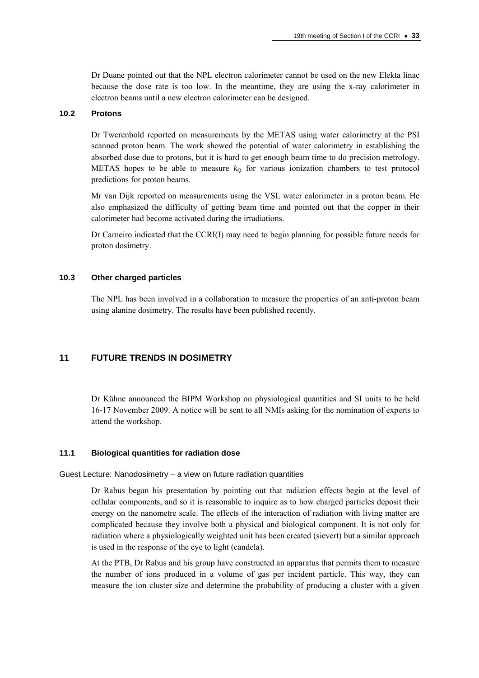Dr Duane pointed out that the NPL electron calorimeter cannot be used on the new Elekta linac because the dose rate is too low. In the meantime, they are using the x-ray calorimeter in electron beams until a new electron calorimeter can be designed.

### **10.2 Protons**

Dr Twerenbold reported on measurements by the METAS using water calorimetry at the PSI scanned proton beam. The work showed the potential of water calorimetry in establishing the absorbed dose due to protons, but it is hard to get enough beam time to do precision metrology. METAS hopes to be able to measure  $k<sub>Q</sub>$  for various ionization chambers to test protocol predictions for proton beams.

Mr van Dijk reported on measurements using the VSL water calorimeter in a proton beam. He also emphasized the difficulty of getting beam time and pointed out that the copper in their calorimeter had become activated during the irradiations.

Dr Carneiro indicated that the CCRI(I) may need to begin planning for possible future needs for proton dosimetry.

### **10.3 Other charged particles**

The NPL has been involved in a collaboration to measure the properties of an anti-proton beam using alanine dosimetry. The results have been published recently.

# **11 FUTURE TRENDS IN DOSIMETRY**

Dr Kühne announced the BIPM Workshop on physiological quantities and SI units to be held 16-17 November 2009. A notice will be sent to all NMIs asking for the nomination of experts to attend the workshop.

### **11.1 Biological quantities for radiation dose**

Guest Lecture: Nanodosimetry – a view on future radiation quantities

Dr Rabus began his presentation by pointing out that radiation effects begin at the level of cellular components, and so it is reasonable to inquire as to how charged particles deposit their energy on the nanometre scale. The effects of the interaction of radiation with living matter are complicated because they involve both a physical and biological component. It is not only for radiation where a physiologically weighted unit has been created (sievert) but a similar approach is used in the response of the eye to light (candela).

At the PTB, Dr Rabus and his group have constructed an apparatus that permits them to measure the number of ions produced in a volume of gas per incident particle. This way, they can measure the ion cluster size and determine the probability of producing a cluster with a given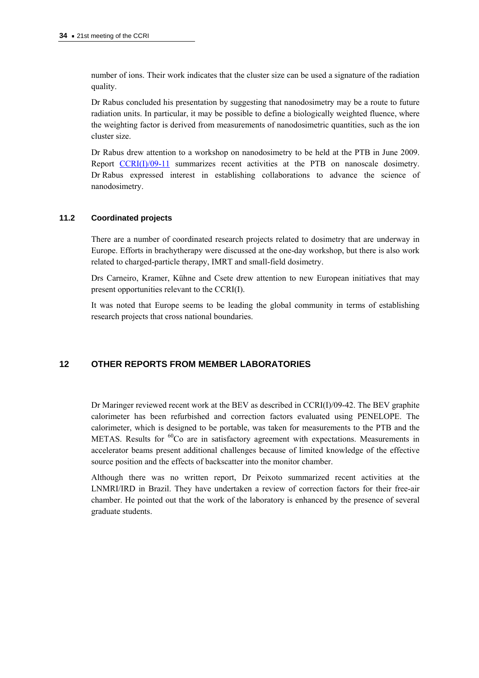number of ions. Their work indicates that the cluster size can be used a signature of the radiation quality.

Dr Rabus concluded his presentation by suggesting that nanodosimetry may be a route to future radiation units. In particular, it may be possible to define a biologically weighted fluence, where the weighting factor is derived from measurements of nanodosimetric quantities, such as the ion cluster size.

Dr Rabus drew attention to a workshop on nanodosimetry to be held at the PTB in June 2009. Report [CCRI\(I\)/09-11](http://www.bipm.org/cc/CCRI(I)/Allowed/19/CCRI(I)09-11.pdf) summarizes recent activities at the PTB on nanoscale dosimetry. Dr Rabus expressed interest in establishing collaborations to advance the science of nanodosimetry.

# **11.2 Coordinated projects**

There are a number of coordinated research projects related to dosimetry that are underway in Europe. Efforts in brachytherapy were discussed at the one-day workshop, but there is also work related to charged-particle therapy, IMRT and small-field dosimetry.

Drs Carneiro, Kramer, Kühne and Csete drew attention to new European initiatives that may present opportunities relevant to the CCRI(I).

It was noted that Europe seems to be leading the global community in terms of establishing research projects that cross national boundaries.

# **12 OTHER REPORTS FROM MEMBER LABORATORIES**

Dr Maringer reviewed recent work at the BEV as described in CCRI(I)/09-42. The BEV graphite calorimeter has been refurbished and correction factors evaluated using PENELOPE. The calorimeter, which is designed to be portable, was taken for measurements to the PTB and the METAS. Results for <sup>60</sup>Co are in satisfactory agreement with expectations. Measurements in accelerator beams present additional challenges because of limited knowledge of the effective source position and the effects of backscatter into the monitor chamber.

Although there was no written report, Dr Peixoto summarized recent activities at the LNMRI/IRD in Brazil. They have undertaken a review of correction factors for their free-air chamber. He pointed out that the work of the laboratory is enhanced by the presence of several graduate students.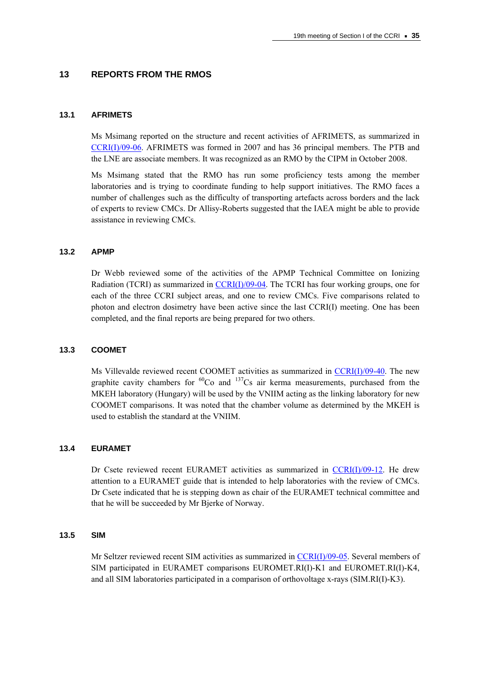# **13 REPORTS FROM THE RMOS**

#### **13.1 AFRIMETS**

Ms Msimang reported on the structure and recent activities of AFRIMETS, as summarized in [CCRI\(I\)/09-06.](http://www.bipm.org/cc/CCRI(I)/Allowed/19/CCRI(I)09-06.pdf) AFRIMETS was formed in 2007 and has 36 principal members. The PTB and the LNE are associate members. It was recognized as an RMO by the CIPM in October 2008.

Ms Msimang stated that the RMO has run some proficiency tests among the member laboratories and is trying to coordinate funding to help support initiatives. The RMO faces a number of challenges such as the difficulty of transporting artefacts across borders and the lack of experts to review CMCs. Dr Allisy-Roberts suggested that the IAEA might be able to provide assistance in reviewing CMCs.

### **13.2 APMP**

Dr Webb reviewed some of the activities of the APMP Technical Committee on Ionizing Radiation (TCRI) as summarized in [CCRI\(I\)/09-04](http://www.bipm.org/cc/CCRI(I)/Allowed/19/CCRI(I)09-04.pdf). The TCRI has four working groups, one for each of the three CCRI subject areas, and one to review CMCs. Five comparisons related to photon and electron dosimetry have been active since the last CCRI(I) meeting. One has been completed, and the final reports are being prepared for two others.

#### **13.3 COOMET**

Ms Villevalde reviewed recent COOMET activities as summarized in [CCRI\(I\)/09-40](http://www.bipm.org/cc/CCRI(I)/Allowed/19/CCRI(I)09-40.pdf). The new graphite cavity chambers for  ${}^{60}Co$  and  ${}^{137}Cs$  air kerma measurements, purchased from the MKEH laboratory (Hungary) will be used by the VNIIM acting as the linking laboratory for new COOMET comparisons. It was noted that the chamber volume as determined by the MKEH is used to establish the standard at the VNIIM.

### **13.4 EURAMET**

Dr Csete reviewed recent EURAMET activities as summarized in [CCRI\(I\)/09-12.](http://www.bipm.org/cc/CCRI(I)/Allowed/19/CCRI(I)09-12.pdf) He drew attention to a EURAMET guide that is intended to help laboratories with the review of CMCs. Dr Csete indicated that he is stepping down as chair of the EURAMET technical committee and that he will be succeeded by Mr Bjerke of Norway.

#### **13.5 SIM**

Mr Seltzer reviewed recent SIM activities as summarized in [CCRI\(I\)/09-05.](http://www.bipm.org/cc/CCRI(I)/Allowed/19/CCRI(I)09-05.pdf) Several members of SIM participated in EURAMET comparisons EUROMET.RI(I)-K1 and EUROMET.RI(I)-K4, and all SIM laboratories participated in a comparison of orthovoltage x-rays (SIM.RI(I)-K3).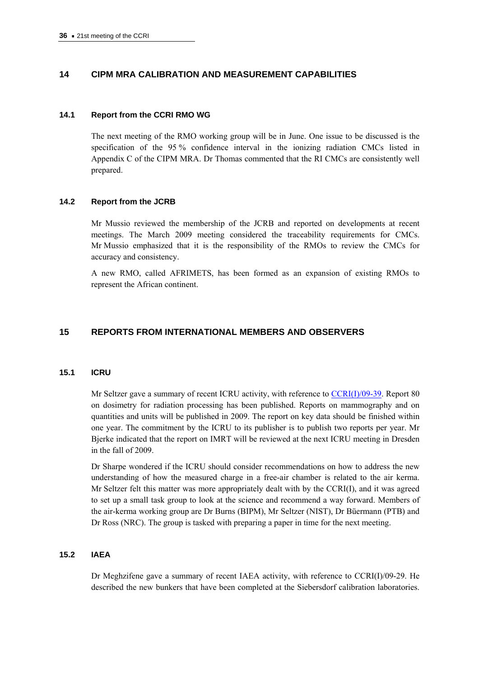# **14 CIPM MRA CALIBRATION AND MEASUREMENT CAPABILITIES**

### **14.1 Report from the CCRI RMO WG**

The next meeting of the RMO working group will be in June. One issue to be discussed is the specification of the 95 % confidence interval in the ionizing radiation CMCs listed in Appendix C of the CIPM MRA. Dr Thomas commented that the RI CMCs are consistently well prepared.

### **14.2 Report from the JCRB**

Mr Mussio reviewed the membership of the JCRB and reported on developments at recent meetings. The March 2009 meeting considered the traceability requirements for CMCs. Mr Mussio emphasized that it is the responsibility of the RMOs to review the CMCs for accuracy and consistency.

A new RMO, called AFRIMETS, has been formed as an expansion of existing RMOs to represent the African continent.

# **15 REPORTS FROM INTERNATIONAL MEMBERS AND OBSERVERS**

### **15.1 ICRU**

Mr Seltzer gave a summary of recent ICRU activity, with reference to [CCRI\(I\)/09-39](http://www.bipm.org/cc/CCRI(I)/Allowed/19/CCRI(I)09-39.pdf). Report 80 on dosimetry for radiation processing has been published. Reports on mammography and on quantities and units will be published in 2009. The report on key data should be finished within one year. The commitment by the ICRU to its publisher is to publish two reports per year. Mr Bjerke indicated that the report on IMRT will be reviewed at the next ICRU meeting in Dresden in the fall of 2009.

Dr Sharpe wondered if the ICRU should consider recommendations on how to address the new understanding of how the measured charge in a free-air chamber is related to the air kerma. Mr Seltzer felt this matter was more appropriately dealt with by the CCRI(I), and it was agreed to set up a small task group to look at the science and recommend a way forward. Members of the air-kerma working group are Dr Burns (BIPM), Mr Seltzer (NIST), Dr Büermann (PTB) and Dr Ross (NRC). The group is tasked with preparing a paper in time for the next meeting.

### **15.2 IAEA**

Dr Meghzifene gave a summary of recent IAEA activity, with reference to CCRI(I)/09-29. He described the new bunkers that have been completed at the Siebersdorf calibration laboratories.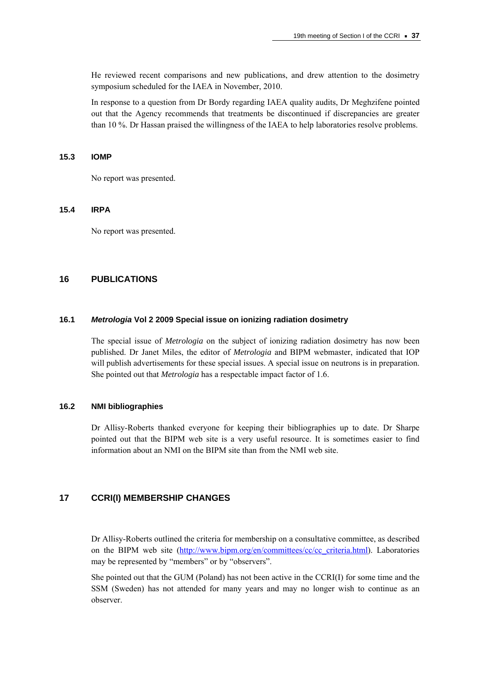He reviewed recent comparisons and new publications, and drew attention to the dosimetry symposium scheduled for the IAEA in November, 2010.

In response to a question from Dr Bordy regarding IAEA quality audits, Dr Meghzifene pointed out that the Agency recommends that treatments be discontinued if discrepancies are greater than 10 %. Dr Hassan praised the willingness of the IAEA to help laboratories resolve problems.

#### **15.3 IOMP**

No report was presented.

#### **15.4 IRPA**

No report was presented.

## **16 PUBLICATIONS**

#### **16.1** *Metrologia* **Vol 2 2009 Special issue on ionizing radiation dosimetry**

The special issue of *Metrologia* on the subject of ionizing radiation dosimetry has now been published. Dr Janet Miles, the editor of *Metrologia* and BIPM webmaster, indicated that IOP will publish advertisements for these special issues. A special issue on neutrons is in preparation. She pointed out that *Metrologia* has a respectable impact factor of 1.6.

#### **16.2 NMI bibliographies**

Dr Allisy-Roberts thanked everyone for keeping their bibliographies up to date. Dr Sharpe pointed out that the BIPM web site is a very useful resource. It is sometimes easier to find information about an NMI on the BIPM site than from the NMI web site.

## **17 CCRI(I) MEMBERSHIP CHANGES**

Dr Allisy-Roberts outlined the criteria for membership on a consultative committee, as described on the BIPM web site [\(http://www.bipm.org/en/committees/cc/cc\\_criteria.html](http://www.bipm.org/en/committees/cc/cc_criteria.html)). Laboratories may be represented by "members" or by "observers".

She pointed out that the GUM (Poland) has not been active in the CCRI(I) for some time and the SSM (Sweden) has not attended for many years and may no longer wish to continue as an observer.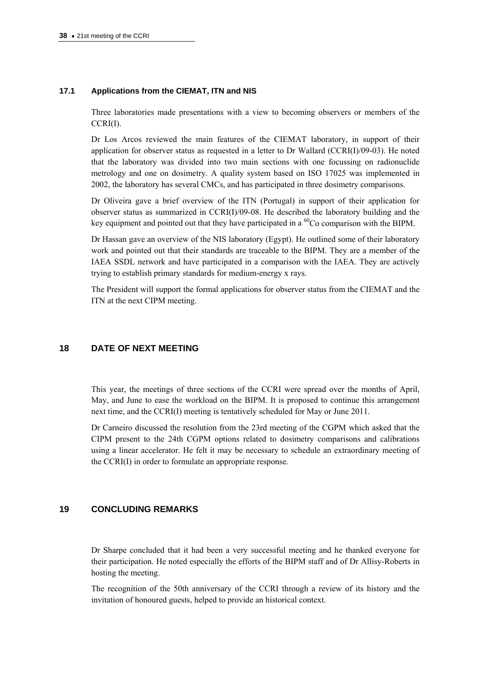### **17.1 Applications from the CIEMAT, ITN and NIS**

Three laboratories made presentations with a view to becoming observers or members of the CCRI(I).

Dr Los Arcos reviewed the main features of the CIEMAT laboratory, in support of their application for observer status as requested in a letter to Dr Wallard (CCRI(I)/09-03). He noted that the laboratory was divided into two main sections with one focussing on radionuclide metrology and one on dosimetry. A quality system based on ISO 17025 was implemented in 2002, the laboratory has several CMCs, and has participated in three dosimetry comparisons.

Dr Oliveira gave a brief overview of the ITN (Portugal) in support of their application for observer status as summarized in CCRI(I)/09-08. He described the laboratory building and the key equipment and pointed out that they have participated in a  $^{60}$ Co comparison with the BIPM.

Dr Hassan gave an overview of the NIS laboratory (Egypt). He outlined some of their laboratory work and pointed out that their standards are traceable to the BIPM. They are a member of the IAEA SSDL network and have participated in a comparison with the IAEA. They are actively trying to establish primary standards for medium-energy x rays.

The President will support the formal applications for observer status from the CIEMAT and the ITN at the next CIPM meeting.

## **18 DATE OF NEXT MEETING**

This year, the meetings of three sections of the CCRI were spread over the months of April, May, and June to ease the workload on the BIPM. It is proposed to continue this arrangement next time, and the CCRI(I) meeting is tentatively scheduled for May or June 2011.

Dr Carneiro discussed the resolution from the 23rd meeting of the CGPM which asked that the CIPM present to the 24th CGPM options related to dosimetry comparisons and calibrations using a linear accelerator. He felt it may be necessary to schedule an extraordinary meeting of the CCRI(I) in order to formulate an appropriate response.

## **19 CONCLUDING REMARKS**

Dr Sharpe concluded that it had been a very successful meeting and he thanked everyone for their participation. He noted especially the efforts of the BIPM staff and of Dr Allisy-Roberts in hosting the meeting.

The recognition of the 50th anniversary of the CCRI through a review of its history and the invitation of honoured guests, helped to provide an historical context.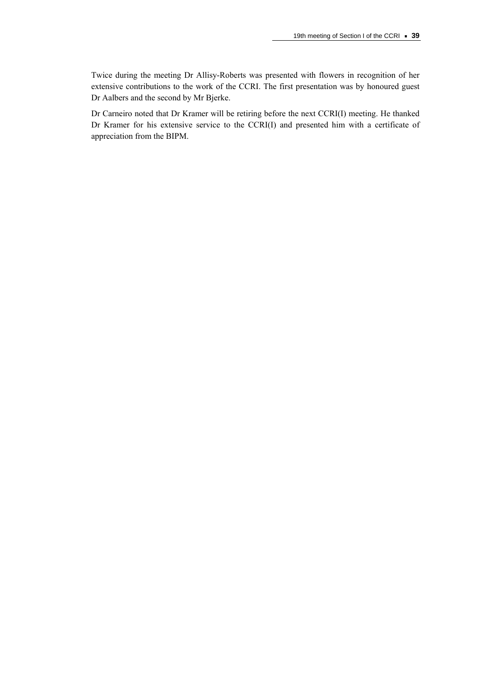Twice during the meeting Dr Allisy-Roberts was presented with flowers in recognition of her extensive contributions to the work of the CCRI. The first presentation was by honoured guest Dr Aalbers and the second by Mr Bjerke.

Dr Carneiro noted that Dr Kramer will be retiring before the next CCRI(I) meeting. He thanked Dr Kramer for his extensive service to the CCRI(I) and presented him with a certificate of appreciation from the BIPM.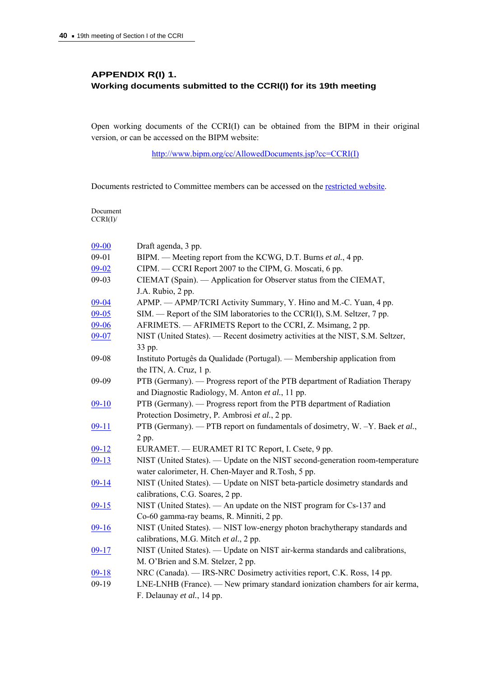# **APPENDIX R(I) 1. Working documents submitted to the CCRI(I) for its 19th meeting**

Open working documents of the CCRI(I) can be obtained from the BIPM in their original version, or can be accessed on the BIPM website:

[http://www.bipm.org/cc/AllowedDocuments.jsp?cc=CCRI\(I\)](http://www.bipm.org/cc/AllowedDocuments.jsp?cc=CCRI(I))

Documents restricted to Committee members can be accessed on the [restricted website](http://www.bipm.org/cc/CCRI(I)/Restricted/WorkingDocuments.jsp).

Document  $CCRI(I)$ 

| $09 - 00$    | Draft agenda, 3 pp.                                                            |
|--------------|--------------------------------------------------------------------------------|
| $09 - 01$    | BIPM. — Meeting report from the KCWG, D.T. Burns et al., 4 pp.                 |
| $09 - 02$    | CIPM. — CCRI Report 2007 to the CIPM, G. Moscati, 6 pp.                        |
| $09-03$      | CIEMAT (Spain). — Application for Observer status from the CIEMAT,             |
|              | J.A. Rubio, 2 pp.                                                              |
| 09-04        | APMP. — APMP/TCRI Activity Summary, Y. Hino and M.-C. Yuan, 4 pp.              |
| $09 - 05$    | SIM. — Report of the SIM laboratories to the CCRI(I), S.M. Seltzer, 7 pp.      |
| $09 - 06$    | AFRIMETS. — AFRIMETS Report to the CCRI, Z. Msimang, 2 pp.                     |
| $09 - 07$    | NIST (United States). — Recent dosimetry activities at the NIST, S.M. Seltzer, |
|              | 33 pp.                                                                         |
| 09-08        | Instituto Portugês da Qualidade (Portugal). — Membership application from      |
|              | the ITN, A. Cruz, 1 p.                                                         |
| 09-09        | PTB (Germany). — Progress report of the PTB department of Radiation Therapy    |
|              | and Diagnostic Radiology, M. Anton et al., 11 pp.                              |
| $09 - 10$    | PTB (Germany). — Progress report from the PTB department of Radiation          |
|              | Protection Dosimetry, P. Ambrosi et al., 2 pp.                                 |
| $09 - 11$    | PTB (Germany). — PTB report on fundamentals of dosimetry, W. -Y. Baek et al.,  |
|              | 2 pp.                                                                          |
| <u>09-12</u> | EURAMET. — EURAMET RI TC Report, I. Csete, 9 pp.                               |
| $09-13$      | NIST (United States). - Update on the NIST second-generation room-temperature  |
|              | water calorimeter, H. Chen-Mayer and R.Tosh, 5 pp.                             |
| 09-14        | NIST (United States). — Update on NIST beta-particle dosimetry standards and   |
|              | calibrations, C.G. Soares, 2 pp.                                               |
| $09-15$      | NIST (United States). — An update on the NIST program for Cs-137 and           |
|              | Co-60 gamma-ray beams, R. Minniti, 2 pp.                                       |
| <u>09-16</u> | NIST (United States). - NIST low-energy photon brachytherapy standards and     |
|              | calibrations, M.G. Mitch et al., 2 pp.                                         |
| $09-17$      | NIST (United States). - Update on NIST air-kerma standards and calibrations,   |
|              | M. O'Brien and S.M. Stelzer, 2 pp.                                             |
| $09 - 18$    | NRC (Canada). - IRS-NRC Dosimetry activities report, C.K. Ross, 14 pp.         |
| $09-19$      | LNE-LNHB (France). — New primary standard ionization chambers for air kerma,   |
|              | F. Delaunay et al., 14 pp.                                                     |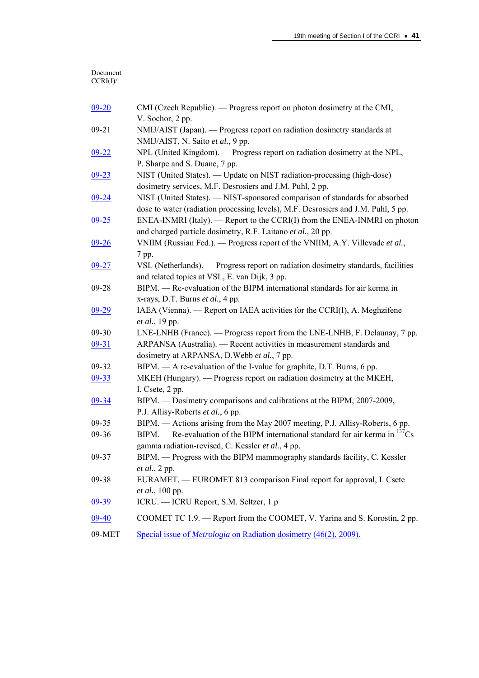#### Document CCRI(I)/

| $09 - 20$    | CMI (Czech Republic). — Progress report on photon dosimetry at the CMI,                                       |
|--------------|---------------------------------------------------------------------------------------------------------------|
|              | V. Sochor, 2 pp.                                                                                              |
| $09 - 21$    | NMIJ/AIST (Japan). - Progress report on radiation dosimetry standards at<br>NMIJ/AIST, N. Saito et al., 9 pp. |
| <u>09-22</u> | NPL (United Kingdom). — Progress report on radiation dosimetry at the NPL,                                    |
|              | P. Sharpe and S. Duane, 7 pp.                                                                                 |
| <u>09-23</u> | NIST (United States). — Update on NIST radiation-processing (high-dose)                                       |
|              | dosimetry services, M.F. Desrosiers and J.M. Puhl, 2 pp.                                                      |
| <u>09-24</u> | NIST (United States). - NIST-sponsored comparison of standards for absorbed                                   |
|              | dose to water (radiation processing levels), M.F. Desrosiers and J.M. Puhl, 5 pp.                             |
| <u>09-25</u> | ENEA-INMRI (Italy). — Report to the CCRI(I) from the ENEA-INMRI on photon                                     |
|              | and charged particle dosimetry, R.F. Laitano et al., 20 pp.                                                   |
| $09 - 26$    | VNIIM (Russian Fed.). — Progress report of the VNIIM, A.Y. Villevade et al.,                                  |
|              | 7 pp.                                                                                                         |
| <u>09-27</u> | VSL (Netherlands). — Progress report on radiation dosimetry standards, facilities                             |
|              | and related topics at VSL, E. van Dijk, 3 pp.                                                                 |
| 09-28        | BIPM. — Re-evaluation of the BIPM international standards for air kerma in                                    |
|              | x-rays, D.T. Burns et al., 4 pp.                                                                              |
| <u>09-29</u> | IAEA (Vienna). — Report on IAEA activities for the CCRI(I), A. Meghzifene                                     |
|              | <i>et al.</i> , 19 pp.                                                                                        |
| 09-30        | LNE-LNHB (France). — Progress report from the LNE-LNHB, F. Delaunay, 7 pp.                                    |
| <u>09-31</u> | ARPANSA (Australia). — Recent activities in measurement standards and                                         |
|              | dosimetry at ARPANSA, D. Webb et al., 7 pp.                                                                   |
| 09-32        | $BIPM.$ $\rightarrow$ A re-evaluation of the I-value for graphite, D.T. Burns, 6 pp.                          |
| $09 - 33$    | MKEH (Hungary). — Progress report on radiation dosimetry at the MKEH,                                         |
|              | I. Csete, 2 pp.                                                                                               |
| $09 - 34$    | BIPM. — Dosimetry comparisons and calibrations at the BIPM, 2007-2009,                                        |
|              | P.J. Allisy-Roberts et al., 6 pp.                                                                             |
| 09-35        | BIPM. — Actions arising from the May 2007 meeting, P.J. Allisy-Roberts, 6 pp.                                 |
| 09-36        | BIPM. — Re-evaluation of the BIPM international standard for air kerma in $^{137}Cs$                          |
|              | gamma radiation-revised, C. Kessler et al., 4 pp.                                                             |
| 09-37        | BIPM. — Progress with the BIPM mammography standards facility, C. Kessler                                     |
|              | et al., 2 pp.                                                                                                 |
| 09-38        | EURAMET. — EUROMET 813 comparison Final report for approval, I. Csete                                         |
|              | <i>et al.</i> , 100 pp.                                                                                       |
| $09 - 39$    | ICRU. - ICRU Report, S.M. Seltzer, 1 p                                                                        |
| $09 - 40$    | COOMET TC 1.9. — Report from the COOMET, V. Yarina and S. Korostin, 2 pp.                                     |
| 09-MET       | Special issue of <i>Metrologia</i> on Radiation dosimetry (46(2), 2009).                                      |
|              |                                                                                                               |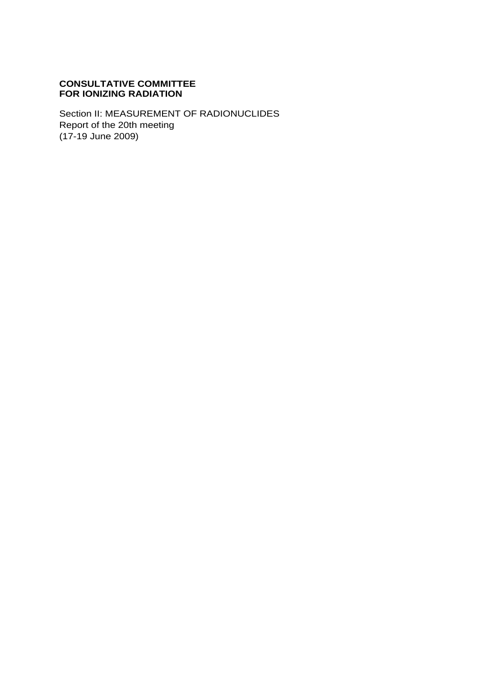# **CONSULTATIVE COMMITTEE FOR IONIZING RADIATION**

Section II: MEASUREMENT OF RADIONUCLIDES Report of the 20th meeting (17-19 June 2009)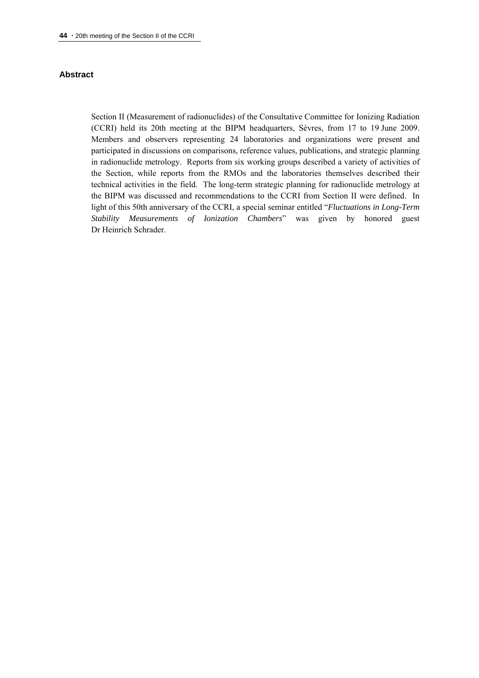#### **Abstract**

Section II (Measurement of radionuclides) of the Consultative Committee for Ionizing Radiation (CCRI) held its 20th meeting at the BIPM headquarters, Sèvres, from 17 to 19 June 2009. Members and observers representing 24 laboratories and organizations were present and participated in discussions on comparisons, reference values, publications, and strategic planning in radionuclide metrology. Reports from six working groups described a variety of activities of the Section, while reports from the RMOs and the laboratories themselves described their technical activities in the field. The long-term strategic planning for radionuclide metrology at the BIPM was discussed and recommendations to the CCRI from Section II were defined. In light of this 50th anniversary of the CCRI, a special seminar entitled "*Fluctuations in Long-Term Stability Measurements of Ionization Chambers*" was given by honored guest Dr Heinrich Schrader.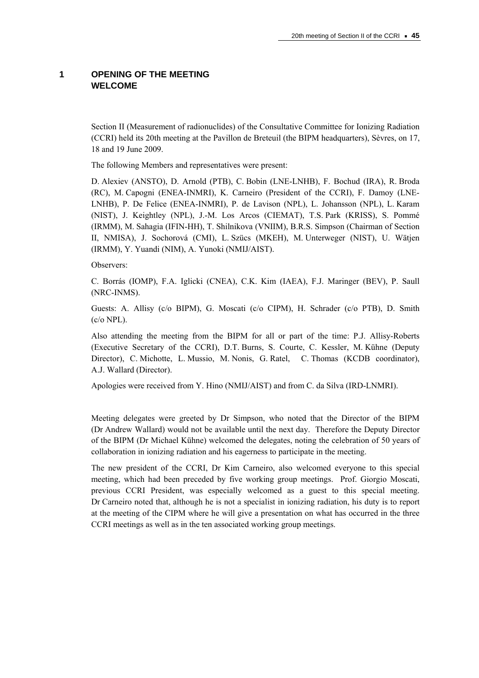## **1 OPENING OF THE MEETING WELCOME**

Section II (Measurement of radionuclides) of the Consultative Committee for Ionizing Radiation (CCRI) held its 20th meeting at the Pavillon de Breteuil (the BIPM headquarters), Sèvres, on 17, 18 and 19 June 2009.

The following Members and representatives were present:

D. Alexiev (ANSTO), D. Arnold (PTB), C. Bobin (LNE-LNHB), F. Bochud (IRA), R. Broda (RC), M. Capogni (ENEA-INMRI), K. Carneiro (President of the CCRI), F. Damoy (LNE-LNHB), P. De Felice (ENEA-INMRI), P. de Lavison (NPL), L. Johansson (NPL), L. Karam (NIST), J. Keightley (NPL), J.-M. Los Arcos (CIEMAT), T.S. Park (KRISS), S. Pommé (IRMM), M. Sahagia (IFIN-HH), T. Shilnikova (VNIIM), B.R.S. Simpson (Chairman of Section II, NMISA), J. Sochorová (CMI), L. Szücs (MKEH), M. Unterweger (NIST), U. Wätjen (IRMM), Y. Yuandi (NIM), A. Yunoki (NMIJ/AIST).

Observers:

C. Borrás (IOMP), F.A. Iglicki (CNEA), C.K. Kim (IAEA), F.J. Maringer (BEV), P. Saull (NRC-INMS).

Guests: A. Allisy (c/o BIPM), G. Moscati (c/o CIPM), H. Schrader (c/o PTB), D. Smith (c/o NPL).

Also attending the meeting from the BIPM for all or part of the time: P.J. Allisy-Roberts (Executive Secretary of the CCRI), D.T. Burns, S. Courte, C. Kessler, M. Kühne (Deputy Director), C. Michotte, L. Mussio, M. Nonis, G. Ratel, C. Thomas (KCDB coordinator), A.J. Wallard (Director).

Apologies were received from Y. Hino (NMIJ/AIST) and from C. da Silva (IRD-LNMRI).

Meeting delegates were greeted by Dr Simpson, who noted that the Director of the BIPM (Dr Andrew Wallard) would not be available until the next day. Therefore the Deputy Director of the BIPM (Dr Michael Kühne) welcomed the delegates, noting the celebration of 50 years of collaboration in ionizing radiation and his eagerness to participate in the meeting.

The new president of the CCRI, Dr Kim Carneiro, also welcomed everyone to this special meeting, which had been preceded by five working group meetings. Prof. Giorgio Moscati, previous CCRI President, was especially welcomed as a guest to this special meeting. Dr Carneiro noted that, although he is not a specialist in ionizing radiation, his duty is to report at the meeting of the CIPM where he will give a presentation on what has occurred in the three CCRI meetings as well as in the ten associated working group meetings.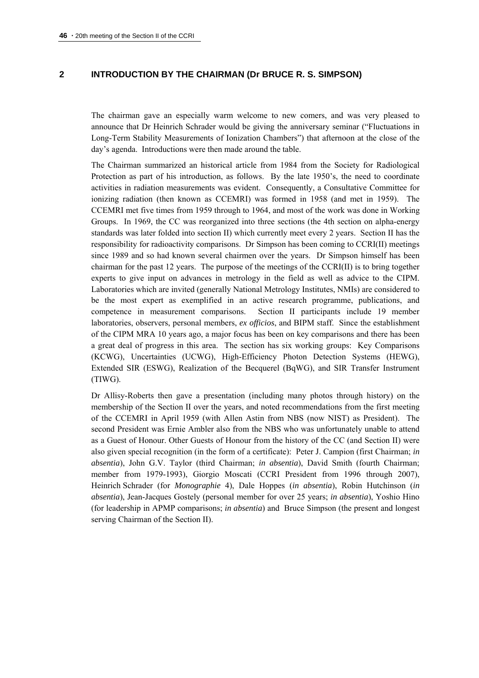## **2 INTRODUCTION BY THE CHAIRMAN (Dr BRUCE R. S. SIMPSON)**

The chairman gave an especially warm welcome to new comers, and was very pleased to announce that Dr Heinrich Schrader would be giving the anniversary seminar ("Fluctuations in Long-Term Stability Measurements of Ionization Chambers") that afternoon at the close of the day's agenda. Introductions were then made around the table.

The Chairman summarized an historical article from 1984 from the Society for Radiological Protection as part of his introduction, as follows. By the late 1950's, the need to coordinate activities in radiation measurements was evident. Consequently, a Consultative Committee for ionizing radiation (then known as CCEMRI) was formed in 1958 (and met in 1959). The CCEMRI met five times from 1959 through to 1964, and most of the work was done in Working Groups. In 1969, the CC was reorganized into three sections (the 4th section on alpha-energy standards was later folded into section II) which currently meet every 2 years. Section II has the responsibility for radioactivity comparisons. Dr Simpson has been coming to CCRI(II) meetings since 1989 and so had known several chairmen over the years. Dr Simpson himself has been chairman for the past 12 years. The purpose of the meetings of the CCRI(II) is to bring together experts to give input on advances in metrology in the field as well as advice to the CIPM. Laboratories which are invited (generally National Metrology Institutes, NMIs) are considered to be the most expert as exemplified in an active research programme, publications, and competence in measurement comparisons. Section II participants include 19 member laboratories, observers, personal members, *ex officios*, and BIPM staff. Since the establishment of the CIPM MRA 10 years ago, a major focus has been on key comparisons and there has been a great deal of progress in this area. The section has six working groups: Key Comparisons (KCWG), Uncertainties (UCWG), High-Efficiency Photon Detection Systems (HEWG), Extended SIR (ESWG), Realization of the Becquerel (BqWG), and SIR Transfer Instrument (TIWG).

Dr Allisy-Roberts then gave a presentation (including many photos through history) on the membership of the Section II over the years, and noted recommendations from the first meeting of the CCEMRI in April 1959 (with Allen Astin from NBS (now NIST) as President). The second President was Ernie Ambler also from the NBS who was unfortunately unable to attend as a Guest of Honour. Other Guests of Honour from the history of the CC (and Section II) were also given special recognition (in the form of a certificate): Peter J. Campion (first Chairman; *in absentia*), John G.V. Taylor (third Chairman; *in absentia*), David Smith (fourth Chairman; member from 1979-1993), Giorgio Moscati (CCRI President from 1996 through 2007), Heinrich Schrader (for *Monographie* 4), Dale Hoppes (*in absentia*), Robin Hutchinson (*in absentia*), Jean-Jacques Gostely (personal member for over 25 years; *in absentia*), Yoshio Hino (for leadership in APMP comparisons; *in absentia*) and Bruce Simpson (the present and longest serving Chairman of the Section II).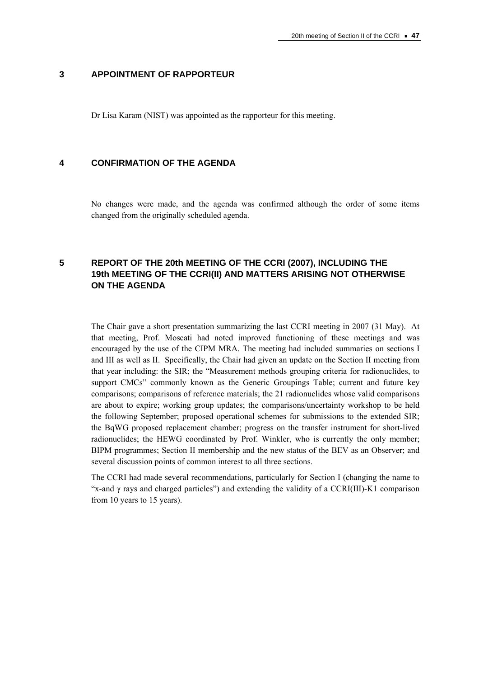### **3 APPOINTMENT OF RAPPORTEUR**

Dr Lisa Karam (NIST) was appointed as the rapporteur for this meeting.

### **4 CONFIRMATION OF THE AGENDA**

No changes were made, and the agenda was confirmed although the order of some items changed from the originally scheduled agenda.

# **5 REPORT OF THE 20th MEETING OF THE CCRI (2007), INCLUDING THE 19th MEETING OF THE CCRI(II) AND MATTERS ARISING NOT OTHERWISE ON THE AGENDA**

The Chair gave a short presentation summarizing the last CCRI meeting in 2007 (31 May). At that meeting, Prof. Moscati had noted improved functioning of these meetings and was encouraged by the use of the CIPM MRA. The meeting had included summaries on sections I and III as well as II. Specifically, the Chair had given an update on the Section II meeting from that year including: the SIR; the "Measurement methods grouping criteria for radionuclides, to support CMCs" commonly known as the Generic Groupings Table; current and future key comparisons; comparisons of reference materials; the 21 radionuclides whose valid comparisons are about to expire; working group updates; the comparisons/uncertainty workshop to be held the following September; proposed operational schemes for submissions to the extended SIR; the BqWG proposed replacement chamber; progress on the transfer instrument for short-lived radionuclides; the HEWG coordinated by Prof. Winkler, who is currently the only member; BIPM programmes; Section II membership and the new status of the BEV as an Observer; and several discussion points of common interest to all three sections.

The CCRI had made several recommendations, particularly for Section I (changing the name to "x-and  $\gamma$  rays and charged particles") and extending the validity of a CCRI(III)-K1 comparison from 10 years to 15 years).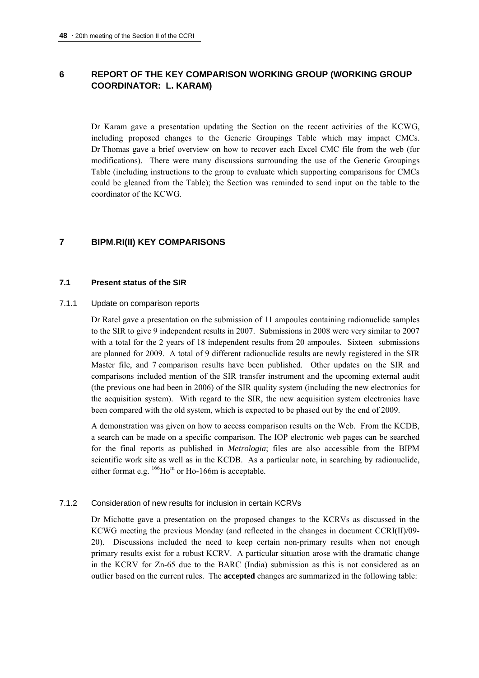# **6 REPORT OF THE KEY COMPARISON WORKING GROUP (WORKING GROUP COORDINATOR: L. KARAM)**

Dr Karam gave a presentation updating the Section on the recent activities of the KCWG, including proposed changes to the Generic Groupings Table which may impact CMCs. Dr Thomas gave a brief overview on how to recover each Excel CMC file from the web (for modifications). There were many discussions surrounding the use of the Generic Groupings Table (including instructions to the group to evaluate which supporting comparisons for CMCs could be gleaned from the Table); the Section was reminded to send input on the table to the coordinator of the KCWG.

### **7 BIPM.RI(II) KEY COMPARISONS**

#### **7.1 Present status of the SIR**

### 7.1.1 Update on comparison reports

Dr Ratel gave a presentation on the submission of 11 ampoules containing radionuclide samples to the SIR to give 9 independent results in 2007. Submissions in 2008 were very similar to 2007 with a total for the 2 years of 18 independent results from 20 ampoules. Sixteen submissions are planned for 2009. A total of 9 different radionuclide results are newly registered in the SIR Master file, and 7 comparison results have been published. Other updates on the SIR and comparisons included mention of the SIR transfer instrument and the upcoming external audit (the previous one had been in 2006) of the SIR quality system (including the new electronics for the acquisition system). With regard to the SIR, the new acquisition system electronics have been compared with the old system, which is expected to be phased out by the end of 2009.

A demonstration was given on how to access comparison results on the Web. From the KCDB, a search can be made on a specific comparison. The IOP electronic web pages can be searched for the final reports as published in *Metrologia*; files are also accessible from the BIPM scientific work site as well as in the KCDB. As a particular note, in searching by radionuclide, either format e.g.  $^{166}$ Ho<sup>m</sup> or Ho-166m is acceptable.

#### 7.1.2 Consideration of new results for inclusion in certain KCRVs

Dr Michotte gave a presentation on the proposed changes to the KCRVs as discussed in the KCWG meeting the previous Monday (and reflected in the changes in document CCRI(II)/09- 20). Discussions included the need to keep certain non-primary results when not enough primary results exist for a robust KCRV. A particular situation arose with the dramatic change in the KCRV for Zn-65 due to the BARC (India) submission as this is not considered as an outlier based on the current rules. The **accepted** changes are summarized in the following table: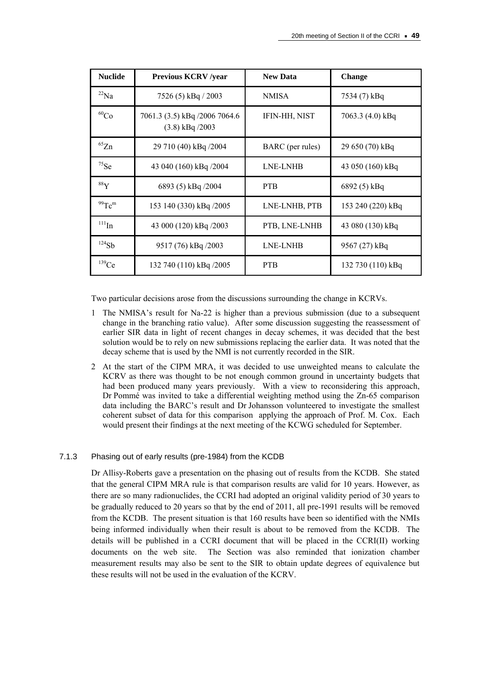| <b>Nuclide</b>          | <b>Previous KCRV</b> /year                           | <b>New Data</b>  | <b>Change</b>     |
|-------------------------|------------------------------------------------------|------------------|-------------------|
| $^{22}$ Na              | 7526 (5) kBq / 2003                                  | <b>NMISA</b>     | 7534 (7) kBq      |
| ${}^{60}Co$             | 7061.3 (3.5) kBq /2006 7064.6<br>$(3.8)$ kBq $/2003$ | IFIN-HH, NIST    | 7063.3 (4.0) kBq  |
| ${}^{65}Zn$             | 29 710 (40) kBq /2004                                | BARC (per rules) | 29 650 (70) kBq   |
| $^{75}$ Se              | 43 040 (160) kBq /2004                               | <b>LNE-LNHB</b>  | 43 050 (160) kBq  |
| $88$ Y                  | 6893 (5) kBq /2004                                   | <b>PTB</b>       | 6892 (5) kBq      |
| $^{99}$ Tc <sup>m</sup> | 153 140 (330) kBq /2005                              | LNE-LNHB, PTB    | 153 240 (220) kBq |
| $^{111}$ In             | 43 000 (120) kBq /2003                               | PTB, LNE-LNHB    | 43 080 (130) kBq  |
| 124Sb                   | 9517 (76) kBq /2003                                  | LNE-LNHB         | 9567 (27) kBq     |
| $^{139}\mathrm{Ce}$     | 132 740 (110) kBq /2005                              | <b>PTB</b>       | 132 730 (110) kBq |

Two particular decisions arose from the discussions surrounding the change in KCRVs.

- 1 The NMISA's result for Na-22 is higher than a previous submission (due to a subsequent change in the branching ratio value). After some discussion suggesting the reassessment of earlier SIR data in light of recent changes in decay schemes, it was decided that the best solution would be to rely on new submissions replacing the earlier data. It was noted that the decay scheme that is used by the NMI is not currently recorded in the SIR.
- 2 At the start of the CIPM MRA, it was decided to use unweighted means to calculate the KCRV as there was thought to be not enough common ground in uncertainty budgets that had been produced many years previously. With a view to reconsidering this approach, Dr Pommé was invited to take a differential weighting method using the Zn-65 comparison data including the BARC's result and Dr Johansson volunteered to investigate the smallest coherent subset of data for this comparison applying the approach of Prof. M. Cox. Each would present their findings at the next meeting of the KCWG scheduled for September.

### 7.1.3 Phasing out of early results (pre-1984) from the KCDB

Dr Allisy-Roberts gave a presentation on the phasing out of results from the KCDB. She stated that the general CIPM MRA rule is that comparison results are valid for 10 years. However, as there are so many radionuclides, the CCRI had adopted an original validity period of 30 years to be gradually reduced to 20 years so that by the end of 2011, all pre-1991 results will be removed from the KCDB. The present situation is that 160 results have been so identified with the NMIs being informed individually when their result is about to be removed from the KCDB. The details will be published in a CCRI document that will be placed in the CCRI(II) working documents on the web site. The Section was also reminded that ionization chamber measurement results may also be sent to the SIR to obtain update degrees of equivalence but these results will not be used in the evaluation of the KCRV.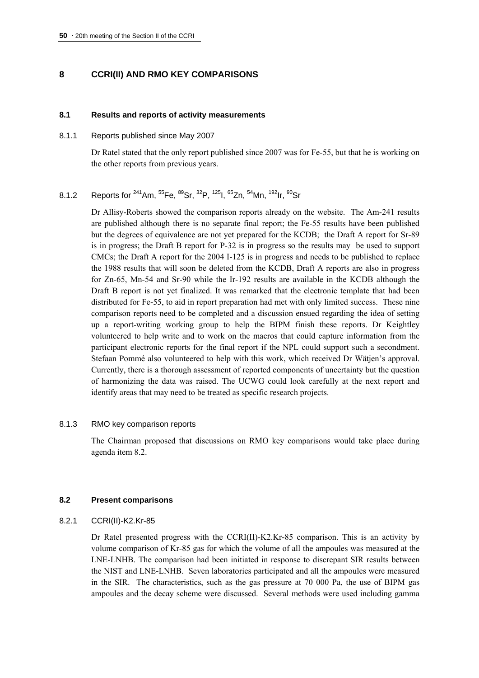## **8 CCRI(II) AND RMO KEY COMPARISONS**

#### **8.1 Results and reports of activity measurements**

### 8.1.1 Reports published since May 2007

Dr Ratel stated that the only report published since 2007 was for Fe-55, but that he is working on the other reports from previous years.

## 8.1.2 Reports for <sup>241</sup> Am, <sup>55</sup> Fe, <sup>89</sup> Sr, <sup>32</sup> P, <sup>125</sup> I, <sup>65</sup> Zn, <sup>54</sup> Mn, <sup>192</sup> Ir, <sup>90</sup> Sr

Dr Allisy-Roberts showed the comparison reports already on the website. The Am-241 results are published although there is no separate final report; the Fe-55 results have been published but the degrees of equivalence are not yet prepared for the KCDB; the Draft A report for Sr-89 is in progress; the Draft B report for P-32 is in progress so the results may be used to support CMCs; the Draft A report for the 2004 I-125 is in progress and needs to be published to replace the 1988 results that will soon be deleted from the KCDB, Draft A reports are also in progress for Zn-65, Mn-54 and Sr-90 while the Ir-192 results are available in the KCDB although the Draft B report is not yet finalized. It was remarked that the electronic template that had been distributed for Fe-55, to aid in report preparation had met with only limited success. These nine comparison reports need to be completed and a discussion ensued regarding the idea of setting up a report-writing working group to help the BIPM finish these reports. Dr Keightley volunteered to help write and to work on the macros that could capture information from the participant electronic reports for the final report if the NPL could support such a secondment. Stefaan Pommé also volunteered to help with this work, which received Dr Wätjen's approval. Currently, there is a thorough assessment of reported components of uncertainty but the question of harmonizing the data was raised. The UCWG could look carefully at the next report and identify areas that may need to be treated as specific research projects.

#### 8.1.3 RMO key comparison reports

The Chairman proposed that discussions on RMO key comparisons would take place during agenda item 8.2.

#### **8.2 Present comparisons**

#### 8.2.1 CCRI(II)-K2.Kr-85

Dr Ratel presented progress with the CCRI(II)-K2.Kr-85 comparison. This is an activity by volume comparison of Kr-85 gas for which the volume of all the ampoules was measured at the LNE-LNHB. The comparison had been initiated in response to discrepant SIR results between the NIST and LNE-LNHB. Seven laboratories participated and all the ampoules were measured in the SIR. The characteristics, such as the gas pressure at 70 000 Pa, the use of BIPM gas ampoules and the decay scheme were discussed. Several methods were used including gamma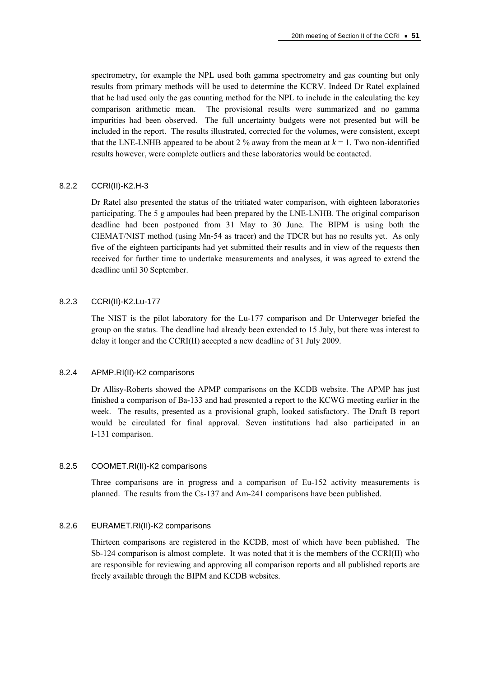spectrometry, for example the NPL used both gamma spectrometry and gas counting but only results from primary methods will be used to determine the KCRV. Indeed Dr Ratel explained that he had used only the gas counting method for the NPL to include in the calculating the key comparison arithmetic mean. The provisional results were summarized and no gamma impurities had been observed. The full uncertainty budgets were not presented but will be included in the report. The results illustrated, corrected for the volumes, were consistent, except that the LNE-LNHB appeared to be about 2 % away from the mean at  $k = 1$ . Two non-identified results however, were complete outliers and these laboratories would be contacted.

### 8.2.2 CCRI(II)-K2.H-3

Dr Ratel also presented the status of the tritiated water comparison, with eighteen laboratories participating. The 5 g ampoules had been prepared by the LNE-LNHB. The original comparison deadline had been postponed from 31 May to 30 June. The BIPM is using both the CIEMAT/NIST method (using Mn-54 as tracer) and the TDCR but has no results yet. As only five of the eighteen participants had yet submitted their results and in view of the requests then received for further time to undertake measurements and analyses, it was agreed to extend the deadline until 30 September.

### 8.2.3 CCRI(II)-K2.Lu-177

The NIST is the pilot laboratory for the Lu-177 comparison and Dr Unterweger briefed the group on the status. The deadline had already been extended to 15 July, but there was interest to delay it longer and the CCRI(II) accepted a new deadline of 31 July 2009.

#### 8.2.4 APMP.RI(II)-K2 comparisons

Dr Allisy-Roberts showed the APMP comparisons on the KCDB website. The APMP has just finished a comparison of Ba-133 and had presented a report to the KCWG meeting earlier in the week. The results, presented as a provisional graph, looked satisfactory. The Draft B report would be circulated for final approval. Seven institutions had also participated in an I-131 comparison.

#### 8.2.5 COOMET.RI(II)-K2 comparisons

Three comparisons are in progress and a comparison of Eu-152 activity measurements is planned. The results from the Cs-137 and Am-241 comparisons have been published.

#### 8.2.6 EURAMET.RI(II)-K2 comparisons

Thirteen comparisons are registered in the KCDB, most of which have been published. The Sb-124 comparison is almost complete. It was noted that it is the members of the CCRI(II) who are responsible for reviewing and approving all comparison reports and all published reports are freely available through the BIPM and KCDB websites.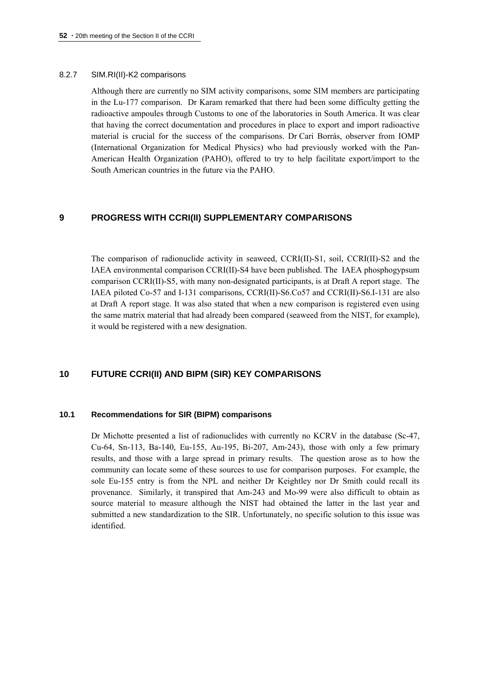#### 8.2.7 SIM.RI(II)-K2 comparisons

Although there are currently no SIM activity comparisons, some SIM members are participating in the Lu-177 comparison. Dr Karam remarked that there had been some difficulty getting the radioactive ampoules through Customs to one of the laboratories in South America. It was clear that having the correct documentation and procedures in place to export and import radioactive material is crucial for the success of the comparisons. Dr Cari Borrás, observer from IOMP (International Organization for Medical Physics) who had previously worked with the Pan-American Health Organization (PAHO), offered to try to help facilitate export/import to the South American countries in the future via the PAHO.

## **9 PROGRESS WITH CCRI(II) SUPPLEMENTARY COMPARISONS**

The comparison of radionuclide activity in seaweed, CCRI(II)-S1, soil, CCRI(II)-S2 and the IAEA environmental comparison CCRI(II)-S4 have been published. The IAEA phosphogypsum comparison CCRI(II)-S5, with many non-designated participants, is at Draft A report stage. The IAEA piloted Co-57 and I-131 comparisons, CCRI(II)-S6.Co57 and CCRI(II)-S6.I-131 are also at Draft A report stage. It was also stated that when a new comparison is registered even using the same matrix material that had already been compared (seaweed from the NIST, for example), it would be registered with a new designation.

## **10 FUTURE CCRI(II) AND BIPM (SIR) KEY COMPARISONS**

#### **10.1 Recommendations for SIR (BIPM) comparisons**

Dr Michotte presented a list of radionuclides with currently no KCRV in the database (Sc-47, Cu-64, Sn-113, Ba-140, Eu-155, Au-195, Bi-207, Am-243), those with only a few primary results, and those with a large spread in primary results. The question arose as to how the community can locate some of these sources to use for comparison purposes. For example, the sole Eu-155 entry is from the NPL and neither Dr Keightley nor Dr Smith could recall its provenance. Similarly, it transpired that Am-243 and Mo-99 were also difficult to obtain as source material to measure although the NIST had obtained the latter in the last year and submitted a new standardization to the SIR. Unfortunately, no specific solution to this issue was identified.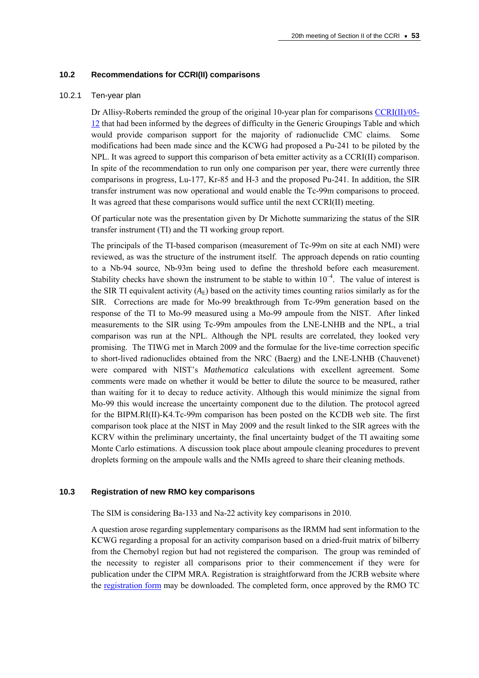#### **10.2 Recommendations for CCRI(II) comparisons**

#### 10.2.1 Ten-year plan

Dr Allisy-Roberts reminded the group of the original 10-year plan for comparisons [CCRI\(II\)/05-](http://www.bipm.org/cc/CCRI(II)/Allowed/18/CCRI(II)05-12.pdf) [12](http://www.bipm.org/cc/CCRI(II)/Allowed/18/CCRI(II)05-12.pdf) that had been informed by the degrees of difficulty in the Generic Groupings Table and which would provide comparison support for the majority of radionuclide CMC claims. Some modifications had been made since and the KCWG had proposed a Pu-241 to be piloted by the NPL. It was agreed to support this comparison of beta emitter activity as a CCRI(II) comparison. In spite of the recommendation to run only one comparison per year, there were currently three comparisons in progress, Lu-177, Kr-85 and H-3 and the proposed Pu-241. In addition, the SIR transfer instrument was now operational and would enable the Tc-99m comparisons to proceed. It was agreed that these comparisons would suffice until the next CCRI(II) meeting.

Of particular note was the presentation given by Dr Michotte summarizing the status of the SIR transfer instrument (TI) and the TI working group report.

The principals of the TI-based comparison (measurement of Tc-99m on site at each NMI) were reviewed, as was the structure of the instrument itself. The approach depends on ratio counting to a Nb-94 source, Nb-93m being used to define the threshold before each measurement. Stability checks have shown the instrument to be stable to within  $10^{-4}$ . The value of interest is the SIR TI equivalent activity  $(A_E)$  based on the activity times counting ratios similarly as for the SIR. Corrections are made for Mo-99 breakthrough from Tc-99m generation based on the response of the TI to Mo-99 measured using a Mo-99 ampoule from the NIST. After linked measurements to the SIR using Tc-99m ampoules from the LNE-LNHB and the NPL, a trial comparison was run at the NPL. Although the NPL results are correlated, they looked very promising. The TIWG met in March 2009 and the formulae for the live-time correction specific to short-lived radionuclides obtained from the NRC (Baerg) and the LNE-LNHB (Chauvenet) were compared with NIST's *Mathematica* calculations with excellent agreement. Some comments were made on whether it would be better to dilute the source to be measured, rather than waiting for it to decay to reduce activity. Although this would minimize the signal from Mo-99 this would increase the uncertainty component due to the dilution. The protocol agreed for the BIPM.RI(II)-K4.Tc-99m comparison has been posted on the KCDB web site. The first comparison took place at the NIST in May 2009 and the result linked to the SIR agrees with the KCRV within the preliminary uncertainty, the final uncertainty budget of the TI awaiting some Monte Carlo estimations. A discussion took place about ampoule cleaning procedures to prevent droplets forming on the ampoule walls and the NMIs agreed to share their cleaning methods.

### **10.3 Registration of new RMO key comparisons**

The SIM is considering Ba-133 and Na-22 activity key comparisons in 2010.

A question arose regarding supplementary comparisons as the IRMM had sent information to the KCWG regarding a proposal for an activity comparison based on a dried-fruit matrix of bilberry from the Chernobyl region but had not registered the comparison. The group was reminded of the necessity to register all comparisons prior to their commencement if they were for publication under the CIPM MRA. Registration is straightforward from the JCRB website where the [registration form](http://www.bipm.org/utils/common/documents/jcrb/registration_form.doc) may be downloaded. The completed form, once approved by the RMO TC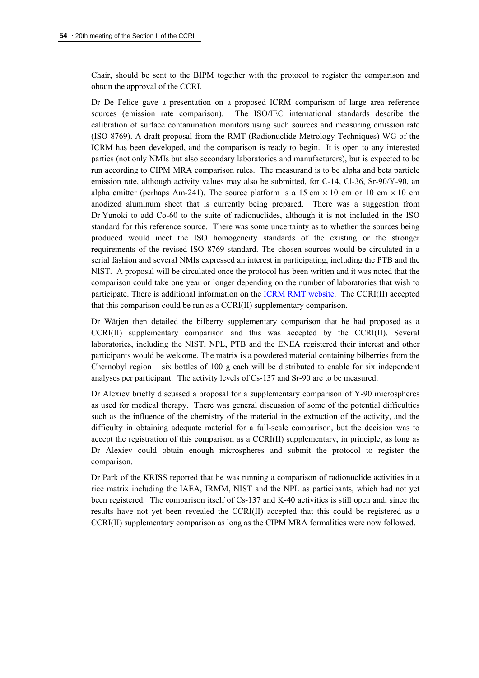Chair, should be sent to the BIPM together with the protocol to register the comparison and obtain the approval of the CCRI.

Dr De Felice gave a presentation on a proposed ICRM comparison of large area reference sources (emission rate comparison). The ISO/IEC international standards describe the calibration of surface contamination monitors using such sources and measuring emission rate (ISO 8769). A draft proposal from the RMT (Radionuclide Metrology Techniques) WG of the ICRM has been developed, and the comparison is ready to begin. It is open to any interested parties (not only NMIs but also secondary laboratories and manufacturers), but is expected to be run according to CIPM MRA comparison rules. The measurand is to be alpha and beta particle emission rate, although activity values may also be submitted, for C-14, Cl-36, Sr-90/Y-90, an alpha emitter (perhaps Am-241). The source platform is a 15 cm  $\times$  10 cm or 10 cm  $\times$  10 cm anodized aluminum sheet that is currently being prepared. There was a suggestion from Dr Yunoki to add Co-60 to the suite of radionuclides, although it is not included in the ISO standard for this reference source. There was some uncertainty as to whether the sources being produced would meet the ISO homogeneity standards of the existing or the stronger requirements of the revised ISO 8769 standard. The chosen sources would be circulated in a serial fashion and several NMIs expressed an interest in participating, including the PTB and the NIST. A proposal will be circulated once the protocol has been written and it was noted that the comparison could take one year or longer depending on the number of laboratories that wish to participate. There is additional information on the [ICRM RMT website.](http://users.skynet.be/icrmrmt/Projects/WAS/WAS.html) The CCRI(II) accepted that this comparison could be run as a CCRI(II) supplementary comparison.

Dr Wätjen then detailed the bilberry supplementary comparison that he had proposed as a CCRI(II) supplementary comparison and this was accepted by the CCRI(II). Several laboratories, including the NIST, NPL, PTB and the ENEA registered their interest and other participants would be welcome. The matrix is a powdered material containing bilberries from the Chernobyl region – six bottles of 100 g each will be distributed to enable for six independent analyses per participant. The activity levels of Cs-137 and Sr-90 are to be measured.

Dr Alexiev briefly discussed a proposal for a supplementary comparison of Y-90 microspheres as used for medical therapy. There was general discussion of some of the potential difficulties such as the influence of the chemistry of the material in the extraction of the activity, and the difficulty in obtaining adequate material for a full-scale comparison, but the decision was to accept the registration of this comparison as a CCRI(II) supplementary, in principle, as long as Dr Alexiev could obtain enough microspheres and submit the protocol to register the comparison.

Dr Park of the KRISS reported that he was running a comparison of radionuclide activities in a rice matrix including the IAEA, IRMM, NIST and the NPL as participants, which had not yet been registered. The comparison itself of Cs-137 and K-40 activities is still open and, since the results have not yet been revealed the CCRI(II) accepted that this could be registered as a CCRI(II) supplementary comparison as long as the CIPM MRA formalities were now followed.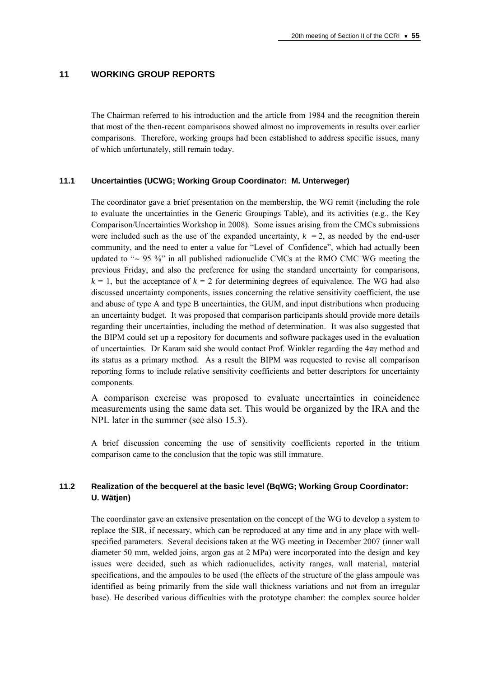## **11 WORKING GROUP REPORTS**

The Chairman referred to his introduction and the article from 1984 and the recognition therein that most of the then-recent comparisons showed almost no improvements in results over earlier comparisons. Therefore, working groups had been established to address specific issues, many of which unfortunately, still remain today.

### <span id="page-54-0"></span>**11.1 Uncertainties (UCWG; Working Group Coordinator: M. Unterweger)**

The coordinator gave a brief presentation on the membership, the WG remit (including the role to evaluate the uncertainties in the Generic Groupings Table), and its activities (e.g., the Key Comparison/Uncertainties Workshop in 2008). Some issues arising from the CMCs submissions were included such as the use of the expanded uncertainty,  $k = 2$ , as needed by the end-user community, and the need to enter a value for "Level of Confidence", which had actually been updated to "~ 95 %" in all published radionuclide CMCs at the RMO CMC WG meeting the previous Friday, and also the preference for using the standard uncertainty for comparisons,  $k = 1$ , but the acceptance of  $k = 2$  for determining degrees of equivalence. The WG had also discussed uncertainty components, issues concerning the relative sensitivity coefficient, the use and abuse of type A and type B uncertainties, the GUM, and input distributions when producing an uncertainty budget. It was proposed that comparison participants should provide more details regarding their uncertainties, including the method of determination. It was also suggested that the BIPM could set up a repository for documents and software packages used in the evaluation of uncertainties. Dr Karam said she would contact Prof. Winkler regarding the  $4\pi\gamma$  method and its status as a primary method. As a result the BIPM was requested to revise all comparison reporting forms to include relative sensitivity coefficients and better descriptors for uncertainty components.

A comparison exercise was proposed to evaluate uncertainties in coincidence measurements using the same data set. This would be organized by the IRA and the NPL later in the summer (see also 15.3).

A brief discussion concerning the use of sensitivity coefficients reported in the tritium comparison came to the conclusion that the topic was still immature.

## **11.2 Realization of the becquerel at the basic level (BqWG; Working Group Coordinator: U. Wätjen)**

The coordinator gave an extensive presentation on the concept of the WG to develop a system to replace the SIR, if necessary, which can be reproduced at any time and in any place with wellspecified parameters. Several decisions taken at the WG meeting in December 2007 (inner wall diameter 50 mm, welded joins, argon gas at 2 MPa) were incorporated into the design and key issues were decided, such as which radionuclides, activity ranges, wall material, material specifications, and the ampoules to be used (the effects of the structure of the glass ampoule was identified as being primarily from the side wall thickness variations and not from an irregular base). He described various difficulties with the prototype chamber: the complex source holder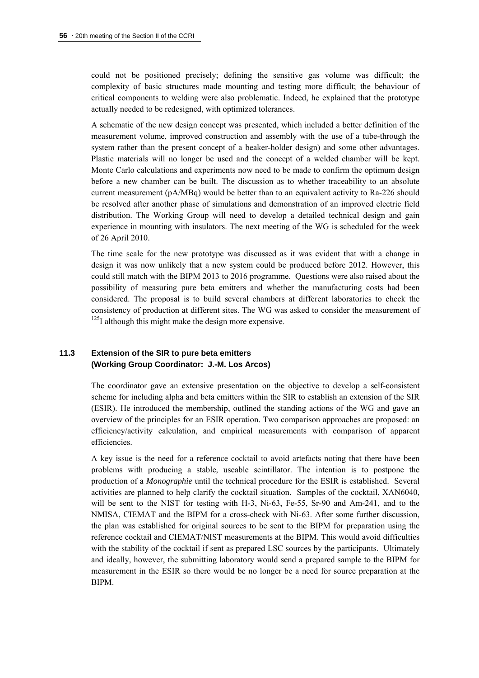could not be positioned precisely; defining the sensitive gas volume was difficult; the complexity of basic structures made mounting and testing more difficult; the behaviour of critical components to welding were also problematic. Indeed, he explained that the prototype actually needed to be redesigned, with optimized tolerances.

A schematic of the new design concept was presented, which included a better definition of the measurement volume, improved construction and assembly with the use of a tube-through the system rather than the present concept of a beaker-holder design) and some other advantages. Plastic materials will no longer be used and the concept of a welded chamber will be kept. Monte Carlo calculations and experiments now need to be made to confirm the optimum design before a new chamber can be built. The discussion as to whether traceability to an absolute current measurement (pA/MBq) would be better than to an equivalent activity to Ra-226 should be resolved after another phase of simulations and demonstration of an improved electric field distribution. The Working Group will need to develop a detailed technical design and gain experience in mounting with insulators. The next meeting of the WG is scheduled for the week of 26 April 2010.

The time scale for the new prototype was discussed as it was evident that with a change in design it was now unlikely that a new system could be produced before 2012. However, this could still match with the BIPM 2013 to 2016 programme. Questions were also raised about the possibility of measuring pure beta emitters and whether the manufacturing costs had been considered. The proposal is to build several chambers at different laboratories to check the consistency of production at different sites. The WG was asked to consider the measurement of  $125$ I although this might make the design more expensive.

## **11.3 Extension of the SIR to pure beta emitters (Working Group Coordinator: J.-M. Los Arcos)**

The coordinator gave an extensive presentation on the objective to develop a self-consistent scheme for including alpha and beta emitters within the SIR to establish an extension of the SIR (ESIR). He introduced the membership, outlined the standing actions of the WG and gave an overview of the principles for an ESIR operation. Two comparison approaches are proposed: an efficiency/activity calculation, and empirical measurements with comparison of apparent efficiencies.

A key issue is the need for a reference cocktail to avoid artefacts noting that there have been problems with producing a stable, useable scintillator. The intention is to postpone the production of a *Monographie* until the technical procedure for the ESIR is established. Several activities are planned to help clarify the cocktail situation. Samples of the cocktail, XAN6040, will be sent to the NIST for testing with H-3, Ni-63, Fe-55, Sr-90 and Am-241, and to the NMISA, CIEMAT and the BIPM for a cross-check with Ni-63. After some further discussion, the plan was established for original sources to be sent to the BIPM for preparation using the reference cocktail and CIEMAT/NIST measurements at the BIPM. This would avoid difficulties with the stability of the cocktail if sent as prepared LSC sources by the participants. Ultimately and ideally, however, the submitting laboratory would send a prepared sample to the BIPM for measurement in the ESIR so there would be no longer be a need for source preparation at the BIPM.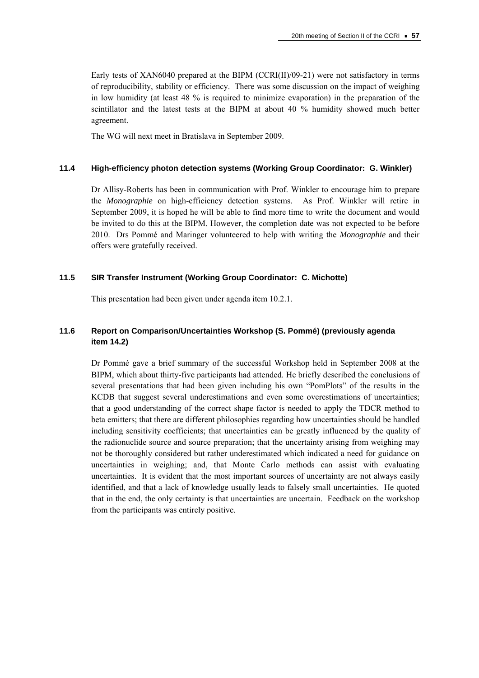Early tests of XAN6040 prepared at the BIPM (CCRI(II)/09-21) were not satisfactory in terms of reproducibility, stability or efficiency. There was some discussion on the impact of weighing in low humidity (at least 48 % is required to minimize evaporation) in the preparation of the scintillator and the latest tests at the BIPM at about 40 % humidity showed much better agreement.

The WG will next meet in Bratislava in September 2009.

### **11.4 High-efficiency photon detection systems (Working Group Coordinator: G. Winkler)**

Dr Allisy-Roberts has been in communication with Prof. Winkler to encourage him to prepare the *Monographie* on high-efficiency detection systems. As Prof. Winkler will retire in September 2009, it is hoped he will be able to find more time to write the document and would be invited to do this at the BIPM. However, the completion date was not expected to be before 2010. Drs Pommé and Maringer volunteered to help with writing the *Monographie* and their offers were gratefully received.

### **11.5 SIR Transfer Instrument (Working Group Coordinator: C. Michotte)**

This presentation had been given under agenda item 10.2.1.

## **11.6 Report on Comparison/Uncertainties Workshop (S. Pommé) (previously agenda item 14.2)**

Dr Pommé gave a brief summary of the successful Workshop held in September 2008 at the BIPM, which about thirty-five participants had attended. He briefly described the conclusions of several presentations that had been given including his own "PomPlots" of the results in the KCDB that suggest several underestimations and even some overestimations of uncertainties; that a good understanding of the correct shape factor is needed to apply the TDCR method to beta emitters; that there are different philosophies regarding how uncertainties should be handled including sensitivity coefficients; that uncertainties can be greatly influenced by the quality of the radionuclide source and source preparation; that the uncertainty arising from weighing may not be thoroughly considered but rather underestimated which indicated a need for guidance on uncertainties in weighing; and, that Monte Carlo methods can assist with evaluating uncertainties. It is evident that the most important sources of uncertainty are not always easily identified, and that a lack of knowledge usually leads to falsely small uncertainties. He quoted that in the end, the only certainty is that uncertainties are uncertain. Feedback on the workshop from the participants was entirely positive.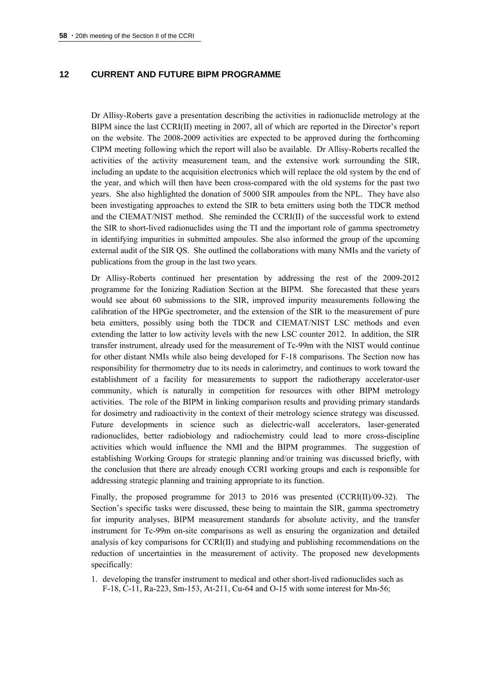### **12 CURRENT AND FUTURE BIPM PROGRAMME**

Dr Allisy-Roberts gave a presentation describing the activities in radionuclide metrology at the BIPM since the last CCRI(II) meeting in 2007, all of which are reported in the Director's report on the website. The 2008-2009 activities are expected to be approved during the forthcoming CIPM meeting following which the report will also be available. Dr Allisy-Roberts recalled the activities of the activity measurement team, and the extensive work surrounding the SIR, including an update to the acquisition electronics which will replace the old system by the end of the year, and which will then have been cross-compared with the old systems for the past two years. She also highlighted the donation of 5000 SIR ampoules from the NPL. They have also been investigating approaches to extend the SIR to beta emitters using both the TDCR method and the CIEMAT/NIST method. She reminded the CCRI(II) of the successful work to extend the SIR to short-lived radionuclides using the TI and the important role of gamma spectrometry in identifying impurities in submitted ampoules. She also informed the group of the upcoming external audit of the SIR QS. She outlined the collaborations with many NMIs and the variety of publications from the group in the last two years.

Dr Allisy-Roberts continued her presentation by addressing the rest of the 2009-2012 programme for the Ionizing Radiation Section at the BIPM. She forecasted that these years would see about 60 submissions to the SIR, improved impurity measurements following the calibration of the HPGe spectrometer, and the extension of the SIR to the measurement of pure beta emitters, possibly using both the TDCR and CIEMAT/NIST LSC methods and even extending the latter to low activity levels with the new LSC counter 2012. In addition, the SIR transfer instrument, already used for the measurement of Tc-99m with the NIST would continue for other distant NMIs while also being developed for F-18 comparisons. The Section now has responsibility for thermometry due to its needs in calorimetry, and continues to work toward the establishment of a facility for measurements to support the radiotherapy accelerator-user community, which is naturally in competition for resources with other BIPM metrology activities. The role of the BIPM in linking comparison results and providing primary standards for dosimetry and radioactivity in the context of their metrology science strategy was discussed. Future developments in science such as dielectric-wall accelerators, laser-generated radionuclides, better radiobiology and radiochemistry could lead to more cross-discipline activities which would influence the NMI and the BIPM programmes. The suggestion of establishing Working Groups for strategic planning and/or training was discussed briefly, with the conclusion that there are already enough CCRI working groups and each is responsible for addressing strategic planning and training appropriate to its function.

Finally, the proposed programme for 2013 to 2016 was presented (CCRI(II)/09-32). The Section's specific tasks were discussed, these being to maintain the SIR, gamma spectrometry for impurity analyses, BIPM measurement standards for absolute activity, and the transfer instrument for Tc-99m on-site comparisons as well as ensuring the organization and detailed analysis of key comparisons for CCRI(II) and studying and publishing recommendations on the reduction of uncertainties in the measurement of activity. The proposed new developments specifically:

1. developing the transfer instrument to medical and other short-lived radionuclides such as F-18, C-11, Ra-223, Sm-153, At-211, Cu-64 and O-15 with some interest for Mn-56;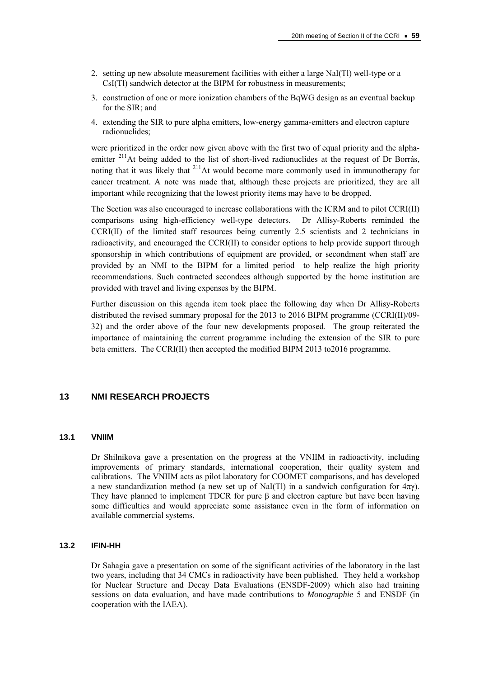- 2. setting up new absolute measurement facilities with either a large NaI(Tl) well-type or a CsI(Tl) sandwich detector at the BIPM for robustness in measurements;
- 3. construction of one or more ionization chambers of the BqWG design as an eventual backup for the SIR; and
- 4. extending the SIR to pure alpha emitters, low-energy gamma-emitters and electron capture radionuclides;

were prioritized in the order now given above with the first two of equal priority and the alphaemitter <sup>211</sup>At being added to the list of short-lived radionuclides at the request of Dr Borrás, noting that it was likely that <sup>211</sup>At would become more commonly used in immunotherapy for cancer treatment. A note was made that, although these projects are prioritized, they are all important while recognizing that the lowest priority items may have to be dropped.

The Section was also encouraged to increase collaborations with the ICRM and to pilot CCRI(II) comparisons using high-efficiency well-type detectors. Dr Allisy-Roberts reminded the CCRI(II) of the limited staff resources being currently 2.5 scientists and 2 technicians in radioactivity, and encouraged the CCRI(II) to consider options to help provide support through sponsorship in which contributions of equipment are provided, or secondment when staff are provided by an NMI to the BIPM for a limited period to help realize the high priority recommendations. Such contracted secondees although supported by the home institution are provided with travel and living expenses by the BIPM.

Further discussion on this agenda item took place the following day when Dr Allisy-Roberts distributed the revised summary proposal for the 2013 to 2016 BIPM programme (CCRI(II)/09- 32) and the order above of the four new developments proposed. The group reiterated the importance of maintaining the current programme including the extension of the SIR to pure beta emitters. The CCRI(II) then accepted the modified BIPM 2013 to2016 programme.

## **13 NMI RESEARCH PROJECTS**

### **13.1 VNIIM**

Dr Shilnikova gave a presentation on the progress at the VNIIM in radioactivity, including improvements of primary standards, international cooperation, their quality system and calibrations. The VNIIM acts as pilot laboratory for COOMET comparisons, and has developed a new standardization method (a new set up of NaI(Tl) in a sandwich configuration for  $4\pi y$ ). They have planned to implement TDCR for pure  $\beta$  and electron capture but have been having some difficulties and would appreciate some assistance even in the form of information on available commercial systems.

### **13.2 IFIN-HH**

Dr Sahagia gave a presentation on some of the significant activities of the laboratory in the last two years, including that 34 CMCs in radioactivity have been published. They held a workshop for Nuclear Structure and Decay Data Evaluations (ENSDF-2009) which also had training sessions on data evaluation, and have made contributions to *Monographie* 5 and ENSDF (in cooperation with the IAEA).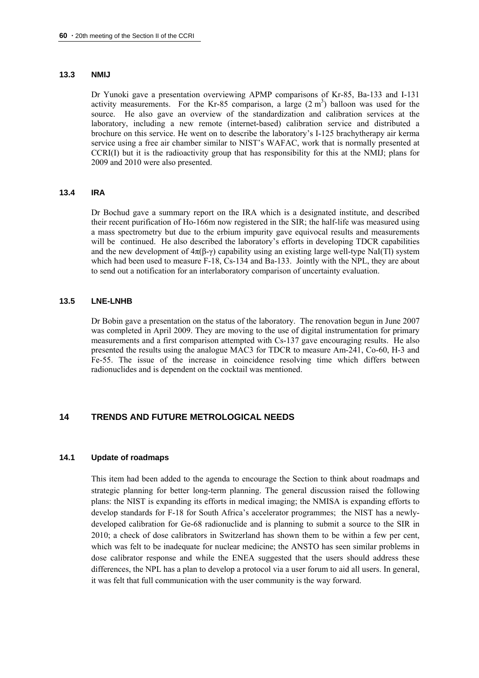#### **13.3 NMIJ**

Dr Yunoki gave a presentation overviewing APMP comparisons of Kr-85, Ba-133 and I-131 activity measurements. For the Kr-85 comparison, a large  $(2 \text{ m}^3)$  balloon was used for the source. He also gave an overview of the standardization and calibration services at the laboratory, including a new remote (internet-based) calibration service and distributed a brochure on this service. He went on to describe the laboratory's I-125 brachytherapy air kerma service using a free air chamber similar to NIST's WAFAC, work that is normally presented at CCRI(I) but it is the radioactivity group that has responsibility for this at the NMIJ; plans for 2009 and 2010 were also presented.

#### **13.4 IRA**

Dr Bochud gave a summary report on the IRA which is a designated institute, and described their recent purification of Ho-166m now registered in the SIR; the half-life was measured using a mass spectrometry but due to the erbium impurity gave equivocal results and measurements will be continued. He also described the laboratory's efforts in developing TDCR capabilities and the new development of  $4\pi(\beta-\gamma)$  capability using an existing large well-type NaI(Tl) system which had been used to measure F-18, Cs-134 and Ba-133. Jointly with the NPL, they are about to send out a notification for an interlaboratory comparison of uncertainty evaluation.

#### **13.5 LNE-LNHB**

Dr Bobin gave a presentation on the status of the laboratory. The renovation begun in June 2007 was completed in April 2009. They are moving to the use of digital instrumentation for primary measurements and a first comparison attempted with Cs-137 gave encouraging results. He also presented the results using the analogue MAC3 for TDCR to measure Am-241, Co-60, H-3 and Fe-55. The issue of the increase in coincidence resolving time which differs between radionuclides and is dependent on the cocktail was mentioned.

### **14 TRENDS AND FUTURE METROLOGICAL NEEDS**

### **14.1 Update of roadmaps**

This item had been added to the agenda to encourage the Section to think about roadmaps and strategic planning for better long-term planning. The general discussion raised the following plans: the NIST is expanding its efforts in medical imaging; the NMISA is expanding efforts to develop standards for F-18 for South Africa's accelerator programmes; the NIST has a newlydeveloped calibration for Ge-68 radionuclide and is planning to submit a source to the SIR in 2010; a check of dose calibrators in Switzerland has shown them to be within a few per cent, which was felt to be inadequate for nuclear medicine; the ANSTO has seen similar problems in dose calibrator response and while the ENEA suggested that the users should address these differences, the NPL has a plan to develop a protocol via a user forum to aid all users. In general, it was felt that full communication with the user community is the way forward.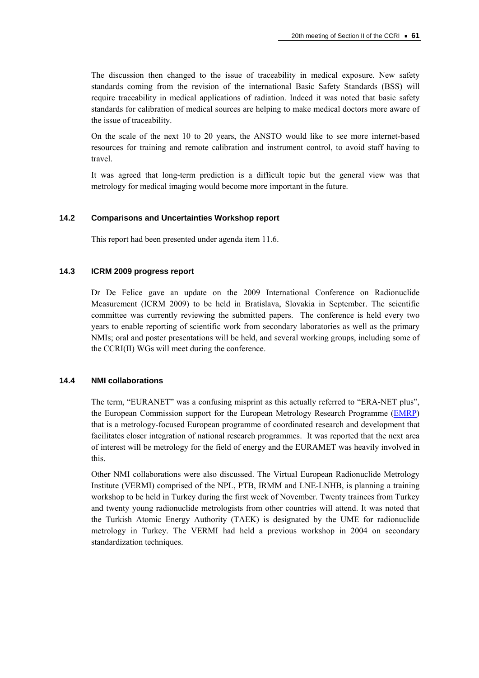The discussion then changed to the issue of traceability in medical exposure. New safety standards coming from the revision of the international Basic Safety Standards (BSS) will require traceability in medical applications of radiation. Indeed it was noted that basic safety standards for calibration of medical sources are helping to make medical doctors more aware of the issue of traceability.

On the scale of the next 10 to 20 years, the ANSTO would like to see more internet-based resources for training and remote calibration and instrument control, to avoid staff having to travel.

It was agreed that long-term prediction is a difficult topic but the general view was that metrology for medical imaging would become more important in the future.

### **14.2 Comparisons and Uncertainties Workshop report**

This report had been presented under agenda item 11.6.

### **14.3 ICRM 2009 progress report**

Dr De Felice gave an update on the 2009 International Conference on Radionuclide Measurement (ICRM 2009) to be held in Bratislava, Slovakia in September. The scientific committee was currently reviewing the submitted papers. The conference is held every two years to enable reporting of scientific work from secondary laboratories as well as the primary NMIs; oral and poster presentations will be held, and several working groups, including some of the CCRI(II) WGs will meet during the conference.

### **14.4 NMI collaborations**

The term, "EURANET" was a confusing misprint as this actually referred to "ERA-NET plus", the European Commission support for the European Metrology Research Programme [\(EMRP](http://www.emrponline.eu/)) that is a metrology-focused European programme of coordinated research and development that facilitates closer integration of national research programmes. It was reported that the next area of interest will be metrology for the field of energy and the EURAMET was heavily involved in this.

Other NMI collaborations were also discussed. The Virtual European Radionuclide Metrology Institute (VERMI) comprised of the NPL, PTB, IRMM and LNE-LNHB, is planning a training workshop to be held in Turkey during the first week of November. Twenty trainees from Turkey and twenty young radionuclide metrologists from other countries will attend. It was noted that the Turkish Atomic Energy Authority (TAEK) is designated by the UME for radionuclide metrology in Turkey. The VERMI had held a previous workshop in 2004 on secondary standardization techniques.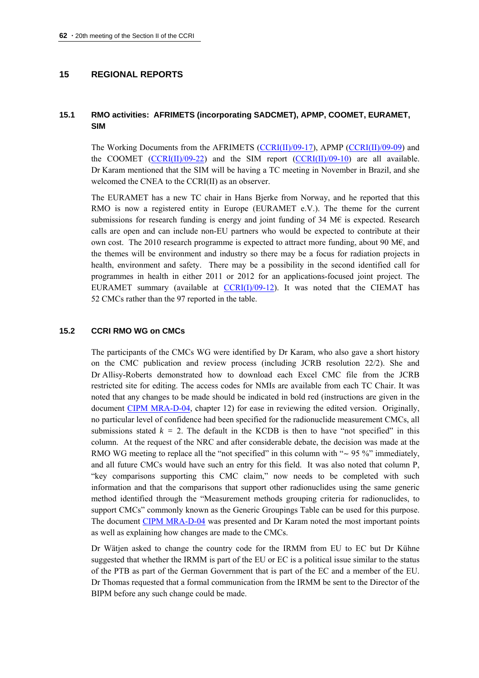### **15 REGIONAL REPORTS**

### **15.1 RMO activities: AFRIMETS (incorporating SADCMET), APMP, COOMET, EURAMET, SIM**

The Working Documents from the AFRIMETS [\(CCRI\(II\)/09-17](http://www.bipm.org/cc/CCRI(II)/Allowed/20/CCRI(II)09-17.pdf)), APMP ([CCRI\(II\)/09-09\)](http://www.bipm.org/cc/CCRI(II)/Allowed/20/CCRI(II)09-09.pdf) and the COOMET  $(CCRI(II)/09-22)$  and the SIM report  $(CCRI(II)/09-10)$  $(CCRI(II)/09-10)$  $(CCRI(II)/09-10)$  are all available. Dr Karam mentioned that the SIM will be having a TC meeting in November in Brazil, and she welcomed the CNEA to the CCRI(II) as an observer.

The EURAMET has a new TC chair in Hans Bjerke from Norway, and he reported that this RMO is now a registered entity in Europe (EURAMET e.V.). The theme for the current submissions for research funding is energy and joint funding of 34 M€ is expected. Research calls are open and can include non-EU partners who would be expected to contribute at their own cost. The 2010 research programme is expected to attract more funding, about 90 M€, and the themes will be environment and industry so there may be a focus for radiation projects in health, environment and safety. There may be a possibility in the second identified call for programmes in health in either 2011 or 2012 for an applications-focused joint project. The EURAMET summary (available at [CCRI\(I\)/09-12\)](http://www.bipm.org/cc/CCRI(I)/Allowed/19/CCRI(I)09-12.pdf). It was noted that the CIEMAT has 52 CMCs rather than the 97 reported in the table.

### **15.2 CCRI RMO WG on CMCs**

The participants of the CMCs WG were identified by Dr Karam, who also gave a short history on the CMC publication and review process (including JCRB resolution 22/2). She and Dr Allisy-Roberts demonstrated how to download each Excel CMC file from the JCRB restricted site for editing. The access codes for NMIs are available from each TC Chair. It was noted that any changes to be made should be indicated in bold red (instructions are given in the document [CIPM MRA-D-04,](http://www.bipm.org/utils/common/CIPM_MRA/CIPM_MRA-D-04.pdf) chapter 12) for ease in reviewing the edited version. Originally, no particular level of confidence had been specified for the radionuclide measurement CMCs, all submissions stated  $k = 2$ . The default in the KCDB is then to have "not specified" in this column. At the request of the NRC and after considerable debate, the decision was made at the RMO WG meeting to replace all the "not specified" in this column with " $\sim$  95 %" immediately, and all future CMCs would have such an entry for this field. It was also noted that column P, "key comparisons supporting this CMC claim," now needs to be completed with such information and that the comparisons that support other radionuclides using the same generic method identified through the "Measurement methods grouping criteria for radionuclides, to support CMCs" commonly known as the Generic Groupings Table can be used for this purpose. The document [CIPM MRA-D-04](#page-61-0) was presented and Dr Karam noted the most important points as well as explaining how changes are made to the CMCs.

<span id="page-61-0"></span>Dr Wätjen asked to change the country code for the IRMM from EU to EC but Dr Kühne suggested that whether the IRMM is part of the EU or EC is a political issue similar to the status of the PTB as part of the German Government that is part of the EC and a member of the EU. Dr Thomas requested that a formal communication from the IRMM be sent to the Director of the BIPM before any such change could be made.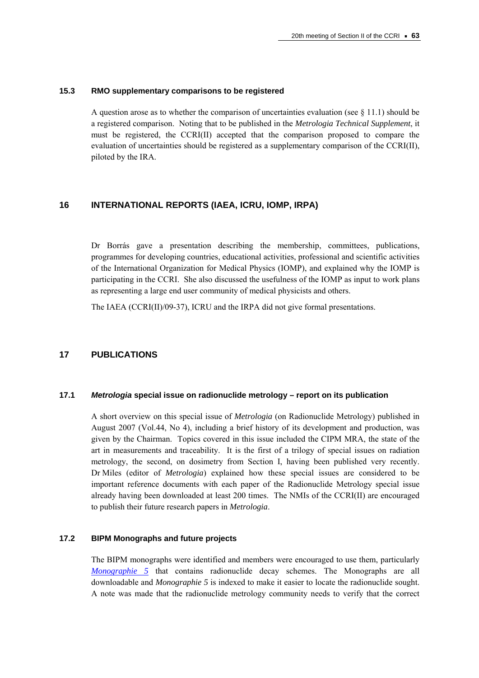#### **15.3 RMO supplementary comparisons to be registered**

A question arose as to whether the comparison of uncertainties evaluation (see § [11.1\)](#page-54-0) should be a registered comparison. Noting that to be published in the *Metrologia Technical Supplement*, it must be registered, the CCRI(II) accepted that the comparison proposed to compare the evaluation of uncertainties should be registered as a supplementary comparison of the CCRI(II), piloted by the IRA.

## **16 INTERNATIONAL REPORTS (IAEA, ICRU, IOMP, IRPA)**

Dr Borrás gave a presentation describing the membership, committees, publications, programmes for developing countries, educational activities, professional and scientific activities of the International Organization for Medical Physics (IOMP), and explained why the IOMP is participating in the CCRI. She also discussed the usefulness of the IOMP as input to work plans as representing a large end user community of medical physicists and others.

The IAEA (CCRI(II)/09-37), ICRU and the IRPA did not give formal presentations.

## **17 PUBLICATIONS**

### **17.1** *Metrologia* **special issue on radionuclide metrology – report on its publication**

A short overview on this special issue of *Metrologia* (on Radionuclide Metrology) published in August 2007 (Vol.44, No 4), including a brief history of its development and production, was given by the Chairman. Topics covered in this issue included the CIPM MRA, the state of the art in measurements and traceability. It is the first of a trilogy of special issues on radiation metrology, the second, on dosimetry from Section I, having been published very recently. Dr Miles (editor of *Metrologia*) explained how these special issues are considered to be important reference documents with each paper of the Radionuclide Metrology special issue already having been downloaded at least 200 times. The NMIs of the CCRI(II) are encouraged to publish their future research papers in *Metrologia*.

### **17.2 BIPM Monographs and future projects**

The BIPM monographs were identified and members were encouraged to use them, particularly *[Monographie 5](http://www.bipm.org/en/publications/monographie-ri-5.html)* that contains radionuclide decay schemes. The Monographs are all downloadable and *Monographie 5* is indexed to make it easier to locate the radionuclide sought. A note was made that the radionuclide metrology community needs to verify that the correct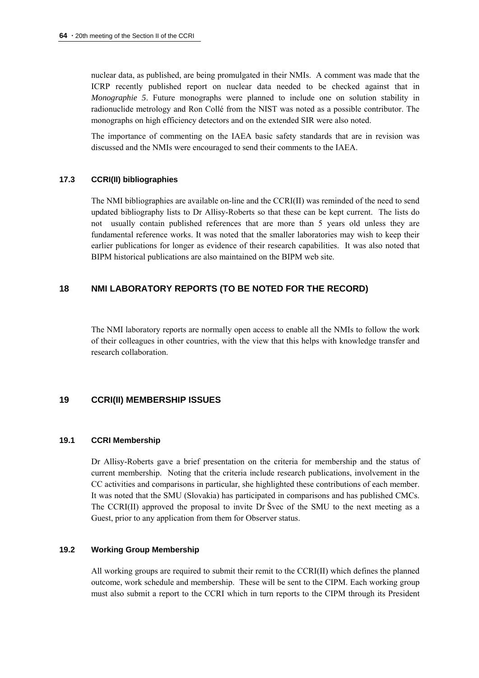nuclear data, as published, are being promulgated in their NMIs. A comment was made that the ICRP recently published report on nuclear data needed to be checked against that in *Monographie 5*. Future monographs were planned to include one on solution stability in radionuclide metrology and Ron Collé from the NIST was noted as a possible contributor. The monographs on high efficiency detectors and on the extended SIR were also noted.

The importance of commenting on the IAEA basic safety standards that are in revision was discussed and the NMIs were encouraged to send their comments to the IAEA.

### **17.3 CCRI(II) bibliographies**

The NMI bibliographies are available on-line and the CCRI(II) was reminded of the need to send updated bibliography lists to Dr Allisy-Roberts so that these can be kept current. The lists do not usually contain published references that are more than 5 years old unless they are fundamental reference works. It was noted that the smaller laboratories may wish to keep their earlier publications for longer as evidence of their research capabilities. It was also noted that BIPM historical publications are also maintained on the BIPM web site.

## **18 NMI LABORATORY REPORTS (TO BE NOTED FOR THE RECORD)**

The NMI laboratory reports are normally open access to enable all the NMIs to follow the work of their colleagues in other countries, with the view that this helps with knowledge transfer and research collaboration.

#### **19 CCRI(II) MEMBERSHIP ISSUES**

#### **19.1 CCRI Membership**

Dr Allisy-Roberts gave a brief presentation on the criteria for membership and the status of current membership. Noting that the criteria include research publications, involvement in the CC activities and comparisons in particular, she highlighted these contributions of each member. It was noted that the SMU (Slovakia) has participated in comparisons and has published CMCs. The CCRI(II) approved the proposal to invite Dr Švec of the SMU to the next meeting as a Guest, prior to any application from them for Observer status.

### **19.2 Working Group Membership**

All working groups are required to submit their remit to the CCRI(II) which defines the planned outcome, work schedule and membership. These will be sent to the CIPM. Each working group must also submit a report to the CCRI which in turn reports to the CIPM through its President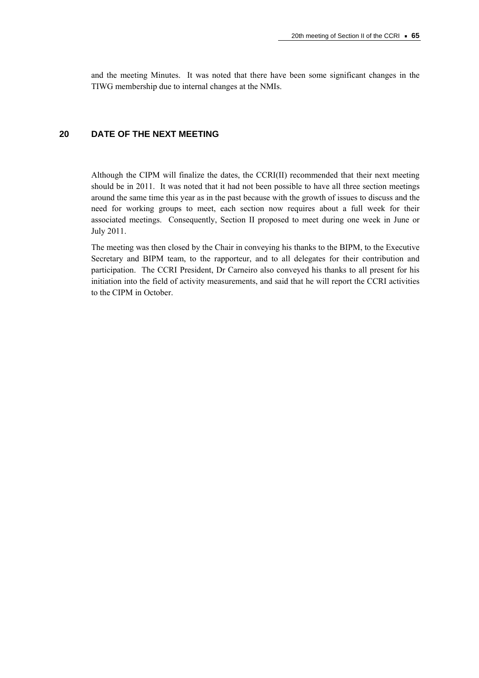and the meeting Minutes. It was noted that there have been some significant changes in the TIWG membership due to internal changes at the NMIs.

## **20 DATE OF THE NEXT MEETING**

Although the CIPM will finalize the dates, the CCRI(II) recommended that their next meeting should be in 2011. It was noted that it had not been possible to have all three section meetings around the same time this year as in the past because with the growth of issues to discuss and the need for working groups to meet, each section now requires about a full week for their associated meetings. Consequently, Section II proposed to meet during one week in June or July 2011.

The meeting was then closed by the Chair in conveying his thanks to the BIPM, to the Executive Secretary and BIPM team, to the rapporteur, and to all delegates for their contribution and participation. The CCRI President, Dr Carneiro also conveyed his thanks to all present for his initiation into the field of activity measurements, and said that he will report the CCRI activities to the CIPM in October.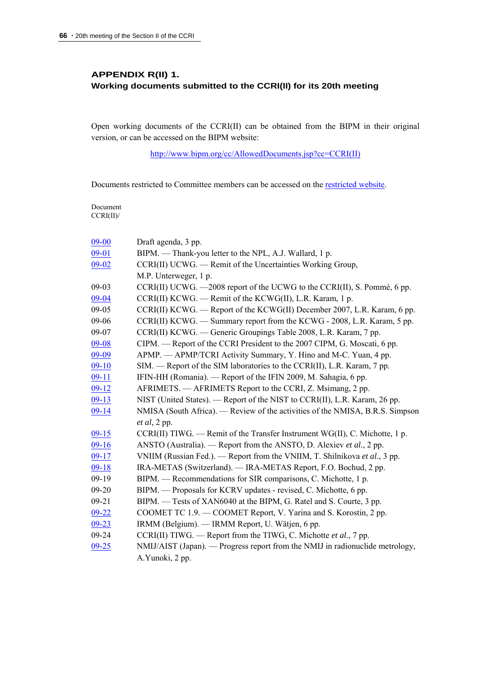# **APPENDIX R(II) 1. Working documents submitted to the CCRI(II) for its 20th meeting**

Open working documents of the CCRI(II) can be obtained from the BIPM in their original version, or can be accessed on the BIPM website:

[http://www.bipm.org/cc/AllowedDocuments.jsp?cc=CCRI\(II\)](http://www.bipm.org/cc/AllowedDocuments.jsp?cc=CCRI(II))

Documents restricted to Committee members can be accessed on the [restricted website](http://www.bipm.org/cc/CCRI(II)/Restricted/WorkingDocuments.jsp).

| Document |  |
|----------|--|
| CCRI(II) |  |

| $09 - 00$ | Draft agenda, 3 pp.                                                           |
|-----------|-------------------------------------------------------------------------------|
| $09 - 01$ | BIPM. — Thank-you letter to the NPL, A.J. Wallard, 1 p.                       |
| $09 - 02$ | CCRI(II) UCWG. — Remit of the Uncertainties Working Group,                    |
|           | M.P. Unterweger, 1 p.                                                         |
| $09-03$   | CCRI(II) UCWG. -2008 report of the UCWG to the CCRI(II), S. Pommé, 6 pp.      |
| $09 - 04$ | CCRI(II) KCWG. — Remit of the KCWG(II), L.R. Karam, 1 p.                      |
| $09 - 05$ | CCRI(II) KCWG. — Report of the KCWG(II) December 2007, L.R. Karam, 6 pp.      |
| 09-06     | CCRI(II) KCWG. — Summary report from the KCWG - 2008, L.R. Karam, 5 pp.       |
| 09-07     | CCRI(II) KCWG. — Generic Groupings Table 2008, L.R. Karam, 7 pp.              |
| 09-08     | CIPM. — Report of the CCRI President to the 2007 CIPM, G. Moscati, 6 pp.      |
| 09-09     | APMP. — APMP/TCRI Activity Summary, Y. Hino and M-C. Yuan, 4 pp.              |
| $09-10$   | SIM. — Report of the SIM laboratories to the CCRI(II), L.R. Karam, 7 pp.      |
| $09-11$   | IFIN-HH (Romania). — Report of the IFIN 2009, M. Sahagia, 6 pp.               |
| $09-12$   | AFRIMETS. — AFRIMETS Report to the CCRI, Z. Msimang, 2 pp.                    |
| $09-13$   | NIST (United States). - Report of the NIST to CCRI(II), L.R. Karam, 26 pp.    |
| $09 - 14$ | NMISA (South Africa). — Review of the activities of the NMISA, B.R.S. Simpson |
|           | $et al$ , 2 pp.                                                               |
| $09-15$   | CCRI(II) TIWG. — Remit of the Transfer Instrument WG(II), C. Michotte, 1 p.   |
| $09 - 16$ | ANSTO (Australia). — Report from the ANSTO, D. Alexiev et al., 2 pp.          |
| $09-17$   | VNIIM (Russian Fed.). — Report from the VNIIM, T. Shilnikova et al., 3 pp.    |
| $09 - 18$ | IRA-METAS (Switzerland). — IRA-METAS Report, F.O. Bochud, 2 pp.               |
| $09-19$   | BIPM. — Recommendations for SIR comparisons, C. Michotte, 1 p.                |
| 09-20     | BIPM. — Proposals for KCRV updates - revised, C. Michotte, 6 pp.              |
| $09-21$   | BIPM. — Tests of XAN6040 at the BIPM, G. Ratel and S. Courte, 3 pp.           |
| $09 - 22$ | COOMET TC 1.9. - COOMET Report, V. Yarina and S. Korostin, 2 pp.              |
| $09 - 23$ | IRMM (Belgium). — IRMM Report, U. Wätjen, 6 pp.                               |
| 09-24     | CCRI(II) TIWG. — Report from the TIWG, C. Michotte et al., 7 pp.              |
| $09 - 25$ | NMIJ/AIST (Japan). — Progress report from the NMIJ in radionuclide metrology, |
|           | A.Yunoki, 2 pp.                                                               |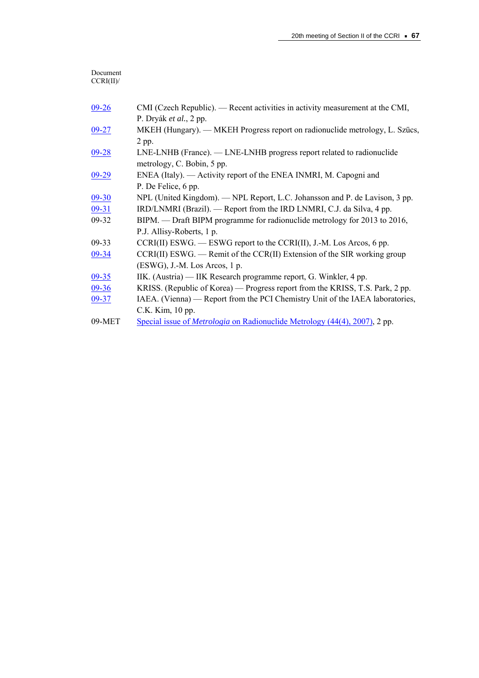#### Document CCRI(II)/

| $09 - 26$ | CMI (Czech Republic). — Recent activities in activity measurement at the CMI,     |
|-----------|-----------------------------------------------------------------------------------|
|           | P. Dryák et al., 2 pp.                                                            |
| $09 - 27$ | MKEH (Hungary). — MKEH Progress report on radionuclide metrology, L. Szücs,       |
|           | $2$ pp.                                                                           |
| $09 - 28$ | LNE-LNHB (France). — LNE-LNHB progress report related to radionuclide             |
|           | metrology, C. Bobin, 5 pp.                                                        |
| $09-29$   | ENEA (Italy). — Activity report of the ENEA INMRI, M. Capogni and                 |
|           | P. De Felice, 6 pp.                                                               |
| $09 - 30$ | NPL (United Kingdom). — NPL Report, L.C. Johansson and P. de Lavison, 3 pp.       |
| $09 - 31$ | IRD/LNMRI (Brazil). — Report from the IRD LNMRI, C.J. da Silva, 4 pp.             |
| 09-32     | BIPM. — Draft BIPM programme for radionuclide metrology for 2013 to 2016,         |
|           | P.J. Allisy-Roberts, 1 p.                                                         |
| $09 - 33$ | $CCRI(II)$ ESWG. — ESWG report to the CCRI(II), J.-M. Los Arcos, 6 pp.            |
| $09 - 34$ | $CCRI(II)$ ESWG. — Remit of the $CCR(II)$ Extension of the SIR working group      |
|           | $(ESWG)$ , J.-M. Los Arcos, 1 p.                                                  |
| $09 - 35$ | IIK. (Austria) — IIK Research programme report, G. Winkler, 4 pp.                 |
| $09 - 36$ | KRISS. (Republic of Korea) — Progress report from the KRISS, T.S. Park, 2 pp.     |
| $09 - 37$ | IAEA. (Vienna) — Report from the PCI Chemistry Unit of the IAEA laboratories,     |
|           | C.K. Kim, 10 pp.                                                                  |
| 09-MET    | Special issue of <i>Metrologia</i> on Radionuclide Metrology (44(4), 2007), 2 pp. |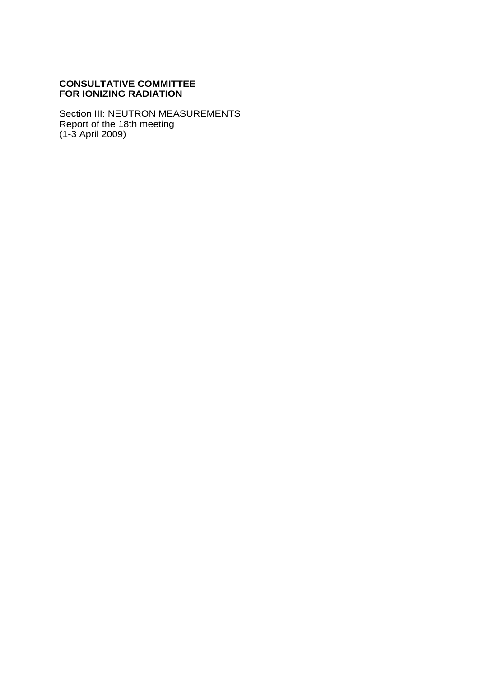# **CONSULTATIVE COMMITTEE FOR IONIZING RADIATION**

Section III: NEUTRON MEASUREMENTS Report of the 18th meeting (1-3 April 2009)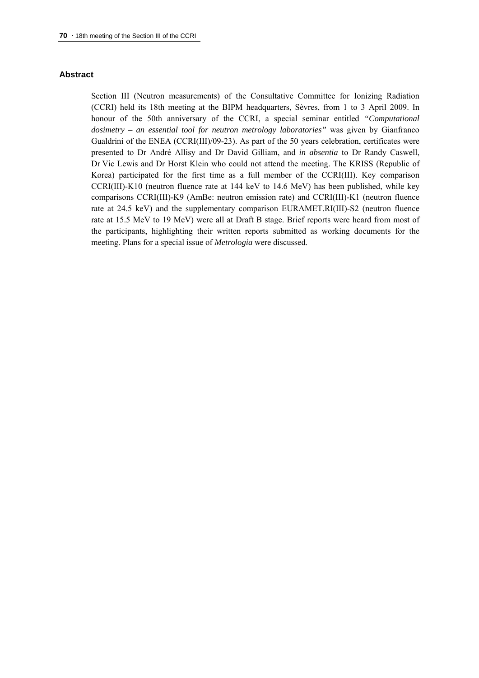### **Abstract**

Section III (Neutron measurements) of the Consultative Committee for Ionizing Radiation (CCRI) held its 18th meeting at the BIPM headquarters, Sèvres, from 1 to 3 April 2009. In honour of the 50th anniversary of the CCRI, a special seminar entitled *"Computational dosimetry – an essential tool for neutron metrology laboratories"* was given by Gianfranco Gualdrini of the ENEA (CCRI(III)/09-23). As part of the 50 years celebration, certificates were presented to Dr André Allisy and Dr David Gilliam, and *in absentia* to Dr Randy Caswell, Dr Vic Lewis and Dr Horst Klein who could not attend the meeting. The KRISS (Republic of Korea) participated for the first time as a full member of the CCRI(III). Key comparison CCRI(III)-K10 (neutron fluence rate at 144 keV to 14.6 MeV) has been published, while key comparisons CCRI(III)-K9 (AmBe: neutron emission rate) and CCRI(III)-K1 (neutron fluence rate at 24.5 keV) and the supplementary comparison EURAMET.RI(III)-S2 (neutron fluence rate at 15.5 MeV to 19 MeV) were all at Draft B stage. Brief reports were heard from most of the participants, highlighting their written reports submitted as working documents for the meeting. Plans for a special issue of *Metrologia* were discussed.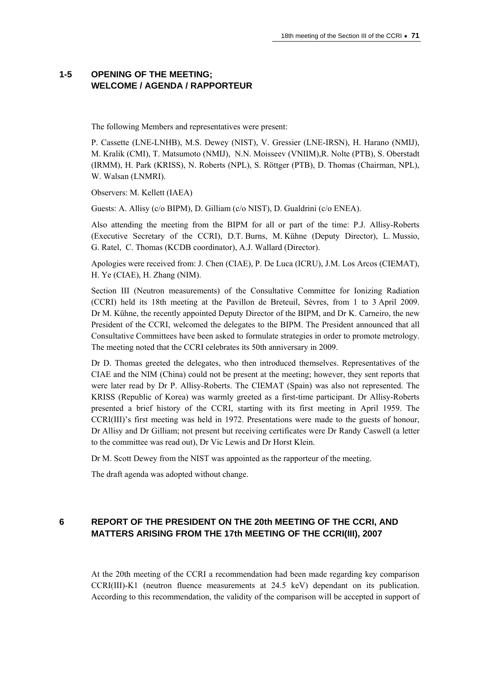# **1-5 OPENING OF THE MEETING; WELCOME / AGENDA / RAPPORTEUR**

The following Members and representatives were present:

P. Cassette (LNE-LNHB), M.S. Dewey (NIST), V. Gressier (LNE-IRSN), H. Harano (NMIJ), M. Kralik (CMI), T. Matsumoto (NMIJ), N.N. Moisseev (VNIIM),R. Nolte (PTB), S. Oberstadt (IRMM), H. Park (KRISS), N. Roberts (NPL), S. Röttger (PTB), D. Thomas (Chairman, NPL), W. Walsan (LNMRI).

Observers: M. Kellett (IAEA)

Guests: A. Allisy (c/o BIPM), D. Gilliam (c/o NIST), D. Gualdrini (c/o ENEA).

Also attending the meeting from the BIPM for all or part of the time: P.J. Allisy-Roberts (Executive Secretary of the CCRI), D.T. Burns, M. Kühne (Deputy Director), L. Mussio, G. Ratel, C. Thomas (KCDB coordinator), A.J. Wallard (Director).

Apologies were received from: J. Chen (CIAE), P. De Luca (ICRU), J.M. Los Arcos (CIEMAT), H. Ye (CIAE), H. Zhang (NIM).

Section III (Neutron measurements) of the Consultative Committee for Ionizing Radiation (CCRI) held its 18th meeting at the Pavillon de Breteuil, Sèvres, from 1 to 3 April 2009. Dr M. Kühne, the recently appointed Deputy Director of the BIPM, and Dr K. Carneiro, the new President of the CCRI, welcomed the delegates to the BIPM. The President announced that all Consultative Committees have been asked to formulate strategies in order to promote metrology. The meeting noted that the CCRI celebrates its 50th anniversary in 2009.

Dr D. Thomas greeted the delegates, who then introduced themselves. Representatives of the CIAE and the NIM (China) could not be present at the meeting; however, they sent reports that were later read by Dr P. Allisy-Roberts. The CIEMAT (Spain) was also not represented. The KRISS (Republic of Korea) was warmly greeted as a first-time participant. Dr Allisy-Roberts presented a brief history of the CCRI, starting with its first meeting in April 1959. The CCRI(III)'s first meeting was held in 1972. Presentations were made to the guests of honour, Dr Allisy and Dr Gilliam; not present but receiving certificates were Dr Randy Caswell (a letter to the committee was read out), Dr Vic Lewis and Dr Horst Klein.

Dr M. Scott Dewey from the NIST was appointed as the rapporteur of the meeting.

The draft agenda was adopted without change.

## **6 REPORT OF THE PRESIDENT ON THE 20th MEETING OF THE CCRI, AND MATTERS ARISING FROM THE 17th MEETING OF THE CCRI(III), 2007**

At the 20th meeting of the CCRI a recommendation had been made regarding key comparison CCRI(III)-K1 (neutron fluence measurements at 24.5 keV) dependant on its publication. According to this recommendation, the validity of the comparison will be accepted in support of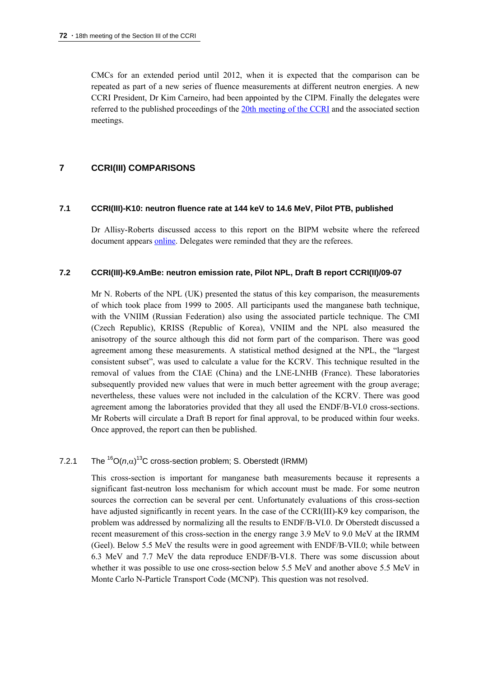CMCs for an extended period until 2012, when it is expected that the comparison can be repeated as part of a new series of fluence measurements at different neutron energies. A new CCRI President, Dr Kim Carneiro, had been appointed by the CIPM. Finally the delegates were referred to the published proceedings of the [20th meeting of the CCRI](http://www.bipm.org/en/committees/cc/ccri/publications_cc.html) and the associated section meetings.

## **7 CCRI(III) COMPARISONS**

#### **7.1 CCRI(III)-K10: neutron fluence rate at 144 keV to 14.6 MeV, Pilot PTB, published**

Dr Allisy-Roberts discussed access to this report on the BIPM website where the refereed document appears [online](http://kcdb.bipm.org/appendixB/KCDB_ApB_info.asp?cmp_idy=370&cmp_cod=CCRI(III)-K10&prov=exalead). Delegates were reminded that they are the referees.

### **7.2 CCRI(III)-K9.AmBe: neutron emission rate, Pilot NPL, Draft B report CCRI(II)/09-07**

Mr N. Roberts of the NPL (UK) presented the status of this key comparison, the measurements of which took place from 1999 to 2005. All participants used the manganese bath technique, with the VNIIM (Russian Federation) also using the associated particle technique. The CMI (Czech Republic), KRISS (Republic of Korea), VNIIM and the NPL also measured the anisotropy of the source although this did not form part of the comparison. There was good agreement among these measurements. A statistical method designed at the NPL, the "largest consistent subset", was used to calculate a value for the KCRV. This technique resulted in the removal of values from the CIAE (China) and the LNE-LNHB (France). These laboratories subsequently provided new values that were in much better agreement with the group average; nevertheless, these values were not included in the calculation of the KCRV. There was good agreement among the laboratories provided that they all used the ENDF/B-VI.0 cross-sections. Mr Roberts will circulate a Draft B report for final approval, to be produced within four weeks. Once approved, the report can then be published.

## 7.2.1 The  ${}^{16}O(n,\alpha){}^{13}C$  cross-section problem; S. Oberstedt (IRMM)

This cross-section is important for manganese bath measurements because it represents a significant fast-neutron loss mechanism for which account must be made. For some neutron sources the correction can be several per cent. Unfortunately evaluations of this cross-section have adjusted significantly in recent years. In the case of the CCRI(III)-K9 key comparison, the problem was addressed by normalizing all the results to ENDF/B-VI.0. Dr Oberstedt discussed a recent measurement of this cross-section in the energy range 3.9 MeV to 9.0 MeV at the IRMM (Geel). Below 5.5 MeV the results were in good agreement with ENDF/B-VII.0; while between 6.3 MeV and 7.7 MeV the data reproduce ENDF/B-VI.8. There was some discussion about whether it was possible to use one cross-section below 5.5 MeV and another above 5.5 MeV in Monte Carlo N-Particle Transport Code (MCNP). This question was not resolved.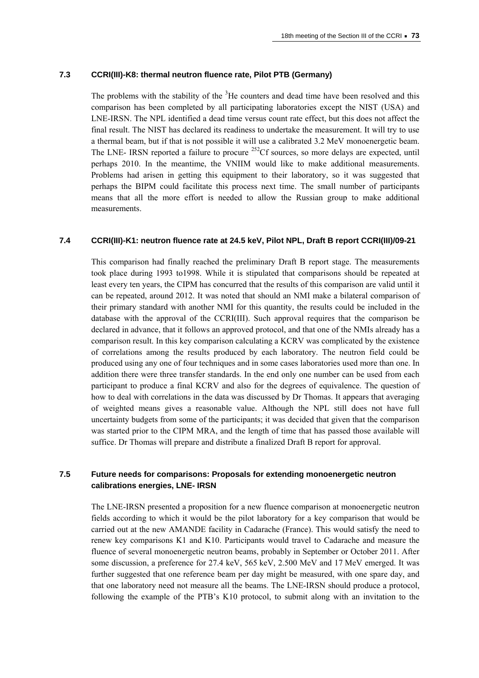## **7.3 CCRI(III)-K8: thermal neutron fluence rate, Pilot PTB (Germany)**

The problems with the stability of the  $3$ He counters and dead time have been resolved and this comparison has been completed by all participating laboratories except the NIST (USA) and LNE-IRSN. The NPL identified a dead time versus count rate effect, but this does not affect the final result. The NIST has declared its readiness to undertake the measurement. It will try to use a thermal beam, but if that is not possible it will use a calibrated 3.2 MeV monoenergetic beam. The LNE- IRSN reported a failure to procure <sup>252</sup>Cf sources, so more delays are expected, until perhaps 2010. In the meantime, the VNIIM would like to make additional measurements. Problems had arisen in getting this equipment to their laboratory, so it was suggested that perhaps the BIPM could facilitate this process next time. The small number of participants means that all the more effort is needed to allow the Russian group to make additional measurements.

#### **7.4 CCRI(III)-K1: neutron fluence rate at 24.5 keV, Pilot NPL, Draft B report CCRI(III)/09-21**

This comparison had finally reached the preliminary Draft B report stage. The measurements took place during 1993 to1998. While it is stipulated that comparisons should be repeated at least every ten years, the CIPM has concurred that the results of this comparison are valid until it can be repeated, around 2012. It was noted that should an NMI make a bilateral comparison of their primary standard with another NMI for this quantity, the results could be included in the database with the approval of the CCRI(III). Such approval requires that the comparison be declared in advance, that it follows an approved protocol, and that one of the NMIs already has a comparison result. In this key comparison calculating a KCRV was complicated by the existence of correlations among the results produced by each laboratory. The neutron field could be produced using any one of four techniques and in some cases laboratories used more than one. In addition there were three transfer standards. In the end only one number can be used from each participant to produce a final KCRV and also for the degrees of equivalence. The question of how to deal with correlations in the data was discussed by Dr Thomas. It appears that averaging of weighted means gives a reasonable value. Although the NPL still does not have full uncertainty budgets from some of the participants; it was decided that given that the comparison was started prior to the CIPM MRA, and the length of time that has passed those available will suffice. Dr Thomas will prepare and distribute a finalized Draft B report for approval.

# **7.5 Future needs for comparisons: Proposals for extending monoenergetic neutron calibrations energies, LNE- IRSN**

The LNE-IRSN presented a proposition for a new fluence comparison at monoenergetic neutron fields according to which it would be the pilot laboratory for a key comparison that would be carried out at the new AMANDE facility in Cadarache (France). This would satisfy the need to renew key comparisons K1 and K10. Participants would travel to Cadarache and measure the fluence of several monoenergetic neutron beams, probably in September or October 2011. After some discussion, a preference for 27.4 keV, 565 keV, 2.500 MeV and 17 MeV emerged. It was further suggested that one reference beam per day might be measured, with one spare day, and that one laboratory need not measure all the beams. The LNE-IRSN should produce a protocol, following the example of the PTB's K10 protocol, to submit along with an invitation to the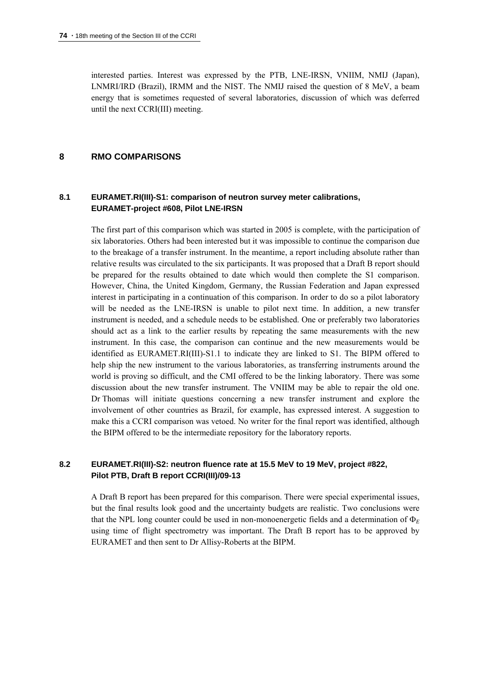interested parties. Interest was expressed by the PTB, LNE-IRSN, VNIIM, NMIJ (Japan), LNMRI/IRD (Brazil), IRMM and the NIST. The NMIJ raised the question of 8 MeV, a beam energy that is sometimes requested of several laboratories, discussion of which was deferred until the next CCRI(III) meeting.

## **8 RMO COMPARISONS**

## **8.1 EURAMET.RI(III)-S1: comparison of neutron survey meter calibrations, EURAMET-project #608, Pilot LNE-IRSN**

The first part of this comparison which was started in 2005 is complete, with the participation of six laboratories. Others had been interested but it was impossible to continue the comparison due to the breakage of a transfer instrument. In the meantime, a report including absolute rather than relative results was circulated to the six participants. It was proposed that a Draft B report should be prepared for the results obtained to date which would then complete the S1 comparison. However, China, the United Kingdom, Germany, the Russian Federation and Japan expressed interest in participating in a continuation of this comparison. In order to do so a pilot laboratory will be needed as the LNE-IRSN is unable to pilot next time. In addition, a new transfer instrument is needed, and a schedule needs to be established. One or preferably two laboratories should act as a link to the earlier results by repeating the same measurements with the new instrument. In this case, the comparison can continue and the new measurements would be identified as EURAMET.RI(III)-S1.1 to indicate they are linked to S1. The BIPM offered to help ship the new instrument to the various laboratories, as transferring instruments around the world is proving so difficult, and the CMI offered to be the linking laboratory. There was some discussion about the new transfer instrument. The VNIIM may be able to repair the old one. Dr Thomas will initiate questions concerning a new transfer instrument and explore the involvement of other countries as Brazil, for example, has expressed interest. A suggestion to make this a CCRI comparison was vetoed. No writer for the final report was identified, although the BIPM offered to be the intermediate repository for the laboratory reports.

## **8.2 EURAMET.RI(III)-S2: neutron fluence rate at 15.5 MeV to 19 MeV, project #822, Pilot PTB, Draft B report CCRI(III)/09-13**

A Draft B report has been prepared for this comparison. There were special experimental issues, but the final results look good and the uncertainty budgets are realistic. Two conclusions were that the NPL long counter could be used in non-monoenergetic fields and a determination of  $\Phi_F$ using time of flight spectrometry was important. The Draft B report has to be approved by EURAMET and then sent to Dr Allisy-Roberts at the BIPM.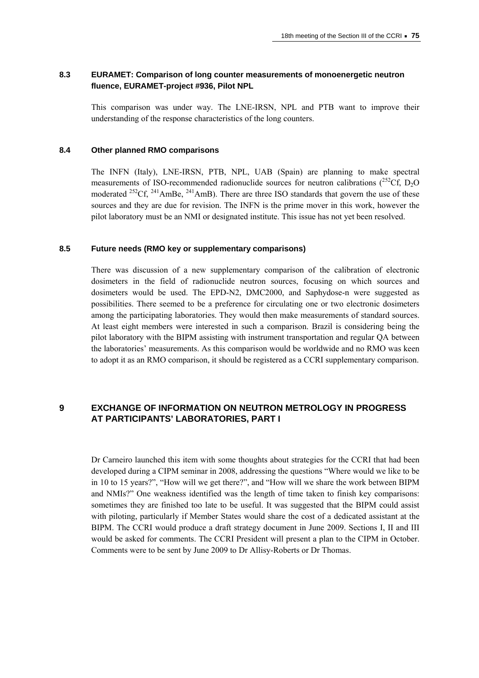## **8.3 EURAMET: Comparison of long counter measurements of monoenergetic neutron fluence, EURAMET-project #936, Pilot NPL**

This comparison was under way. The LNE-IRSN, NPL and PTB want to improve their understanding of the response characteristics of the long counters.

#### **8.4 Other planned RMO comparisons**

The INFN (Italy), LNE-IRSN, PTB, NPL, UAB (Spain) are planning to make spectral measurements of ISO-recommended radionuclide sources for neutron calibrations  $\binom{252}{C}$ . D<sub>2</sub>O moderated  $^{252}$ Cf,  $^{241}$ AmBe,  $^{241}$ AmB). There are three ISO standards that govern the use of these sources and they are due for revision. The INFN is the prime mover in this work, however the pilot laboratory must be an NMI or designated institute. This issue has not yet been resolved.

#### **8.5 Future needs (RMO key or supplementary comparisons)**

There was discussion of a new supplementary comparison of the calibration of electronic dosimeters in the field of radionuclide neutron sources, focusing on which sources and dosimeters would be used. The EPD-N2, DMC2000, and Saphydose-n were suggested as possibilities. There seemed to be a preference for circulating one or two electronic dosimeters among the participating laboratories. They would then make measurements of standard sources. At least eight members were interested in such a comparison. Brazil is considering being the pilot laboratory with the BIPM assisting with instrument transportation and regular QA between the laboratories' measurements. As this comparison would be worldwide and no RMO was keen to adopt it as an RMO comparison, it should be registered as a CCRI supplementary comparison.

# **9 EXCHANGE OF INFORMATION ON NEUTRON METROLOGY IN PROGRESS AT PARTICIPANTS' LABORATORIES, PART I**

Dr Carneiro launched this item with some thoughts about strategies for the CCRI that had been developed during a CIPM seminar in 2008, addressing the questions "Where would we like to be in 10 to 15 years?", "How will we get there?", and "How will we share the work between BIPM and NMIs?" One weakness identified was the length of time taken to finish key comparisons: sometimes they are finished too late to be useful. It was suggested that the BIPM could assist with piloting, particularly if Member States would share the cost of a dedicated assistant at the BIPM. The CCRI would produce a draft strategy document in June 2009. Sections I, II and III would be asked for comments. The CCRI President will present a plan to the CIPM in October. Comments were to be sent by June 2009 to Dr Allisy-Roberts or Dr Thomas.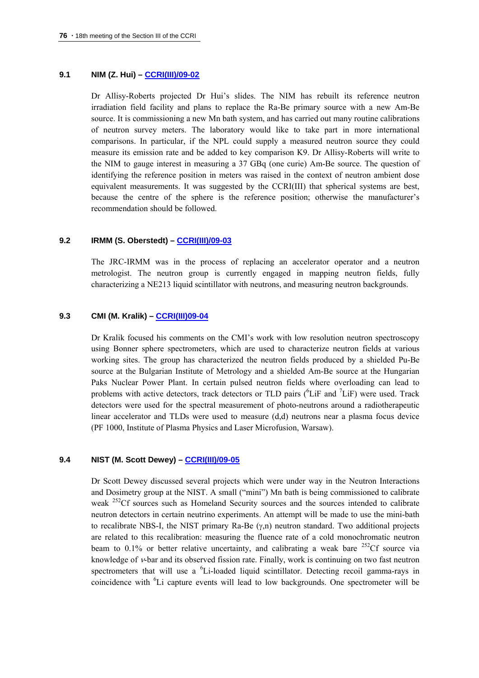## **9.1 NIM (Z. Hui) – [CCRI\(III\)/09-02](http://www.bipm.org/cc/CCRI(III)/Allowed/18/CCRI(III)09-02.pdf)**

Dr Allisy-Roberts projected Dr Hui's slides. The NIM has rebuilt its reference neutron irradiation field facility and plans to replace the Ra-Be primary source with a new Am-Be source. It is commissioning a new Mn bath system, and has carried out many routine calibrations of neutron survey meters. The laboratory would like to take part in more international comparisons. In particular, if the NPL could supply a measured neutron source they could measure its emission rate and be added to key comparison K9. Dr Allisy-Roberts will write to the NIM to gauge interest in measuring a 37 GBq (one curie) Am-Be source. The question of identifying the reference position in meters was raised in the context of neutron ambient dose equivalent measurements. It was suggested by the CCRI(III) that spherical systems are best, because the centre of the sphere is the reference position; otherwise the manufacturer's recommendation should be followed.

## **9.2 IRMM (S. Oberstedt) – [CCRI\(III\)/09-03](http://www.bipm.org/cc/CCRI(III)/Allowed/18/CCRI(III)09-03.pdf)**

The JRC-IRMM was in the process of replacing an accelerator operator and a neutron metrologist. The neutron group is currently engaged in mapping neutron fields, fully characterizing a NE213 liquid scintillator with neutrons, and measuring neutron backgrounds.

### **9.3 CMI (M. Kralik) – [CCRI\(III\)09-04](http://www.bipm.org/cc/CCRI(III)/Allowed/18/CCRI(III)09-04.pdf)**

Dr Kralik focused his comments on the CMI's work with low resolution neutron spectroscopy using Bonner sphere spectrometers, which are used to characterize neutron fields at various working sites. The group has characterized the neutron fields produced by a shielded Pu-Be source at the Bulgarian Institute of Metrology and a shielded Am-Be source at the Hungarian Paks Nuclear Power Plant. In certain pulsed neutron fields where overloading can lead to problems with active detectors, track detectors or TLD pairs ( ${}^{6}$ LiF and  ${}^{7}$ LiF) were used. Track detectors were used for the spectral measurement of photo-neutrons around a radiotherapeutic linear accelerator and TLDs were used to measure (d,d) neutrons near a plasma focus device (PF 1000, Institute of Plasma Physics and Laser Microfusion, Warsaw).

### **9.4 NIST (M. Scott Dewey) – [CCRI\(III\)/09-05](http://www.bipm.org/cc/CCRI(III)/Allowed/18/CCRI(III)09-05.pdf)**

Dr Scott Dewey discussed several projects which were under way in the Neutron Interactions and Dosimetry group at the NIST. A small ("mini") Mn bath is being commissioned to calibrate weak <sup>252</sup>Cf sources such as Homeland Security sources and the sources intended to calibrate neutron detectors in certain neutrino experiments. An attempt will be made to use the mini-bath to recalibrate NBS-I, the NIST primary Ra-Be  $(y,n)$  neutron standard. Two additional projects are related to this recalibration: measuring the fluence rate of a cold monochromatic neutron beam to 0.1% or better relative uncertainty, and calibrating a weak bare  $^{252}$ Cf source via knowledge of  $\nu$ -bar and its observed fission rate. Finally, work is continuing on two fast neutron spectrometers that will use a <sup>6</sup>Li-loaded liquid scintillator. Detecting recoil gamma-rays in coincidence with <sup>6</sup>Li capture events will lead to low backgrounds. One spectrometer will be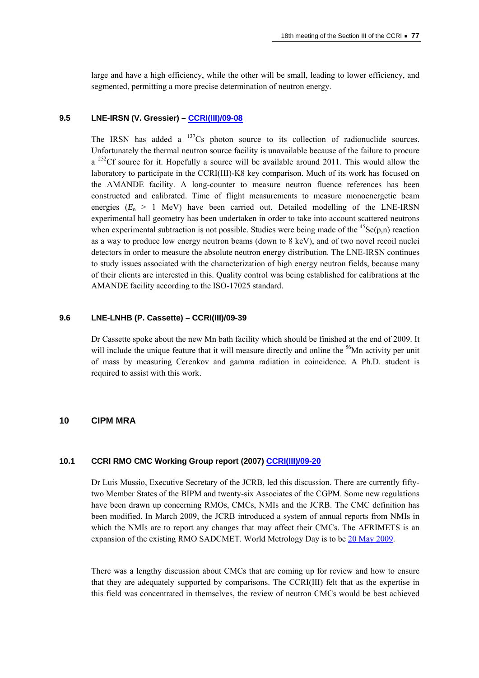large and have a high efficiency, while the other will be small, leading to lower efficiency, and segmented, permitting a more precise determination of neutron energy.

### **9.5 LNE-IRSN (V. Gressier) – [CCRI\(III\)/09-08](http://www.bipm.org/cc/CCRI(III)/Allowed/18/CCRI(III)09-08.pdf)**

The IRSN has added a  $^{137}Cs$  photon source to its collection of radionuclide sources. Unfortunately the thermal neutron source facility is unavailable because of the failure to procure  $a^{252}$ Cf source for it. Hopefully a source will be available around 2011. This would allow the laboratory to participate in the CCRI(III)-K8 key comparison. Much of its work has focused on the AMANDE facility. A long-counter to measure neutron fluence references has been constructed and calibrated. Time of flight measurements to measure monoenergetic beam energies  $(E_n > 1 \text{ MeV})$  have been carried out. Detailed modelling of the LNE-IRSN experimental hall geometry has been undertaken in order to take into account scattered neutrons when experimental subtraction is not possible. Studies were being made of the <sup>45</sup>Sc(p,n) reaction as a way to produce low energy neutron beams (down to 8 keV), and of two novel recoil nuclei detectors in order to measure the absolute neutron energy distribution. The LNE-IRSN continues to study issues associated with the characterization of high energy neutron fields, because many of their clients are interested in this. Quality control was being established for calibrations at the AMANDE facility according to the ISO-17025 standard.

#### **9.6 LNE-LNHB (P. Cassette) – CCRI(III)/09-39**

Dr Cassette spoke about the new Mn bath facility which should be finished at the end of 2009. It will include the unique feature that it will measure directly and online the <sup>56</sup>Mn activity per unit of mass by measuring Cerenkov and gamma radiation in coincidence. A Ph.D. student is required to assist with this work.

## **10 CIPM MRA**

### **10.1 CCRI RMO CMC Working Group report (2007) [CCRI\(III\)/09-20](http://www.bipm.org/cc/CCRI(III)/Allowed/18/CCRI(III)09-20.pdf)**

Dr Luis Mussio, Executive Secretary of the JCRB, led this discussion. There are currently fiftytwo Member States of the BIPM and twenty-six Associates of the CGPM. Some new regulations have been drawn up concerning RMOs, CMCs, NMIs and the JCRB. The CMC definition has been modified. In March 2009, the JCRB introduced a system of annual reports from NMIs in which the NMIs are to report any changes that may affect their CMCs. The AFRIMETS is an expansion of the existing RMO SADCMET. World Metrology Day is to be [20 May 2009.](http://www.worldmetrologyday.com/)

There was a lengthy discussion about CMCs that are coming up for review and how to ensure that they are adequately supported by comparisons. The CCRI(III) felt that as the expertise in this field was concentrated in themselves, the review of neutron CMCs would be best achieved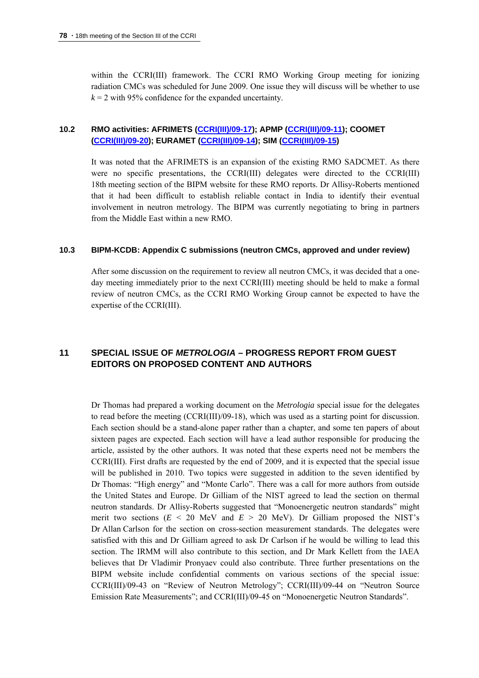within the CCRI(III) framework. The CCRI RMO Working Group meeting for ionizing radiation CMCs was scheduled for June 2009. One issue they will discuss will be whether to use  $k = 2$  with 95% confidence for the expanded uncertainty.

# **10.2 RMO activities: AFRIMETS ([CCRI\(III\)/09-17](http://www.bipm.org/cc/CCRI(III)/Allowed/18/CCRI(III)09-17.pdf)); APMP ([CCRI\(III\)/09-11\)](http://www.bipm.org/cc/CCRI(III)/Allowed/18/CCRI(III)09-11.pdf); COOMET ([CCRI\(III\)/09-20\)](http://www.bipm.org/cc/CCRI(III)/Allowed/18/CCRI(III)09-20.pdf); EURAMET ([CCRI\(III\)/09-14](http://www.bipm.org/cc/CCRI(III)/Allowed/18/CCRI(III)09-14.pdf)); SIM ([CCRI\(III\)/09-15](http://www.bipm.org/cc/CCRI(III)/Allowed/18/CCRI(III)09-15.pdf))**

It was noted that the AFRIMETS is an expansion of the existing RMO SADCMET. As there were no specific presentations, the CCRI(III) delegates were directed to the CCRI(III) 18th meeting section of the BIPM website for these RMO reports. Dr Allisy-Roberts mentioned that it had been difficult to establish reliable contact in India to identify their eventual involvement in neutron metrology. The BIPM was currently negotiating to bring in partners from the Middle East within a new RMO.

### **10.3 BIPM-KCDB: Appendix C submissions (neutron CMCs, approved and under review)**

After some discussion on the requirement to review all neutron CMCs, it was decided that a oneday meeting immediately prior to the next CCRI(III) meeting should be held to make a formal review of neutron CMCs, as the CCRI RMO Working Group cannot be expected to have the expertise of the CCRI(III).

# **11 SPECIAL ISSUE OF** *METROLOGIA* **– PROGRESS REPORT FROM GUEST EDITORS ON PROPOSED CONTENT AND AUTHORS**

Dr Thomas had prepared a working document on the *Metrologia* special issue for the delegates to read before the meeting (CCRI(III)/09-18), which was used as a starting point for discussion. Each section should be a stand-alone paper rather than a chapter, and some ten papers of about sixteen pages are expected. Each section will have a lead author responsible for producing the article, assisted by the other authors. It was noted that these experts need not be members the CCRI(III). First drafts are requested by the end of 2009, and it is expected that the special issue will be published in 2010. Two topics were suggested in addition to the seven identified by Dr Thomas: "High energy" and "Monte Carlo". There was a call for more authors from outside the United States and Europe. Dr Gilliam of the NIST agreed to lead the section on thermal neutron standards. Dr Allisy-Roberts suggested that "Monoenergetic neutron standards" might merit two sections  $(E \le 20 \text{ MeV}$  and  $E > 20 \text{ MeV}$ . Dr Gilliam proposed the NIST's Dr Allan Carlson for the section on cross-section measurement standards. The delegates were satisfied with this and Dr Gilliam agreed to ask Dr Carlson if he would be willing to lead this section. The IRMM will also contribute to this section, and Dr Mark Kellett from the IAEA believes that Dr Vladimir Pronyaev could also contribute. Three further presentations on the BIPM website include confidential comments on various sections of the special issue: CCRI(III)/09-43 on "Review of Neutron Metrology"; CCRI(III)/09-44 on "Neutron Source Emission Rate Measurements"; and CCRI(III)/09-45 on "Monoenergetic Neutron Standards".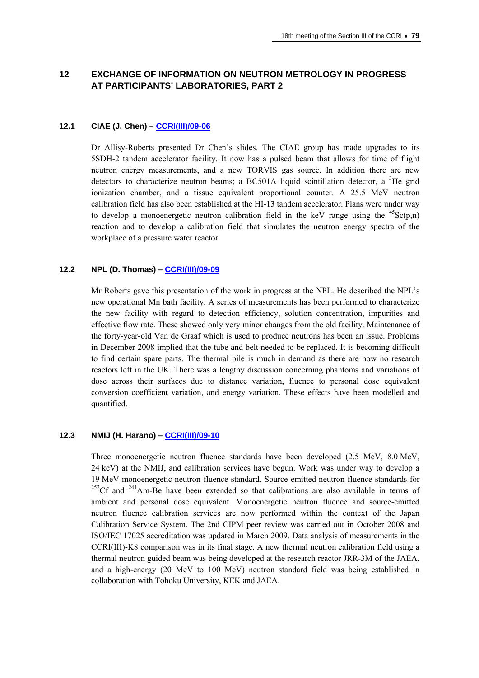# **12 EXCHANGE OF INFORMATION ON NEUTRON METROLOGY IN PROGRESS AT PARTICIPANTS' LABORATORIES, PART 2**

### **12.1 CIAE (J. Chen) – [CCRI\(III\)/09-06](http://www.bipm.org/cc/CCRI(III)/Allowed/18/CCRI(III)09-06.pdf)**

Dr Allisy-Roberts presented Dr Chen's slides. The CIAE group has made upgrades to its 5SDH-2 tandem accelerator facility. It now has a pulsed beam that allows for time of flight neutron energy measurements, and a new TORVIS gas source. In addition there are new detectors to characterize neutron beams; a BC501A liquid scintillation detector, a  ${}^{3}$ He grid ionization chamber, and a tissue equivalent proportional counter. A 25.5 MeV neutron calibration field has also been established at the HI-13 tandem accelerator. Plans were under way to develop a monoenergetic neutron calibration field in the keV range using the  ${}^{45}Sc(p,n)$ reaction and to develop a calibration field that simulates the neutron energy spectra of the workplace of a pressure water reactor.

## **12.2 NPL (D. Thomas) – [CCRI\(III\)/09-09](http://www.bipm.org/cc/CCRI(III)/Allowed/18/CCRI(III)09-09.pdf)**

Mr Roberts gave this presentation of the work in progress at the NPL. He described the NPL's new operational Mn bath facility. A series of measurements has been performed to characterize the new facility with regard to detection efficiency, solution concentration, impurities and effective flow rate. These showed only very minor changes from the old facility. Maintenance of the forty-year-old Van de Graaf which is used to produce neutrons has been an issue. Problems in December 2008 implied that the tube and belt needed to be replaced. It is becoming difficult to find certain spare parts. The thermal pile is much in demand as there are now no research reactors left in the UK. There was a lengthy discussion concerning phantoms and variations of dose across their surfaces due to distance variation, fluence to personal dose equivalent conversion coefficient variation, and energy variation. These effects have been modelled and quantified.

# **12.3 NMIJ (H. Harano) – [CCRI\(III\)/09-10](http://www.bipm.org/cc/CCRI(III)/Allowed/18/CCRI(III)09-10.pdf)**

Three monoenergetic neutron fluence standards have been developed (2.5 MeV, 8.0 MeV, 24 keV) at the NMIJ, and calibration services have begun. Work was under way to develop a 19 MeV monoenergetic neutron fluence standard. Source-emitted neutron fluence standards for  $252^{\circ}$ Cf and  $241^{\circ}$ Am-Be have been extended so that calibrations are also available in terms of ambient and personal dose equivalent. Monoenergetic neutron fluence and source-emitted neutron fluence calibration services are now performed within the context of the Japan Calibration Service System. The 2nd CIPM peer review was carried out in October 2008 and ISO/IEC 17025 accreditation was updated in March 2009. Data analysis of measurements in the CCRI(III)-K8 comparison was in its final stage. A new thermal neutron calibration field using a thermal neutron guided beam was being developed at the research reactor JRR-3M of the JAEA, and a high-energy (20 MeV to 100 MeV) neutron standard field was being established in collaboration with Tohoku University, KEK and JAEA.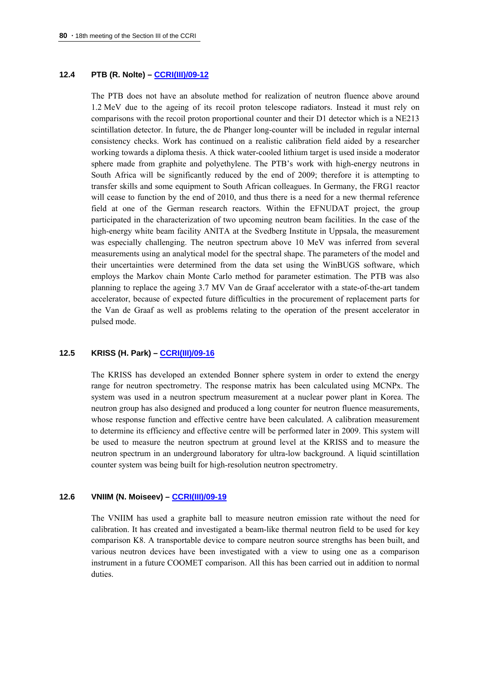### **12.4 PTB (R. Nolte) – [CCRI\(III\)/09-12](http://www.bipm.org/cc/CCRI(III)/Allowed/18/CCRI(III)09-12.pdf)**

The PTB does not have an absolute method for realization of neutron fluence above around 1.2 MeV due to the ageing of its recoil proton telescope radiators. Instead it must rely on comparisons with the recoil proton proportional counter and their D1 detector which is a NE213 scintillation detector. In future, the de Phanger long-counter will be included in regular internal consistency checks. Work has continued on a realistic calibration field aided by a researcher working towards a diploma thesis. A thick water-cooled lithium target is used inside a moderator sphere made from graphite and polyethylene. The PTB's work with high-energy neutrons in South Africa will be significantly reduced by the end of 2009; therefore it is attempting to transfer skills and some equipment to South African colleagues. In Germany, the FRG1 reactor will cease to function by the end of 2010, and thus there is a need for a new thermal reference field at one of the German research reactors. Within the EFNUDAT project, the group participated in the characterization of two upcoming neutron beam facilities. In the case of the high-energy white beam facility ANITA at the Svedberg Institute in Uppsala, the measurement was especially challenging. The neutron spectrum above 10 MeV was inferred from several measurements using an analytical model for the spectral shape. The parameters of the model and their uncertainties were determined from the data set using the WinBUGS software, which employs the Markov chain Monte Carlo method for parameter estimation. The PTB was also planning to replace the ageing 3.7 MV Van de Graaf accelerator with a state-of-the-art tandem accelerator, because of expected future difficulties in the procurement of replacement parts for the Van de Graaf as well as problems relating to the operation of the present accelerator in pulsed mode.

### **12.5 KRISS (H. Park) – [CCRI\(III\)/09-16](http://www.bipm.org/cc/CCRI(III)/Allowed/18/CCRI(III)09-16.pdf)**

The KRISS has developed an extended Bonner sphere system in order to extend the energy range for neutron spectrometry. The response matrix has been calculated using MCNPx. The system was used in a neutron spectrum measurement at a nuclear power plant in Korea. The neutron group has also designed and produced a long counter for neutron fluence measurements, whose response function and effective centre have been calculated. A calibration measurement to determine its efficiency and effective centre will be performed later in 2009. This system will be used to measure the neutron spectrum at ground level at the KRISS and to measure the neutron spectrum in an underground laboratory for ultra-low background. A liquid scintillation counter system was being built for high-resolution neutron spectrometry.

#### **12.6 VNIIM (N. Moiseev) – [CCRI\(III\)/09-19](http://www.bipm.org/cc/CCRI(III)/Allowed/18/CCRI(III)09-19.pdf)**

The VNIIM has used a graphite ball to measure neutron emission rate without the need for calibration. It has created and investigated a beam-like thermal neutron field to be used for key comparison K8. A transportable device to compare neutron source strengths has been built, and various neutron devices have been investigated with a view to using one as a comparison instrument in a future COOMET comparison. All this has been carried out in addition to normal duties.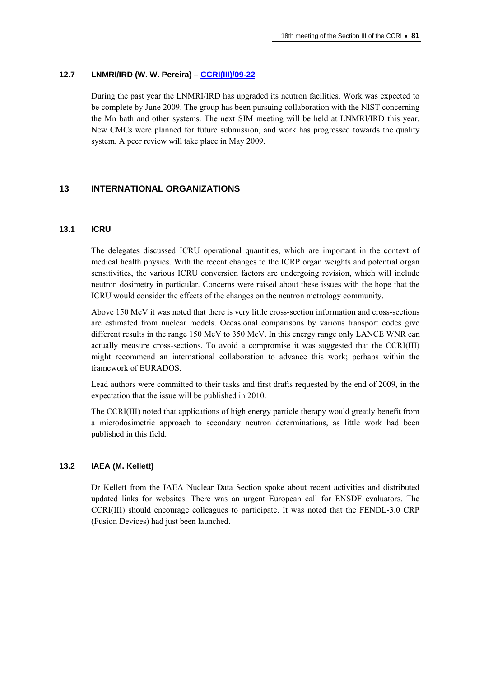### **12.7 LNMRI/IRD (W. W. Pereira) – [CCRI\(III\)/09-22](http://www.bipm.org/cc/CCRI(III)/Allowed/18/CCRI(III)09-22.pdf)**

During the past year the LNMRI/IRD has upgraded its neutron facilities. Work was expected to be complete by June 2009. The group has been pursuing collaboration with the NIST concerning the Mn bath and other systems. The next SIM meeting will be held at LNMRI/IRD this year. New CMCs were planned for future submission, and work has progressed towards the quality system. A peer review will take place in May 2009.

## **13 INTERNATIONAL ORGANIZATIONS**

### **13.1 ICRU**

The delegates discussed ICRU operational quantities, which are important in the context of medical health physics. With the recent changes to the ICRP organ weights and potential organ sensitivities, the various ICRU conversion factors are undergoing revision, which will include neutron dosimetry in particular. Concerns were raised about these issues with the hope that the ICRU would consider the effects of the changes on the neutron metrology community.

Above 150 MeV it was noted that there is very little cross-section information and cross-sections are estimated from nuclear models. Occasional comparisons by various transport codes give different results in the range 150 MeV to 350 MeV. In this energy range only LANCE WNR can actually measure cross-sections. To avoid a compromise it was suggested that the CCRI(III) might recommend an international collaboration to advance this work; perhaps within the framework of EURADOS.

Lead authors were committed to their tasks and first drafts requested by the end of 2009, in the expectation that the issue will be published in 2010.

The CCRI(III) noted that applications of high energy particle therapy would greatly benefit from a microdosimetric approach to secondary neutron determinations, as little work had been published in this field.

## **13.2 IAEA (M. Kellett)**

Dr Kellett from the IAEA Nuclear Data Section spoke about recent activities and distributed updated links for websites. There was an urgent European call for ENSDF evaluators. The CCRI(III) should encourage colleagues to participate. It was noted that the FENDL-3.0 CRP (Fusion Devices) had just been launched.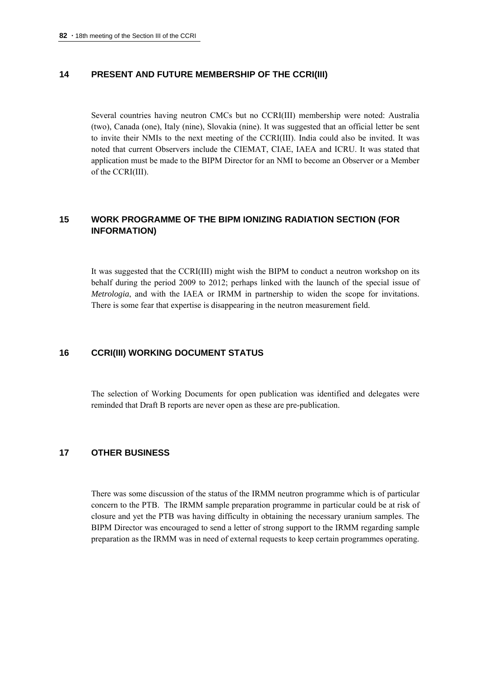## **14 PRESENT AND FUTURE MEMBERSHIP OF THE CCRI(III)**

Several countries having neutron CMCs but no CCRI(III) membership were noted: Australia (two), Canada (one), Italy (nine), Slovakia (nine). It was suggested that an official letter be sent to invite their NMIs to the next meeting of the CCRI(III). India could also be invited. It was noted that current Observers include the CIEMAT, CIAE, IAEA and ICRU. It was stated that application must be made to the BIPM Director for an NMI to become an Observer or a Member of the CCRI(III).

# **15 WORK PROGRAMME OF THE BIPM IONIZING RADIATION SECTION (FOR INFORMATION)**

It was suggested that the CCRI(III) might wish the BIPM to conduct a neutron workshop on its behalf during the period 2009 to 2012; perhaps linked with the launch of the special issue of *Metrologia*, and with the IAEA or IRMM in partnership to widen the scope for invitations. There is some fear that expertise is disappearing in the neutron measurement field.

## **16 CCRI(III) WORKING DOCUMENT STATUS**

The selection of Working Documents for open publication was identified and delegates were reminded that Draft B reports are never open as these are pre-publication.

## **17 OTHER BUSINESS**

There was some discussion of the status of the IRMM neutron programme which is of particular concern to the PTB. The IRMM sample preparation programme in particular could be at risk of closure and yet the PTB was having difficulty in obtaining the necessary uranium samples. The BIPM Director was encouraged to send a letter of strong support to the IRMM regarding sample preparation as the IRMM was in need of external requests to keep certain programmes operating.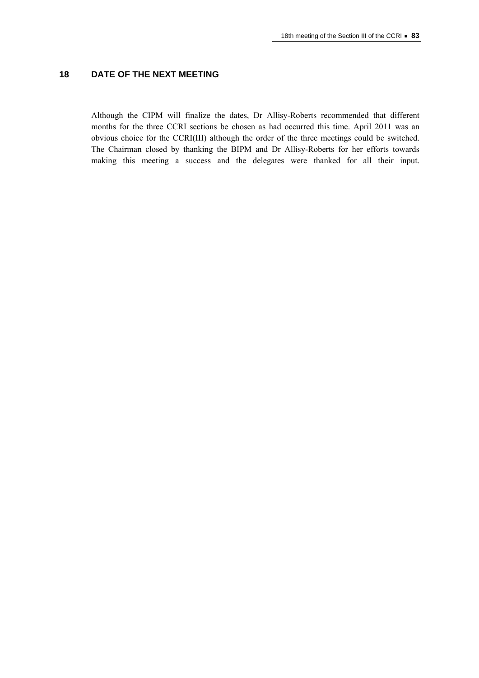# **18 DATE OF THE NEXT MEETING**

Although the CIPM will finalize the dates, Dr Allisy-Roberts recommended that different months for the three CCRI sections be chosen as had occurred this time. April 2011 was an obvious choice for the CCRI(III) although the order of the three meetings could be switched. The Chairman closed by thanking the BIPM and Dr Allisy-Roberts for her efforts towards making this meeting a success and the delegates were thanked for all their input.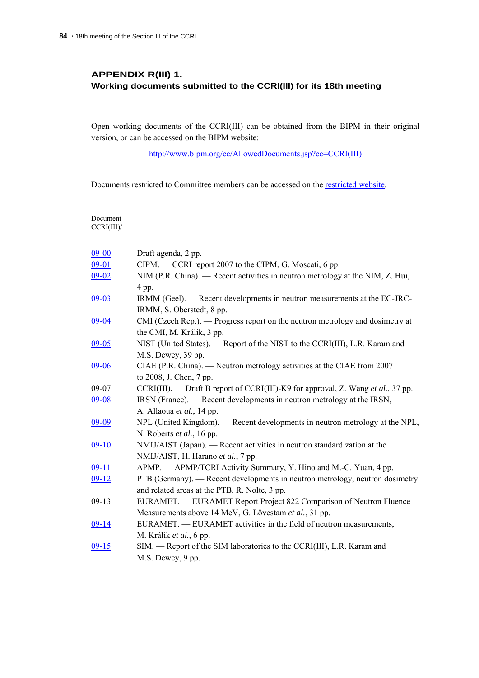# **APPENDIX R(III) 1. Working documents submitted to the CCRI(III) for its 18th meeting**

Open working documents of the CCRI(III) can be obtained from the BIPM in their original version, or can be accessed on the BIPM website:

[http://www.bipm.org/cc/AllowedDocuments.jsp?cc=CCRI\(III\)](http://www.bipm.org/cc/AllowedDocuments.jsp?cc=CCRI(III))

Documents restricted to Committee members can be accessed on the [restricted website](http://www.bipm.org/cc/CCRI(III)/Restricted/WorkingDocuments.jsp).

Document CCRI(III)/

| 09-00     | Draft agenda, 2 pp.                                                              |
|-----------|----------------------------------------------------------------------------------|
| $09 - 01$ | CIPM. — CCRI report 2007 to the CIPM, G. Moscati, 6 pp.                          |
| $09 - 02$ | NIM (P.R. China). — Recent activities in neutron metrology at the NIM, Z. Hui,   |
|           | 4 pp.                                                                            |
| $09 - 03$ | IRMM (Geel). — Recent developments in neutron measurements at the EC-JRC-        |
|           | IRMM, S. Oberstedt, 8 pp.                                                        |
| $09 - 04$ | CMI (Czech Rep.). — Progress report on the neutron metrology and dosimetry at    |
|           | the CMI, M. Králik, 3 pp.                                                        |
| $09 - 05$ | NIST (United States). - Report of the NIST to the CCRI(III), L.R. Karam and      |
|           | M.S. Dewey, 39 pp.                                                               |
| $09 - 06$ | CIAE (P.R. China). — Neutron metrology activities at the CIAE from 2007          |
|           | to 2008, J. Chen, 7 pp.                                                          |
| 09-07     | CCRI(III). — Draft B report of CCRI(III)-K9 for approval, Z. Wang et al., 37 pp. |
| $09 - 08$ | IRSN (France). — Recent developments in neutron metrology at the IRSN,           |
|           | A. Allaoua et al., 14 pp.                                                        |
| $09 - 09$ | NPL (United Kingdom). — Recent developments in neutron metrology at the NPL,     |
|           | N. Roberts et al., 16 pp.                                                        |
| $09-10$   | NMIJ/AIST (Japan). — Recent activities in neutron standardization at the         |
|           | NMIJ/AIST, H. Harano et al., 7 pp.                                               |
| $09-11$   | APMP. — APMP/TCRI Activity Summary, Y. Hino and M.-C. Yuan, 4 pp.                |
| $09-12$   | PTB (Germany). — Recent developments in neutron metrology, neutron dosimetry     |
|           | and related areas at the PTB, R. Nolte, 3 pp.                                    |
| $09-13$   | EURAMET. - EURAMET Report Project 822 Comparison of Neutron Fluence              |
|           | Measurements above 14 MeV, G. Lövestam et al., 31 pp.                            |
| $09 - 14$ | EURAMET. — EURAMET activities in the field of neutron measurements,              |
|           | M. Králik et al., 6 pp.                                                          |
| $09-15$   | SIM. — Report of the SIM laboratories to the CCRI(III), L.R. Karam and           |
|           | M.S. Dewey, 9 pp.                                                                |